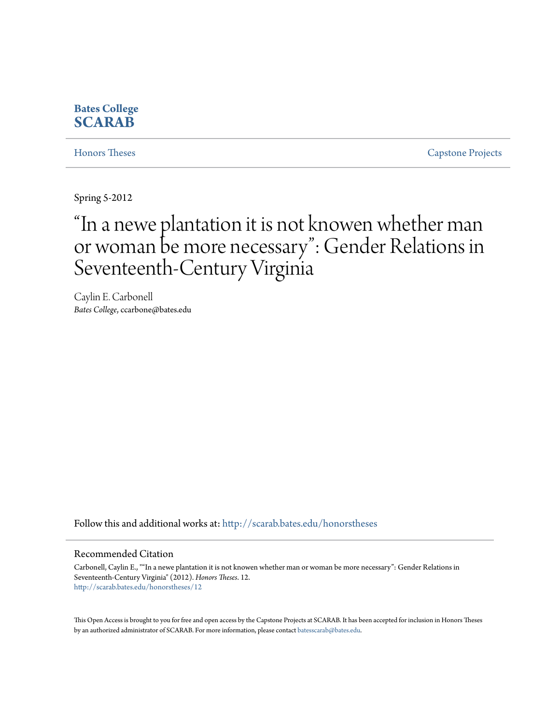# **Bates College [SCARAB](http://scarab.bates.edu?utm_source=scarab.bates.edu%2Fhonorstheses%2F12&utm_medium=PDF&utm_campaign=PDFCoverPages)**

[Honors Theses](http://scarab.bates.edu/honorstheses?utm_source=scarab.bates.edu%2Fhonorstheses%2F12&utm_medium=PDF&utm_campaign=PDFCoverPages) [Capstone Projects](http://scarab.bates.edu/capstone?utm_source=scarab.bates.edu%2Fhonorstheses%2F12&utm_medium=PDF&utm_campaign=PDFCoverPages)

Spring 5-2012

# "In a newe plantation it is not knowen whether man or woman be more necessary": Gender Relations in Seventeenth-Century Virginia

Caylin E. Carbonell *Bates College*, ccarbone@bates.edu

Follow this and additional works at: [http://scarab.bates.edu/honorstheses](http://scarab.bates.edu/honorstheses?utm_source=scarab.bates.edu%2Fhonorstheses%2F12&utm_medium=PDF&utm_campaign=PDFCoverPages)

#### Recommended Citation

Carbonell, Caylin E., ""In a newe plantation it is not knowen whether man or woman be more necessary": Gender Relations in Seventeenth-Century Virginia" (2012). *Honors Theses*. 12. [http://scarab.bates.edu/honorstheses/12](http://scarab.bates.edu/honorstheses/12?utm_source=scarab.bates.edu%2Fhonorstheses%2F12&utm_medium=PDF&utm_campaign=PDFCoverPages)

This Open Access is brought to you for free and open access by the Capstone Projects at SCARAB. It has been accepted for inclusion in Honors Theses by an authorized administrator of SCARAB. For more information, please contact [batesscarab@bates.edu](mailto:batesscarab@bates.edu).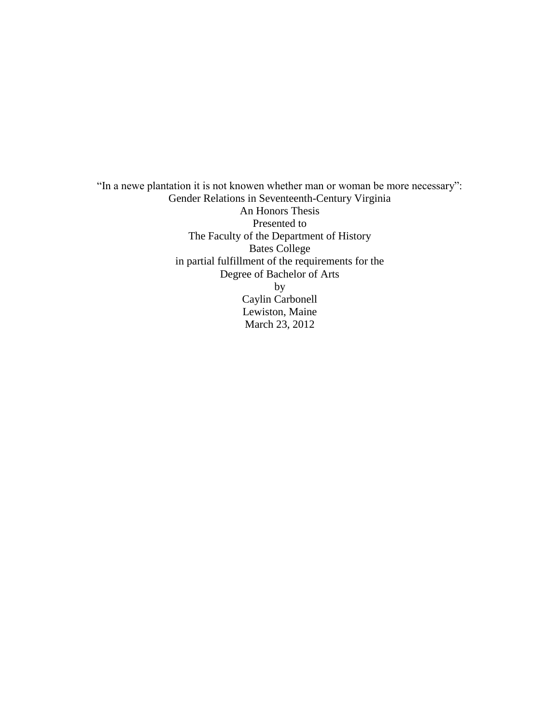"In a newe plantation it is not knowen whether man or woman be more necessary": Gender Relations in Seventeenth-Century Virginia An Honors Thesis Presented to The Faculty of the Department of History Bates College in partial fulfillment of the requirements for the Degree of Bachelor of Arts by Caylin Carbonell Lewiston, Maine March 23, 2012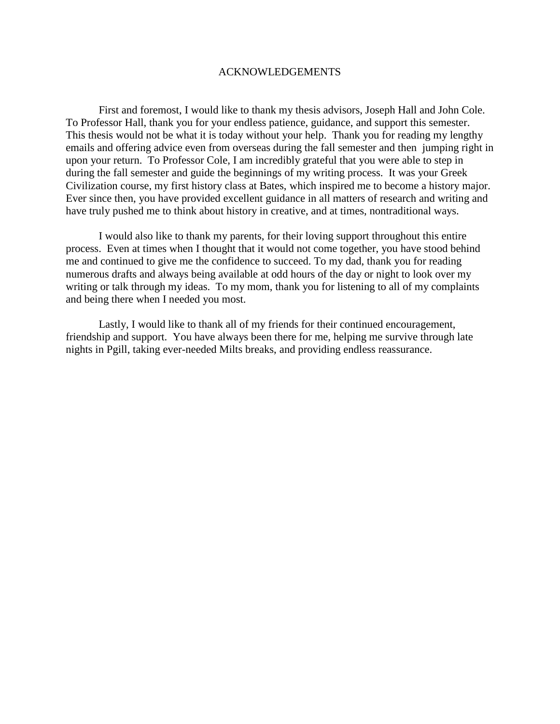# ACKNOWLEDGEMENTS

First and foremost, I would like to thank my thesis advisors, Joseph Hall and John Cole. To Professor Hall, thank you for your endless patience, guidance, and support this semester. This thesis would not be what it is today without your help. Thank you for reading my lengthy emails and offering advice even from overseas during the fall semester and then jumping right in upon your return. To Professor Cole, I am incredibly grateful that you were able to step in during the fall semester and guide the beginnings of my writing process. It was your Greek Civilization course, my first history class at Bates, which inspired me to become a history major. Ever since then, you have provided excellent guidance in all matters of research and writing and have truly pushed me to think about history in creative, and at times, nontraditional ways.

I would also like to thank my parents, for their loving support throughout this entire process. Even at times when I thought that it would not come together, you have stood behind me and continued to give me the confidence to succeed. To my dad, thank you for reading numerous drafts and always being available at odd hours of the day or night to look over my writing or talk through my ideas. To my mom, thank you for listening to all of my complaints and being there when I needed you most.

Lastly, I would like to thank all of my friends for their continued encouragement, friendship and support. You have always been there for me, helping me survive through late nights in Pgill, taking ever-needed Milts breaks, and providing endless reassurance.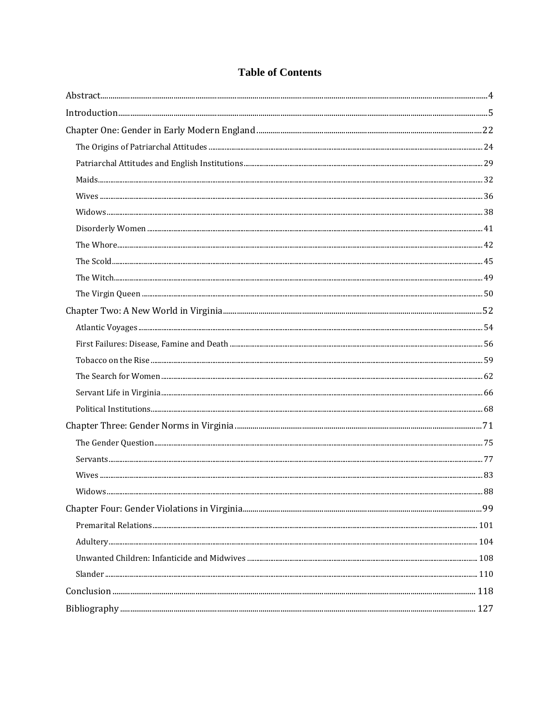# **Table of Contents**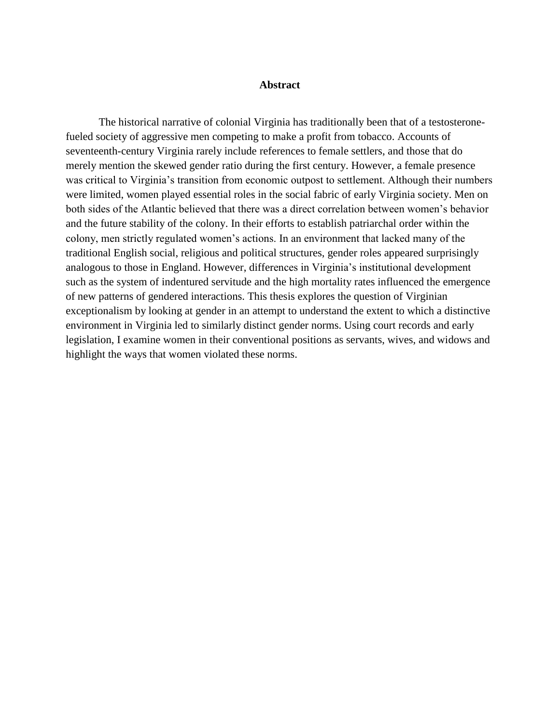## **Abstract**

<span id="page-4-0"></span>The historical narrative of colonial Virginia has traditionally been that of a testosteronefueled society of aggressive men competing to make a profit from tobacco. Accounts of seventeenth-century Virginia rarely include references to female settlers, and those that do merely mention the skewed gender ratio during the first century. However, a female presence was critical to Virginia's transition from economic outpost to settlement. Although their numbers were limited, women played essential roles in the social fabric of early Virginia society. Men on both sides of the Atlantic believed that there was a direct correlation between women's behavior and the future stability of the colony. In their efforts to establish patriarchal order within the colony, men strictly regulated women's actions. In an environment that lacked many of the traditional English social, religious and political structures, gender roles appeared surprisingly analogous to those in England. However, differences in Virginia's institutional development such as the system of indentured servitude and the high mortality rates influenced the emergence of new patterns of gendered interactions. This thesis explores the question of Virginian exceptionalism by looking at gender in an attempt to understand the extent to which a distinctive environment in Virginia led to similarly distinct gender norms. Using court records and early legislation, I examine women in their conventional positions as servants, wives, and widows and highlight the ways that women violated these norms.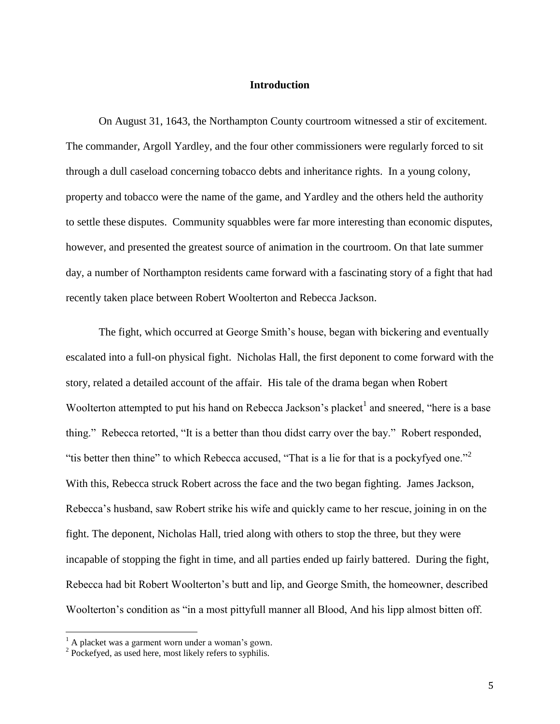# **Introduction**

<span id="page-5-0"></span>On August 31, 1643, the Northampton County courtroom witnessed a stir of excitement. The commander, Argoll Yardley, and the four other commissioners were regularly forced to sit through a dull caseload concerning tobacco debts and inheritance rights. In a young colony, property and tobacco were the name of the game, and Yardley and the others held the authority to settle these disputes. Community squabbles were far more interesting than economic disputes, however, and presented the greatest source of animation in the courtroom. On that late summer day, a number of Northampton residents came forward with a fascinating story of a fight that had recently taken place between Robert Woolterton and Rebecca Jackson.

The fight, which occurred at George Smith's house, began with bickering and eventually escalated into a full-on physical fight. Nicholas Hall, the first deponent to come forward with the story, related a detailed account of the affair. His tale of the drama began when Robert Woolterton attempted to put his hand on Rebecca Jackson's placket<sup>1</sup> and sneered, "here is a base thing." Rebecca retorted, "It is a better than thou didst carry over the bay." Robert responded, "tis better then thine" to which Rebecca accused, "That is a lie for that is a pockyfyed one."<sup>2</sup> With this, Rebecca struck Robert across the face and the two began fighting. James Jackson, Rebecca's husband, saw Robert strike his wife and quickly came to her rescue, joining in on the fight. The deponent, Nicholas Hall, tried along with others to stop the three, but they were incapable of stopping the fight in time, and all parties ended up fairly battered. During the fight, Rebecca had bit Robert Woolterton's butt and lip, and George Smith, the homeowner, described Woolterton's condition as "in a most pittyfull manner all Blood, And his lipp almost bitten off.

 $<sup>1</sup>$  A placket was a garment worn under a woman's gown.</sup>

<sup>&</sup>lt;sup>2</sup> Pockefyed, as used here, most likely refers to syphilis.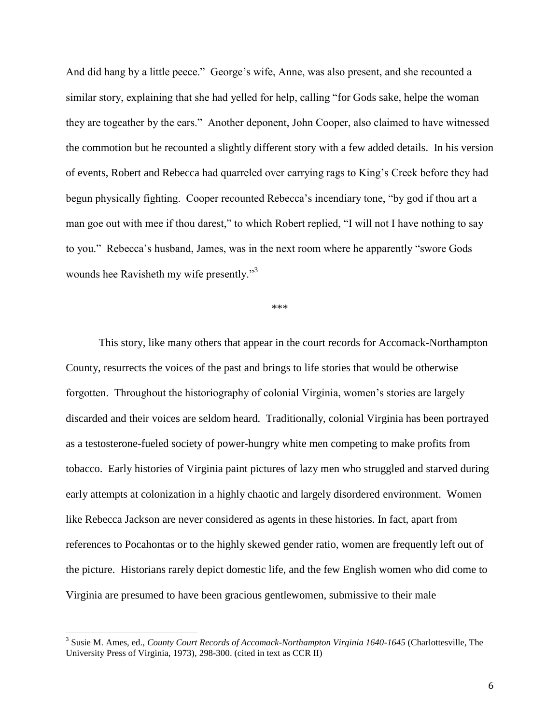And did hang by a little peece." George's wife, Anne, was also present, and she recounted a similar story, explaining that she had yelled for help, calling "for Gods sake, helpe the woman they are togeather by the ears." Another deponent, John Cooper, also claimed to have witnessed the commotion but he recounted a slightly different story with a few added details. In his version of events, Robert and Rebecca had quarreled over carrying rags to King's Creek before they had begun physically fighting. Cooper recounted Rebecca's incendiary tone, "by god if thou art a man goe out with mee if thou darest," to which Robert replied, "I will not I have nothing to say to you." Rebecca's husband, James, was in the next room where he apparently "swore Gods wounds hee Ravisheth my wife presently."<sup>3</sup>

\*\*\*

This story, like many others that appear in the court records for Accomack-Northampton County, resurrects the voices of the past and brings to life stories that would be otherwise forgotten. Throughout the historiography of colonial Virginia, women's stories are largely discarded and their voices are seldom heard. Traditionally, colonial Virginia has been portrayed as a testosterone-fueled society of power-hungry white men competing to make profits from tobacco. Early histories of Virginia paint pictures of lazy men who struggled and starved during early attempts at colonization in a highly chaotic and largely disordered environment. Women like Rebecca Jackson are never considered as agents in these histories. In fact, apart from references to Pocahontas or to the highly skewed gender ratio, women are frequently left out of the picture. Historians rarely depict domestic life, and the few English women who did come to Virginia are presumed to have been gracious gentlewomen, submissive to their male

<sup>&</sup>lt;sup>3</sup> Susie M. Ames, ed., *County Court Records of Accomack-Northampton Virginia 1640-1645* (Charlottesville, The University Press of Virginia, 1973), 298-300. (cited in text as CCR II)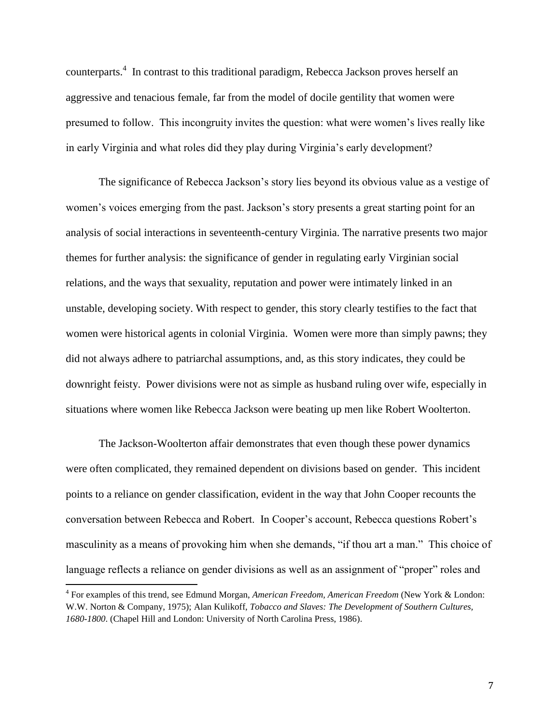counterparts.<sup>4</sup> In contrast to this traditional paradigm, Rebecca Jackson proves herself an aggressive and tenacious female, far from the model of docile gentility that women were presumed to follow. This incongruity invites the question: what were women's lives really like in early Virginia and what roles did they play during Virginia's early development?

The significance of Rebecca Jackson's story lies beyond its obvious value as a vestige of women's voices emerging from the past. Jackson's story presents a great starting point for an analysis of social interactions in seventeenth-century Virginia. The narrative presents two major themes for further analysis: the significance of gender in regulating early Virginian social relations, and the ways that sexuality, reputation and power were intimately linked in an unstable, developing society. With respect to gender, this story clearly testifies to the fact that women were historical agents in colonial Virginia. Women were more than simply pawns; they did not always adhere to patriarchal assumptions, and, as this story indicates, they could be downright feisty. Power divisions were not as simple as husband ruling over wife, especially in situations where women like Rebecca Jackson were beating up men like Robert Woolterton.

The Jackson-Woolterton affair demonstrates that even though these power dynamics were often complicated, they remained dependent on divisions based on gender. This incident points to a reliance on gender classification, evident in the way that John Cooper recounts the conversation between Rebecca and Robert. In Cooper's account, Rebecca questions Robert's masculinity as a means of provoking him when she demands, "if thou art a man." This choice of language reflects a reliance on gender divisions as well as an assignment of "proper" roles and

<sup>4</sup> For examples of this trend, see Edmund Morgan, *American Freedom, American Freedom* (New York & London: W.W. Norton & Company, 1975); Alan Kulikoff, *Tobacco and Slaves: The Development of Southern Cultures, 1680-1800*. (Chapel Hill and London: University of North Carolina Press, 1986).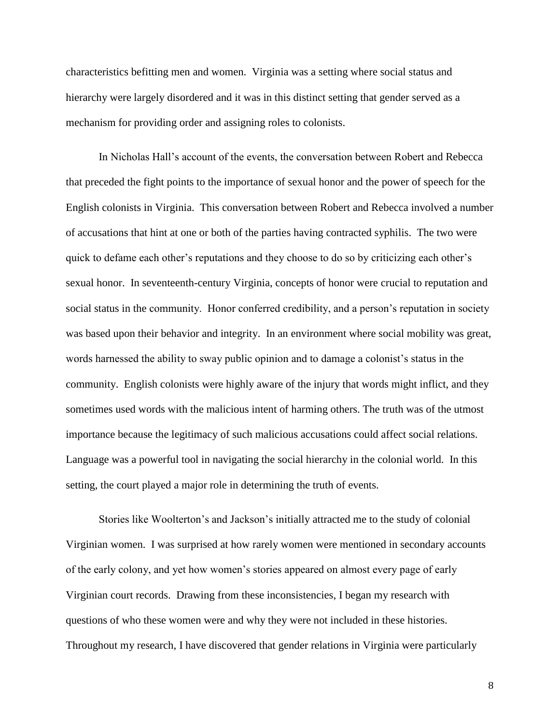characteristics befitting men and women. Virginia was a setting where social status and hierarchy were largely disordered and it was in this distinct setting that gender served as a mechanism for providing order and assigning roles to colonists.

In Nicholas Hall's account of the events, the conversation between Robert and Rebecca that preceded the fight points to the importance of sexual honor and the power of speech for the English colonists in Virginia. This conversation between Robert and Rebecca involved a number of accusations that hint at one or both of the parties having contracted syphilis. The two were quick to defame each other's reputations and they choose to do so by criticizing each other's sexual honor. In seventeenth-century Virginia, concepts of honor were crucial to reputation and social status in the community. Honor conferred credibility, and a person's reputation in society was based upon their behavior and integrity. In an environment where social mobility was great, words harnessed the ability to sway public opinion and to damage a colonist's status in the community. English colonists were highly aware of the injury that words might inflict, and they sometimes used words with the malicious intent of harming others. The truth was of the utmost importance because the legitimacy of such malicious accusations could affect social relations. Language was a powerful tool in navigating the social hierarchy in the colonial world. In this setting, the court played a major role in determining the truth of events.

Stories like Woolterton's and Jackson's initially attracted me to the study of colonial Virginian women. I was surprised at how rarely women were mentioned in secondary accounts of the early colony, and yet how women's stories appeared on almost every page of early Virginian court records. Drawing from these inconsistencies, I began my research with questions of who these women were and why they were not included in these histories. Throughout my research, I have discovered that gender relations in Virginia were particularly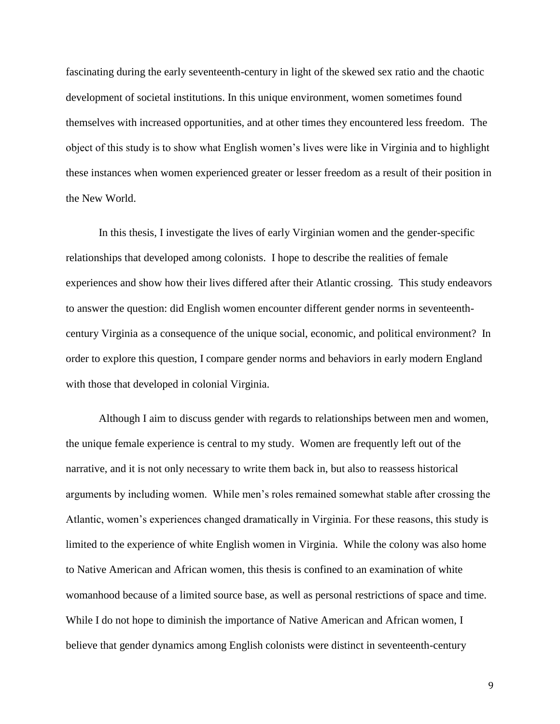fascinating during the early seventeenth-century in light of the skewed sex ratio and the chaotic development of societal institutions. In this unique environment, women sometimes found themselves with increased opportunities, and at other times they encountered less freedom. The object of this study is to show what English women's lives were like in Virginia and to highlight these instances when women experienced greater or lesser freedom as a result of their position in the New World.

In this thesis, I investigate the lives of early Virginian women and the gender-specific relationships that developed among colonists. I hope to describe the realities of female experiences and show how their lives differed after their Atlantic crossing. This study endeavors to answer the question: did English women encounter different gender norms in seventeenthcentury Virginia as a consequence of the unique social, economic, and political environment? In order to explore this question, I compare gender norms and behaviors in early modern England with those that developed in colonial Virginia.

Although I aim to discuss gender with regards to relationships between men and women, the unique female experience is central to my study. Women are frequently left out of the narrative, and it is not only necessary to write them back in, but also to reassess historical arguments by including women. While men's roles remained somewhat stable after crossing the Atlantic, women's experiences changed dramatically in Virginia. For these reasons, this study is limited to the experience of white English women in Virginia. While the colony was also home to Native American and African women, this thesis is confined to an examination of white womanhood because of a limited source base, as well as personal restrictions of space and time. While I do not hope to diminish the importance of Native American and African women, I believe that gender dynamics among English colonists were distinct in seventeenth-century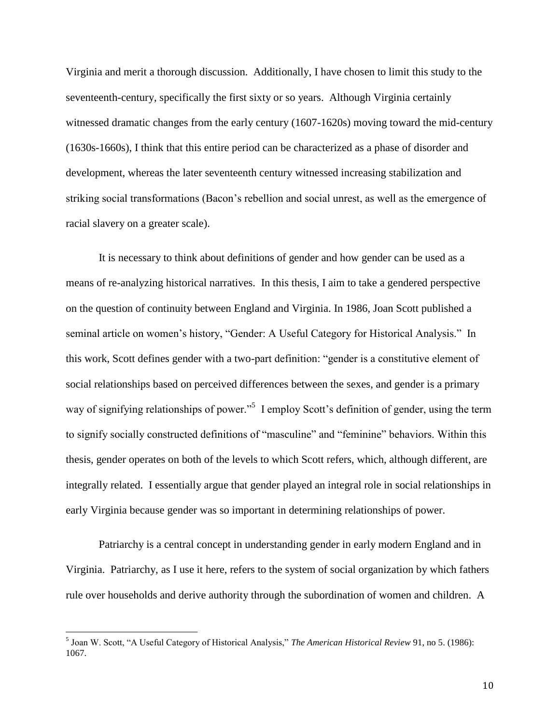Virginia and merit a thorough discussion. Additionally, I have chosen to limit this study to the seventeenth-century, specifically the first sixty or so years. Although Virginia certainly witnessed dramatic changes from the early century (1607-1620s) moving toward the mid-century (1630s-1660s), I think that this entire period can be characterized as a phase of disorder and development, whereas the later seventeenth century witnessed increasing stabilization and striking social transformations (Bacon's rebellion and social unrest, as well as the emergence of racial slavery on a greater scale).

It is necessary to think about definitions of gender and how gender can be used as a means of re-analyzing historical narratives. In this thesis, I aim to take a gendered perspective on the question of continuity between England and Virginia. In 1986, Joan Scott published a seminal article on women's history, "Gender: A Useful Category for Historical Analysis." In this work, Scott defines gender with a two-part definition: "gender is a constitutive element of social relationships based on perceived differences between the sexes, and gender is a primary way of signifying relationships of power."<sup>5</sup> I employ Scott's definition of gender, using the term to signify socially constructed definitions of "masculine" and "feminine" behaviors. Within this thesis, gender operates on both of the levels to which Scott refers, which, although different, are integrally related. I essentially argue that gender played an integral role in social relationships in early Virginia because gender was so important in determining relationships of power.

Patriarchy is a central concept in understanding gender in early modern England and in Virginia. Patriarchy, as I use it here, refers to the system of social organization by which fathers rule over households and derive authority through the subordination of women and children. A

 5 Joan W. Scott, "A Useful Category of Historical Analysis," *The American Historical Review* 91, no 5. (1986): 1067.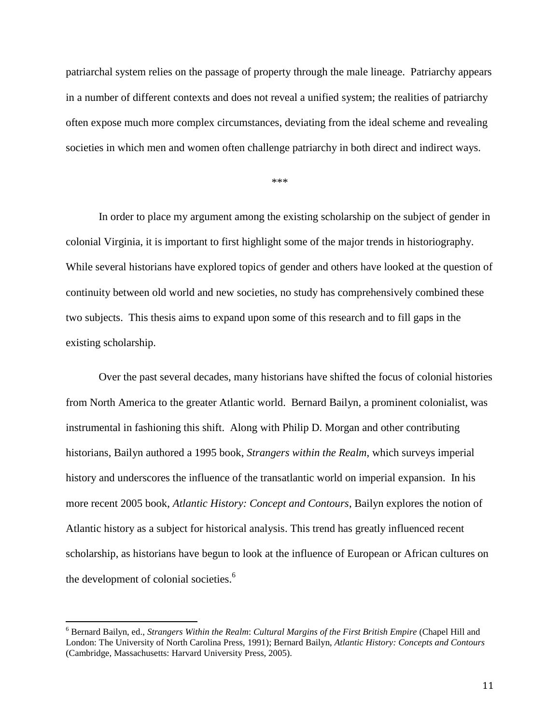patriarchal system relies on the passage of property through the male lineage. Patriarchy appears in a number of different contexts and does not reveal a unified system; the realities of patriarchy often expose much more complex circumstances, deviating from the ideal scheme and revealing societies in which men and women often challenge patriarchy in both direct and indirect ways.

\*\*\*

In order to place my argument among the existing scholarship on the subject of gender in colonial Virginia, it is important to first highlight some of the major trends in historiography. While several historians have explored topics of gender and others have looked at the question of continuity between old world and new societies, no study has comprehensively combined these two subjects. This thesis aims to expand upon some of this research and to fill gaps in the existing scholarship.

Over the past several decades, many historians have shifted the focus of colonial histories from North America to the greater Atlantic world. Bernard Bailyn, a prominent colonialist, was instrumental in fashioning this shift. Along with Philip D. Morgan and other contributing historians, Bailyn authored a 1995 book, *Strangers within the Realm*, which surveys imperial history and underscores the influence of the transatlantic world on imperial expansion. In his more recent 2005 book, *Atlantic History: Concept and Contours*, Bailyn explores the notion of Atlantic history as a subject for historical analysis. This trend has greatly influenced recent scholarship, as historians have begun to look at the influence of European or African cultures on the development of colonial societies.<sup>6</sup>

<sup>6</sup> Bernard Bailyn, ed., *Strangers Within the Realm*: *Cultural Margins of the First British Empire* (Chapel Hill and London: The University of North Carolina Press, 1991); Bernard Bailyn, *Atlantic History: Concepts and Contours* (Cambridge, Massachusetts: Harvard University Press, 2005).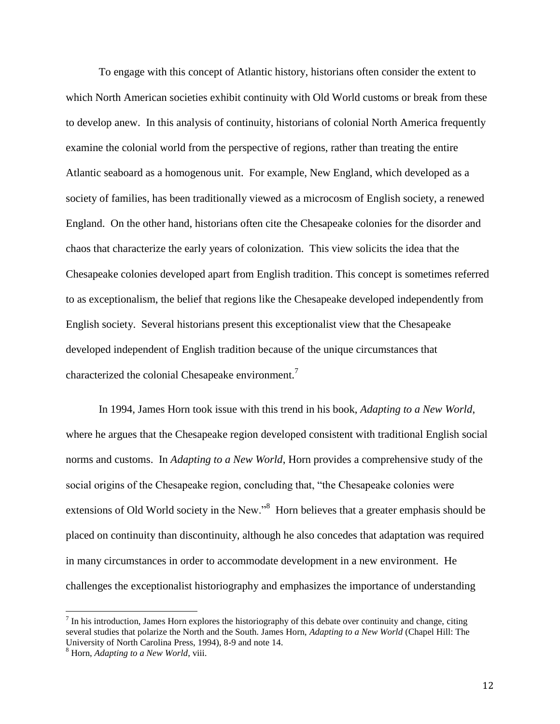To engage with this concept of Atlantic history, historians often consider the extent to which North American societies exhibit continuity with Old World customs or break from these to develop anew. In this analysis of continuity, historians of colonial North America frequently examine the colonial world from the perspective of regions, rather than treating the entire Atlantic seaboard as a homogenous unit. For example, New England, which developed as a society of families, has been traditionally viewed as a microcosm of English society, a renewed England. On the other hand, historians often cite the Chesapeake colonies for the disorder and chaos that characterize the early years of colonization. This view solicits the idea that the Chesapeake colonies developed apart from English tradition. This concept is sometimes referred to as exceptionalism, the belief that regions like the Chesapeake developed independently from English society. Several historians present this exceptionalist view that the Chesapeake developed independent of English tradition because of the unique circumstances that characterized the colonial Chesapeake environment.<sup>7</sup>

In 1994, James Horn took issue with this trend in his book, *Adapting to a New World*, where he argues that the Chesapeake region developed consistent with traditional English social norms and customs. In *Adapting to a New World*, Horn provides a comprehensive study of the social origins of the Chesapeake region, concluding that, "the Chesapeake colonies were extensions of Old World society in the New."<sup>8</sup> Horn believes that a greater emphasis should be placed on continuity than discontinuity, although he also concedes that adaptation was required in many circumstances in order to accommodate development in a new environment. He challenges the exceptionalist historiography and emphasizes the importance of understanding

 $<sup>7</sup>$  In his introduction, James Horn explores the historiography of this debate over continuity and change, citing</sup> several studies that polarize the North and the South. James Horn, *Adapting to a New World* (Chapel Hill: The University of North Carolina Press, 1994), 8-9 and note 14.

<sup>8</sup> Horn, *Adapting to a New World*, viii.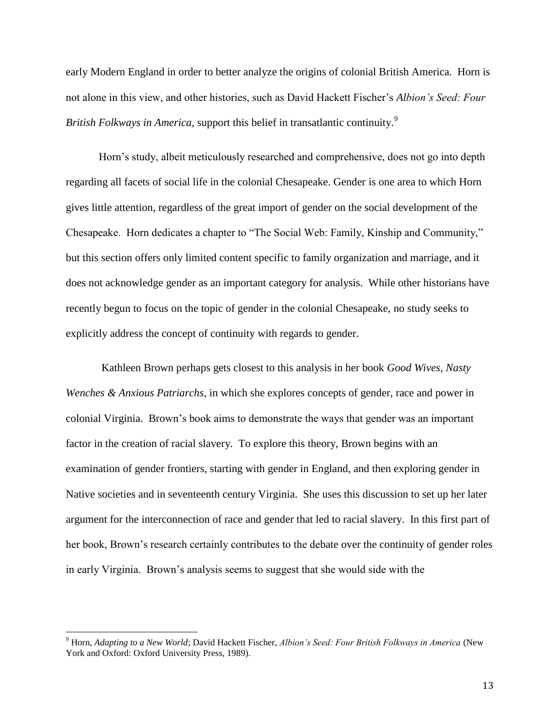early Modern England in order to better analyze the origins of colonial British America. Horn is not alone in this view, and other histories, such as David Hackett Fischer's *Albion's Seed: Four British Folkways in America,* support this belief in transatlantic continuity.<sup>9</sup>

Horn's study, albeit meticulously researched and comprehensive, does not go into depth regarding all facets of social life in the colonial Chesapeake. Gender is one area to which Horn gives little attention, regardless of the great import of gender on the social development of the Chesapeake. Horn dedicates a chapter to "The Social Web: Family, Kinship and Community," but this section offers only limited content specific to family organization and marriage, and it does not acknowledge gender as an important category for analysis. While other historians have recently begun to focus on the topic of gender in the colonial Chesapeake, no study seeks to explicitly address the concept of continuity with regards to gender.

Kathleen Brown perhaps gets closest to this analysis in her book *Good Wives, Nasty Wenches & Anxious Patriarchs*, in which she explores concepts of gender, race and power in colonial Virginia. Brown's book aims to demonstrate the ways that gender was an important factor in the creation of racial slavery. To explore this theory, Brown begins with an examination of gender frontiers, starting with gender in England, and then exploring gender in Native societies and in seventeenth century Virginia. She uses this discussion to set up her later argument for the interconnection of race and gender that led to racial slavery. In this first part of her book, Brown's research certainly contributes to the debate over the continuity of gender roles in early Virginia. Brown's analysis seems to suggest that she would side with the

<sup>9</sup> Horn, *Adapting to a New World*; David Hackett Fischer, *Albion's Seed: Four British Folkways in America* (New York and Oxford: Oxford University Press, 1989).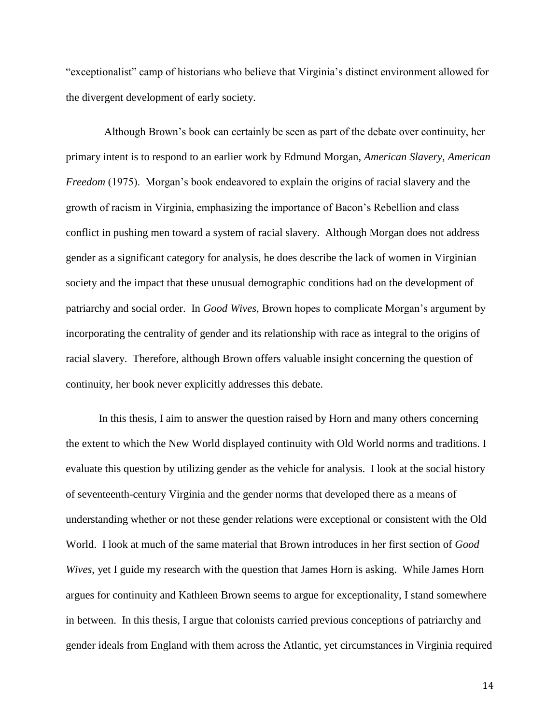"exceptionalist" camp of historians who believe that Virginia's distinct environment allowed for the divergent development of early society.

 Although Brown's book can certainly be seen as part of the debate over continuity, her primary intent is to respond to an earlier work by Edmund Morgan, *American Slavery, American Freedom* (1975). Morgan's book endeavored to explain the origins of racial slavery and the growth of racism in Virginia, emphasizing the importance of Bacon's Rebellion and class conflict in pushing men toward a system of racial slavery. Although Morgan does not address gender as a significant category for analysis, he does describe the lack of women in Virginian society and the impact that these unusual demographic conditions had on the development of patriarchy and social order. In *Good Wives,* Brown hopes to complicate Morgan's argument by incorporating the centrality of gender and its relationship with race as integral to the origins of racial slavery. Therefore, although Brown offers valuable insight concerning the question of continuity, her book never explicitly addresses this debate.

In this thesis, I aim to answer the question raised by Horn and many others concerning the extent to which the New World displayed continuity with Old World norms and traditions. I evaluate this question by utilizing gender as the vehicle for analysis. I look at the social history of seventeenth-century Virginia and the gender norms that developed there as a means of understanding whether or not these gender relations were exceptional or consistent with the Old World. I look at much of the same material that Brown introduces in her first section of *Good Wives*, yet I guide my research with the question that James Horn is asking. While James Horn argues for continuity and Kathleen Brown seems to argue for exceptionality, I stand somewhere in between. In this thesis, I argue that colonists carried previous conceptions of patriarchy and gender ideals from England with them across the Atlantic, yet circumstances in Virginia required

14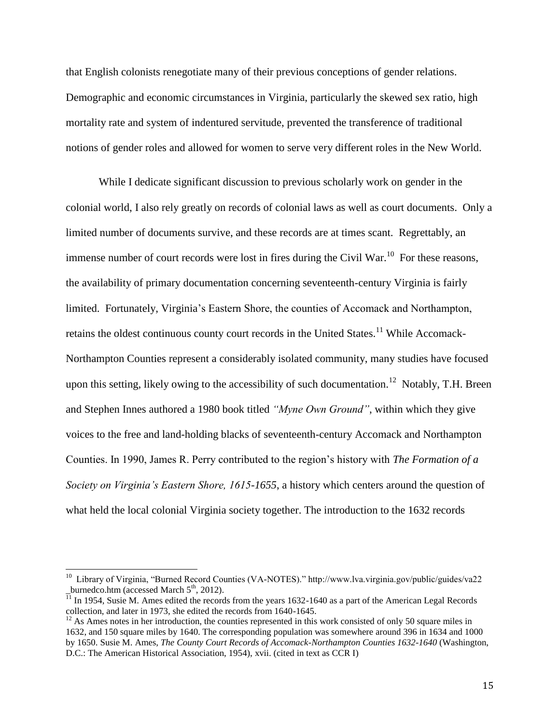that English colonists renegotiate many of their previous conceptions of gender relations. Demographic and economic circumstances in Virginia, particularly the skewed sex ratio, high mortality rate and system of indentured servitude, prevented the transference of traditional notions of gender roles and allowed for women to serve very different roles in the New World.

While I dedicate significant discussion to previous scholarly work on gender in the colonial world, I also rely greatly on records of colonial laws as well as court documents. Only a limited number of documents survive, and these records are at times scant. Regrettably, an immense number of court records were lost in fires during the Civil War.<sup>10</sup> For these reasons, the availability of primary documentation concerning seventeenth-century Virginia is fairly limited. Fortunately, Virginia's Eastern Shore, the counties of Accomack and Northampton, retains the oldest continuous county court records in the United States.<sup>11</sup> While Accomack-Northampton Counties represent a considerably isolated community, many studies have focused upon this setting, likely owing to the accessibility of such documentation.<sup>12</sup> Notably, T.H. Breen and Stephen Innes authored a 1980 book titled *"Myne Own Ground"*, within which they give voices to the free and land-holding blacks of seventeenth-century Accomack and Northampton Counties. In 1990, James R. Perry contributed to the region's history with *The Formation of a Society on Virginia's Eastern Shore, 1615-1655*, a history which centers around the question of what held the local colonial Virginia society together. The introduction to the 1632 records

 10 Library of Virginia, "Burned Record Counties (VA-NOTES)." http://www.lva.virginia.gov/public/guides/va22 burnedco.htm (accessed March  $5<sup>th</sup>$ , 2012).

 $\frac{1}{11}$  In 1954, Susie M. Ames edited the records from the years 1632-1640 as a part of the American Legal Records collection, and later in 1973, she edited the records from 1640-1645.

 $12$  As Ames notes in her introduction, the counties represented in this work consisted of only 50 square miles in 1632, and 150 square miles by 1640. The corresponding population was somewhere around 396 in 1634 and 1000 by 1650. Susie M. Ames*, The County Court Records of Accomack-Northampton Counties 1632-1640* (Washington, D.C.: The American Historical Association, 1954), xvii. (cited in text as CCR I)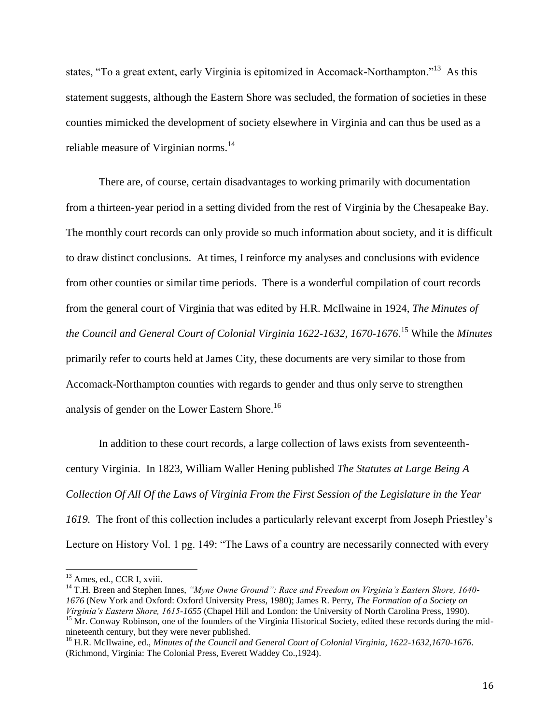states, "To a great extent, early Virginia is epitomized in Accomack-Northampton."<sup>13</sup> As this statement suggests, although the Eastern Shore was secluded, the formation of societies in these counties mimicked the development of society elsewhere in Virginia and can thus be used as a reliable measure of Virginian norms.<sup>14</sup>

There are, of course, certain disadvantages to working primarily with documentation from a thirteen-year period in a setting divided from the rest of Virginia by the Chesapeake Bay. The monthly court records can only provide so much information about society, and it is difficult to draw distinct conclusions. At times, I reinforce my analyses and conclusions with evidence from other counties or similar time periods. There is a wonderful compilation of court records from the general court of Virginia that was edited by H.R. McIlwaine in 1924, *The Minutes of the Council and General Court of Colonial Virginia 1622-1632, 1670-1676*. <sup>15</sup> While the *Minutes* primarily refer to courts held at James City, these documents are very similar to those from Accomack-Northampton counties with regards to gender and thus only serve to strengthen analysis of gender on the Lower Eastern Shore.<sup>16</sup>

In addition to these court records, a large collection of laws exists from seventeenthcentury Virginia. In 1823, William Waller Hening published *The Statutes at Large Being A Collection Of All Of the Laws of Virginia From the First Session of the Legislature in the Year 1619.* The front of this collection includes a particularly relevant excerpt from Joseph Priestley's Lecture on History Vol. 1 pg. 149: "The Laws of a country are necessarily connected with every

 $\overline{a}$ 

<sup>&</sup>lt;sup>13</sup> Ames, ed., CCR I, xviii.

<sup>14</sup> T.H. Breen and Stephen Innes, *"Myne Owne Ground": Race and Freedom on Virginia's Eastern Shore, 1640- 1676* (New York and Oxford: Oxford University Press, 1980); James R. Perry, *The Formation of a Society on Virginia's Eastern Shore, 1615-1655* (Chapel Hill and London: the University of North Carolina Press, 1990).  $15$  Mr. Conway Robinson, one of the founders of the Virginia Historical Society, edited these records during the midnineteenth century, but they were never published.

<sup>16</sup> H.R. McIlwaine, ed., *Minutes of the Council and General Court of Colonial Virginia, 1622-1632,1670-1676*. (Richmond, Virginia: The Colonial Press, Everett Waddey Co.,1924).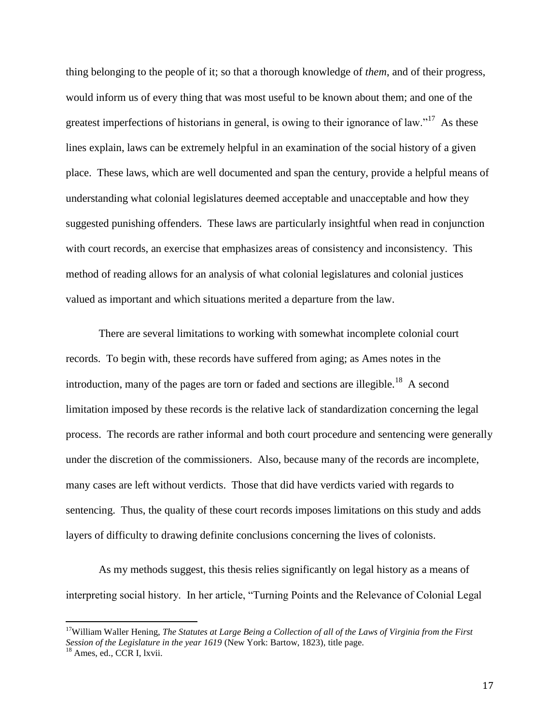thing belonging to the people of it; so that a thorough knowledge of *them*, and of their progress, would inform us of every thing that was most useful to be known about them; and one of the greatest imperfections of historians in general, is owing to their ignorance of law."<sup>17</sup> As these lines explain, laws can be extremely helpful in an examination of the social history of a given place. These laws, which are well documented and span the century, provide a helpful means of understanding what colonial legislatures deemed acceptable and unacceptable and how they suggested punishing offenders. These laws are particularly insightful when read in conjunction with court records, an exercise that emphasizes areas of consistency and inconsistency. This method of reading allows for an analysis of what colonial legislatures and colonial justices valued as important and which situations merited a departure from the law.

There are several limitations to working with somewhat incomplete colonial court records. To begin with, these records have suffered from aging; as Ames notes in the introduction, many of the pages are torn or faded and sections are illegible.<sup>18</sup> A second limitation imposed by these records is the relative lack of standardization concerning the legal process. The records are rather informal and both court procedure and sentencing were generally under the discretion of the commissioners. Also, because many of the records are incomplete, many cases are left without verdicts. Those that did have verdicts varied with regards to sentencing. Thus, the quality of these court records imposes limitations on this study and adds layers of difficulty to drawing definite conclusions concerning the lives of colonists.

As my methods suggest, this thesis relies significantly on legal history as a means of interpreting social history. In her article, "Turning Points and the Relevance of Colonial Legal

<sup>17</sup>William Waller Hening, *The Statutes at Large Being a Collection of all of the Laws of Virginia from the First Session of the Legislature in the year 1619* (New York: Bartow, 1823), title page.

 $18$  Ames, ed., CCR I, lxvii.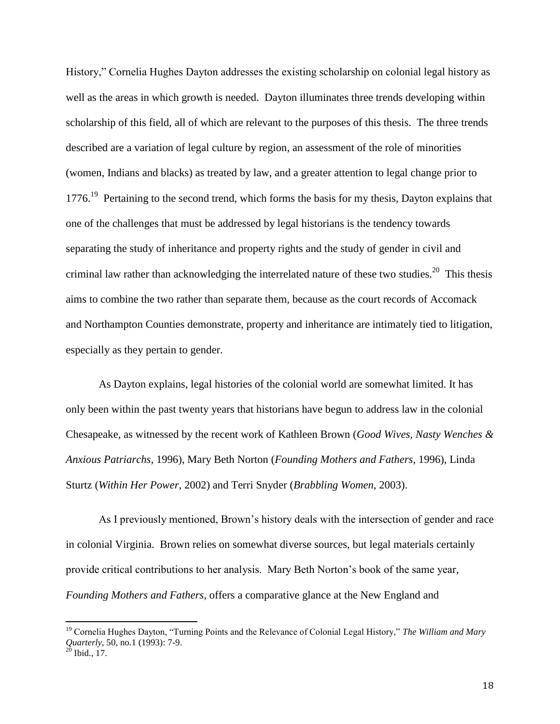History," Cornelia Hughes Dayton addresses the existing scholarship on colonial legal history as well as the areas in which growth is needed. Dayton illuminates three trends developing within scholarship of this field, all of which are relevant to the purposes of this thesis. The three trends described are a variation of legal culture by region, an assessment of the role of minorities (women, Indians and blacks) as treated by law, and a greater attention to legal change prior to 1776.<sup>19</sup> Pertaining to the second trend, which forms the basis for my thesis, Dayton explains that one of the challenges that must be addressed by legal historians is the tendency towards separating the study of inheritance and property rights and the study of gender in civil and criminal law rather than acknowledging the interrelated nature of these two studies.<sup>20</sup> This thesis aims to combine the two rather than separate them, because as the court records of Accomack and Northampton Counties demonstrate, property and inheritance are intimately tied to litigation, especially as they pertain to gender.

As Dayton explains, legal histories of the colonial world are somewhat limited. It has only been within the past twenty years that historians have begun to address law in the colonial Chesapeake, as witnessed by the recent work of Kathleen Brown (*Good Wives, Nasty Wenches & Anxious Patriarchs*, 1996), Mary Beth Norton (*Founding Mothers and Fathers*, 1996), Linda Sturtz (*Within Her Power*, 2002) and Terri Snyder (*Brabbling Women*, 2003).

As I previously mentioned, Brown's history deals with the intersection of gender and race in colonial Virginia. Brown relies on somewhat diverse sources, but legal materials certainly provide critical contributions to her analysis. Mary Beth Norton's book of the same year*, Founding Mothers and Fathers*, offers a comparative glance at the New England and

<sup>19</sup> Cornelia Hughes Dayton, "Turning Points and the Relevance of Colonial Legal History," *The William and Mary Quarterly,* 50, no.1 (1993): 7-9.

 $^{20}$  Ibid., 17.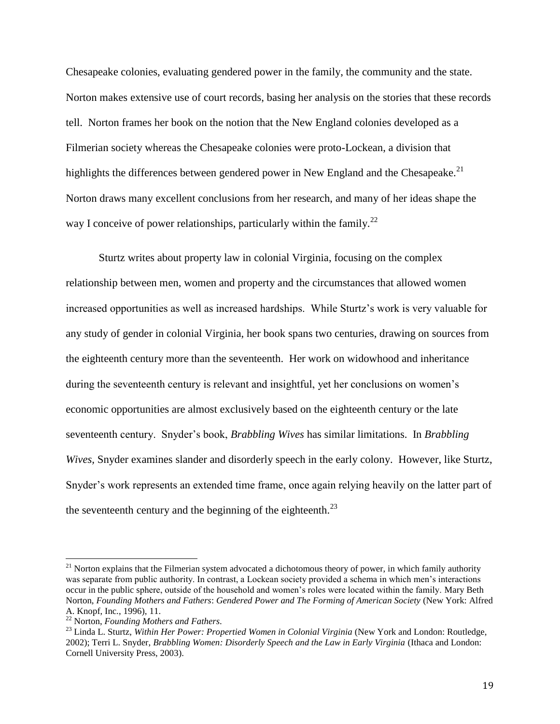Chesapeake colonies, evaluating gendered power in the family, the community and the state. Norton makes extensive use of court records, basing her analysis on the stories that these records tell. Norton frames her book on the notion that the New England colonies developed as a Filmerian society whereas the Chesapeake colonies were proto-Lockean, a division that highlights the differences between gendered power in New England and the Chesapeake.<sup>21</sup> Norton draws many excellent conclusions from her research, and many of her ideas shape the way I conceive of power relationships, particularly within the family.<sup>22</sup>

Sturtz writes about property law in colonial Virginia, focusing on the complex relationship between men, women and property and the circumstances that allowed women increased opportunities as well as increased hardships. While Sturtz's work is very valuable for any study of gender in colonial Virginia, her book spans two centuries, drawing on sources from the eighteenth century more than the seventeenth. Her work on widowhood and inheritance during the seventeenth century is relevant and insightful, yet her conclusions on women's economic opportunities are almost exclusively based on the eighteenth century or the late seventeenth century. Snyder's book, *Brabbling Wives* has similar limitations. In *Brabbling Wives,* Snyder examines slander and disorderly speech in the early colony. However, like Sturtz, Snyder's work represents an extended time frame, once again relying heavily on the latter part of the seventeenth century and the beginning of the eighteenth.<sup>23</sup>

 $21$  Norton explains that the Filmerian system advocated a dichotomous theory of power, in which family authority was separate from public authority. In contrast, a Lockean society provided a schema in which men's interactions occur in the public sphere, outside of the household and women's roles were located within the family. Mary Beth Norton, *Founding Mothers and Fathers*: *Gendered Power and The Forming of American Society* (New York: Alfred A. Knopf, Inc., 1996), 11.

<sup>22</sup> Norton, *Founding Mothers and Fathers*.

<sup>23</sup> Linda L. Sturtz, *Within Her Power: Propertied Women in Colonial Virginia* (New York and London: Routledge, 2002); Terri L. Snyder, *Brabbling Women: Disorderly Speech and the Law in Early Virginia* (Ithaca and London: Cornell University Press, 2003).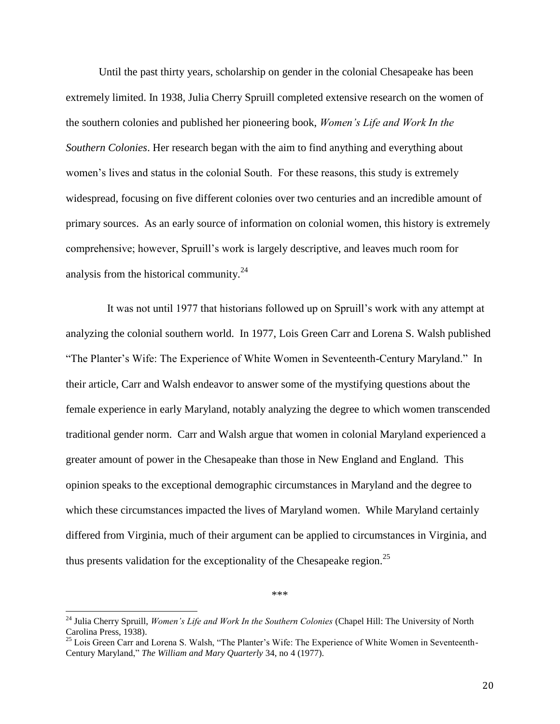Until the past thirty years, scholarship on gender in the colonial Chesapeake has been extremely limited. In 1938, Julia Cherry Spruill completed extensive research on the women of the southern colonies and published her pioneering book, *Women's Life and Work In the Southern Colonies*. Her research began with the aim to find anything and everything about women's lives and status in the colonial South. For these reasons, this study is extremely widespread, focusing on five different colonies over two centuries and an incredible amount of primary sources. As an early source of information on colonial women, this history is extremely comprehensive; however, Spruill's work is largely descriptive, and leaves much room for analysis from the historical community.<sup>24</sup>

 It was not until 1977 that historians followed up on Spruill's work with any attempt at analyzing the colonial southern world. In 1977, Lois Green Carr and Lorena S. Walsh published "The Planter's Wife: The Experience of White Women in Seventeenth-Century Maryland." In their article, Carr and Walsh endeavor to answer some of the mystifying questions about the female experience in early Maryland, notably analyzing the degree to which women transcended traditional gender norm. Carr and Walsh argue that women in colonial Maryland experienced a greater amount of power in the Chesapeake than those in New England and England. This opinion speaks to the exceptional demographic circumstances in Maryland and the degree to which these circumstances impacted the lives of Maryland women. While Maryland certainly differed from Virginia, much of their argument can be applied to circumstances in Virginia, and thus presents validation for the exceptionality of the Chesapeake region.<sup>25</sup>

\*\*\*

<sup>24</sup> Julia Cherry Spruill, *Women's Life and Work In the Southern Colonies* (Chapel Hill: The University of North Carolina Press, 1938).

<sup>&</sup>lt;sup>25</sup> Lois Green Carr and Lorena S. Walsh, "The Planter's Wife: The Experience of White Women in Seventeenth-Century Maryland," *The William and Mary Quarterly* 34, no 4 (1977).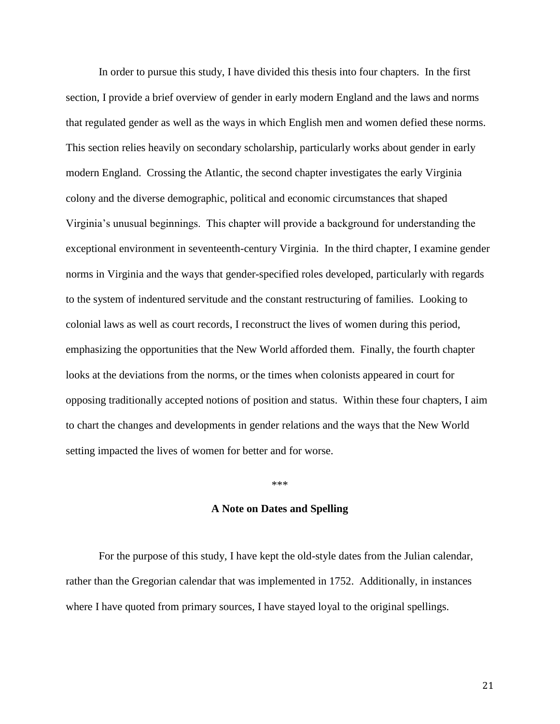In order to pursue this study, I have divided this thesis into four chapters. In the first section, I provide a brief overview of gender in early modern England and the laws and norms that regulated gender as well as the ways in which English men and women defied these norms. This section relies heavily on secondary scholarship, particularly works about gender in early modern England. Crossing the Atlantic, the second chapter investigates the early Virginia colony and the diverse demographic, political and economic circumstances that shaped Virginia's unusual beginnings. This chapter will provide a background for understanding the exceptional environment in seventeenth-century Virginia. In the third chapter, I examine gender norms in Virginia and the ways that gender-specified roles developed, particularly with regards to the system of indentured servitude and the constant restructuring of families. Looking to colonial laws as well as court records, I reconstruct the lives of women during this period, emphasizing the opportunities that the New World afforded them. Finally, the fourth chapter looks at the deviations from the norms, or the times when colonists appeared in court for opposing traditionally accepted notions of position and status. Within these four chapters, I aim to chart the changes and developments in gender relations and the ways that the New World setting impacted the lives of women for better and for worse.

#### \*\*\*

# **A Note on Dates and Spelling**

For the purpose of this study, I have kept the old-style dates from the Julian calendar, rather than the Gregorian calendar that was implemented in 1752. Additionally, in instances where I have quoted from primary sources, I have stayed loyal to the original spellings.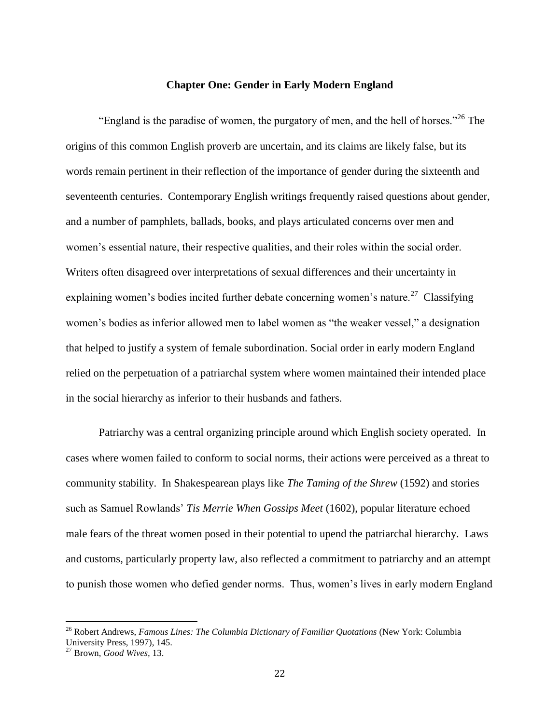# **Chapter One: Gender in Early Modern England**

<span id="page-22-0"></span>"England is the paradise of women, the purgatory of men, and the hell of horses." <sup>26</sup> The origins of this common English proverb are uncertain, and its claims are likely false, but its words remain pertinent in their reflection of the importance of gender during the sixteenth and seventeenth centuries. Contemporary English writings frequently raised questions about gender, and a number of pamphlets, ballads, books, and plays articulated concerns over men and women's essential nature, their respective qualities, and their roles within the social order. Writers often disagreed over interpretations of sexual differences and their uncertainty in explaining women's bodies incited further debate concerning women's nature.<sup>27</sup> Classifying women's bodies as inferior allowed men to label women as "the weaker vessel," a designation that helped to justify a system of female subordination. Social order in early modern England relied on the perpetuation of a patriarchal system where women maintained their intended place in the social hierarchy as inferior to their husbands and fathers.

Patriarchy was a central organizing principle around which English society operated. In cases where women failed to conform to social norms, their actions were perceived as a threat to community stability. In Shakespearean plays like *The Taming of the Shrew* (1592) and stories such as Samuel Rowlands' *Tis Merrie When Gossips Meet* (1602), popular literature echoed male fears of the threat women posed in their potential to upend the patriarchal hierarchy. Laws and customs, particularly property law, also reflected a commitment to patriarchy and an attempt to punish those women who defied gender norms. Thus, women's lives in early modern England

<sup>26</sup> Robert Andrews, *Famous Lines: The Columbia Dictionary of Familiar Quotations* (New York: Columbia University Press, 1997), 145.

<sup>27</sup> Brown, *Good Wives,* 13.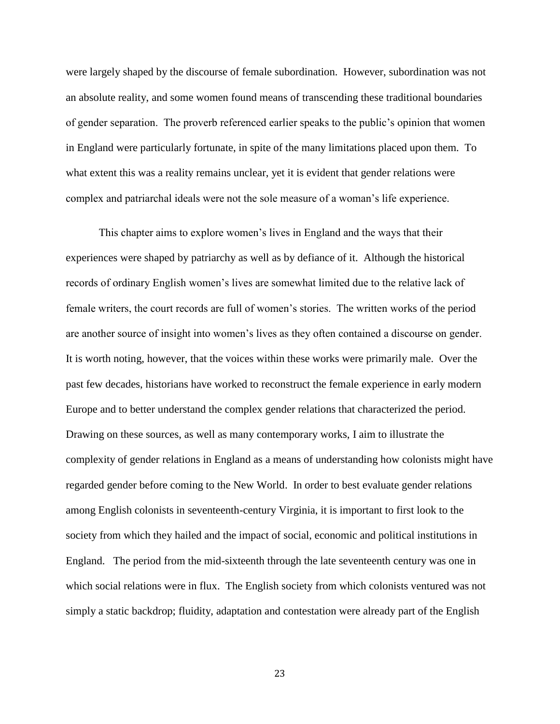were largely shaped by the discourse of female subordination. However, subordination was not an absolute reality, and some women found means of transcending these traditional boundaries of gender separation. The proverb referenced earlier speaks to the public's opinion that women in England were particularly fortunate, in spite of the many limitations placed upon them. To what extent this was a reality remains unclear, yet it is evident that gender relations were complex and patriarchal ideals were not the sole measure of a woman's life experience.

This chapter aims to explore women's lives in England and the ways that their experiences were shaped by patriarchy as well as by defiance of it. Although the historical records of ordinary English women's lives are somewhat limited due to the relative lack of female writers, the court records are full of women's stories. The written works of the period are another source of insight into women's lives as they often contained a discourse on gender. It is worth noting, however, that the voices within these works were primarily male. Over the past few decades, historians have worked to reconstruct the female experience in early modern Europe and to better understand the complex gender relations that characterized the period. Drawing on these sources, as well as many contemporary works, I aim to illustrate the complexity of gender relations in England as a means of understanding how colonists might have regarded gender before coming to the New World. In order to best evaluate gender relations among English colonists in seventeenth-century Virginia, it is important to first look to the society from which they hailed and the impact of social, economic and political institutions in England. The period from the mid-sixteenth through the late seventeenth century was one in which social relations were in flux. The English society from which colonists ventured was not simply a static backdrop; fluidity, adaptation and contestation were already part of the English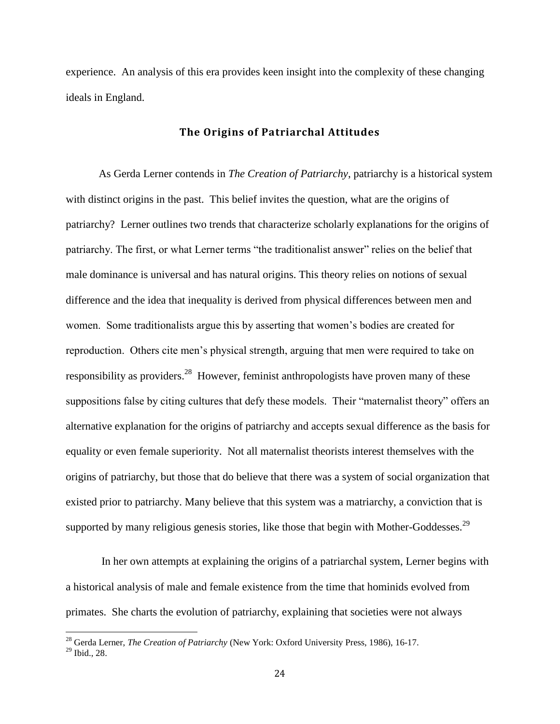experience. An analysis of this era provides keen insight into the complexity of these changing ideals in England.

## **The Origins of Patriarchal Attitudes**

<span id="page-24-0"></span>As Gerda Lerner contends in *The Creation of Patriarchy*, patriarchy is a historical system with distinct origins in the past. This belief invites the question, what are the origins of patriarchy? Lerner outlines two trends that characterize scholarly explanations for the origins of patriarchy. The first, or what Lerner terms "the traditionalist answer" relies on the belief that male dominance is universal and has natural origins. This theory relies on notions of sexual difference and the idea that inequality is derived from physical differences between men and women. Some traditionalists argue this by asserting that women's bodies are created for reproduction. Others cite men's physical strength, arguing that men were required to take on responsibility as providers.<sup>28</sup> However, feminist anthropologists have proven many of these suppositions false by citing cultures that defy these models. Their "maternalist theory" offers an alternative explanation for the origins of patriarchy and accepts sexual difference as the basis for equality or even female superiority. Not all maternalist theorists interest themselves with the origins of patriarchy, but those that do believe that there was a system of social organization that existed prior to patriarchy. Many believe that this system was a matriarchy, a conviction that is supported by many religious genesis stories, like those that begin with Mother-Goddesses.<sup>29</sup>

In her own attempts at explaining the origins of a patriarchal system, Lerner begins with a historical analysis of male and female existence from the time that hominids evolved from primates. She charts the evolution of patriarchy, explaining that societies were not always

<sup>28</sup> Gerda Lerner, *The Creation of Patriarchy* (New York: Oxford University Press, 1986), 16-17.

<sup>29</sup> Ibid., 28.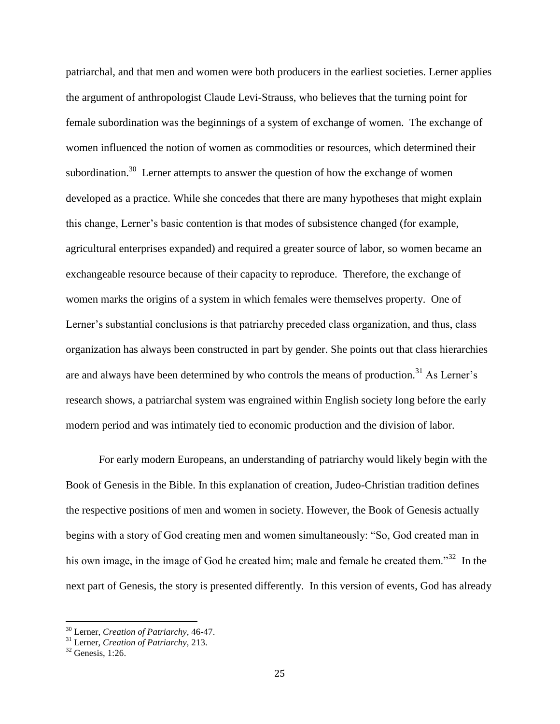patriarchal, and that men and women were both producers in the earliest societies. Lerner applies the argument of anthropologist Claude Levi-Strauss, who believes that the turning point for female subordination was the beginnings of a system of exchange of women. The exchange of women influenced the notion of women as commodities or resources, which determined their subordination.<sup>30</sup> Lerner attempts to answer the question of how the exchange of women developed as a practice. While she concedes that there are many hypotheses that might explain this change, Lerner's basic contention is that modes of subsistence changed (for example, agricultural enterprises expanded) and required a greater source of labor, so women became an exchangeable resource because of their capacity to reproduce. Therefore, the exchange of women marks the origins of a system in which females were themselves property. One of Lerner's substantial conclusions is that patriarchy preceded class organization, and thus, class organization has always been constructed in part by gender. She points out that class hierarchies are and always have been determined by who controls the means of production.<sup>31</sup> As Lerner's research shows, a patriarchal system was engrained within English society long before the early modern period and was intimately tied to economic production and the division of labor.

For early modern Europeans, an understanding of patriarchy would likely begin with the Book of Genesis in the Bible. In this explanation of creation, Judeo-Christian tradition defines the respective positions of men and women in society. However, the Book of Genesis actually begins with a story of God creating men and women simultaneously: "So, God created man in his own image, in the image of God he created him; male and female he created them."<sup>32</sup> In the next part of Genesis, the story is presented differently. In this version of events, God has already

<sup>30</sup> Lerner, *Creation of Patriarchy*, 46-47.

<sup>31</sup> Lerner, *Creation of Patriarchy*, 213.

 $32$  Genesis, 1:26.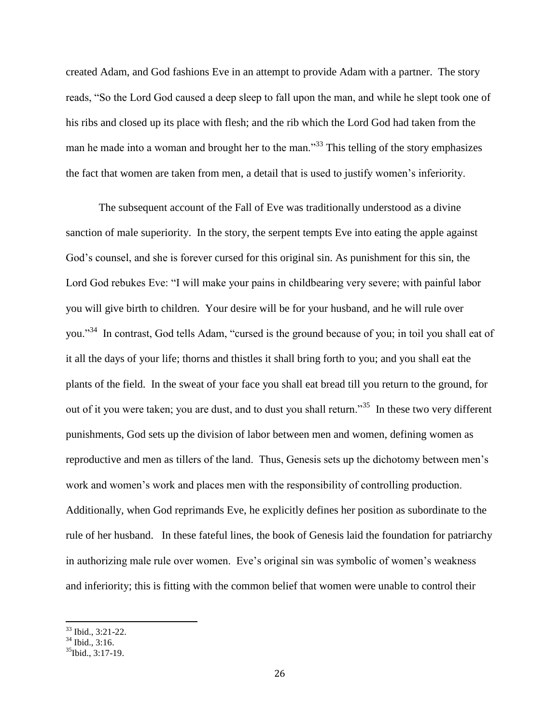created Adam, and God fashions Eve in an attempt to provide Adam with a partner. The story reads, "So the Lord God caused a deep sleep to fall upon the man, and while he slept took one of his ribs and closed up its place with flesh; and the rib which the Lord God had taken from the man he made into a woman and brought her to the man."<sup>33</sup> This telling of the story emphasizes the fact that women are taken from men, a detail that is used to justify women's inferiority.

The subsequent account of the Fall of Eve was traditionally understood as a divine sanction of male superiority. In the story, the serpent tempts Eve into eating the apple against God's counsel, and she is forever cursed for this original sin. As punishment for this sin, the Lord God rebukes Eve: "I will make your pains in childbearing very severe; with painful labor you will give birth to children. Your desire will be for your husband, and he will rule over you."<sup>34</sup> In contrast, God tells Adam, "cursed is the ground because of you; in toil you shall eat of it all the days of your life; thorns and thistles it shall bring forth to you; and you shall eat the plants of the field. In the sweat of your face you shall eat bread till you return to the ground, for out of it you were taken; you are dust, and to dust you shall return."<sup>35</sup> In these two very different punishments, God sets up the division of labor between men and women, defining women as reproductive and men as tillers of the land. Thus, Genesis sets up the dichotomy between men's work and women's work and places men with the responsibility of controlling production. Additionally, when God reprimands Eve, he explicitly defines her position as subordinate to the rule of her husband. In these fateful lines, the book of Genesis laid the foundation for patriarchy in authorizing male rule over women. Eve's original sin was symbolic of women's weakness and inferiority; this is fitting with the common belief that women were unable to control their

<sup>33</sup> Ibid., 3:21-22.

 $34$  Ibid., 3:16.

 $^{35}$ Ibid., 3:17-19.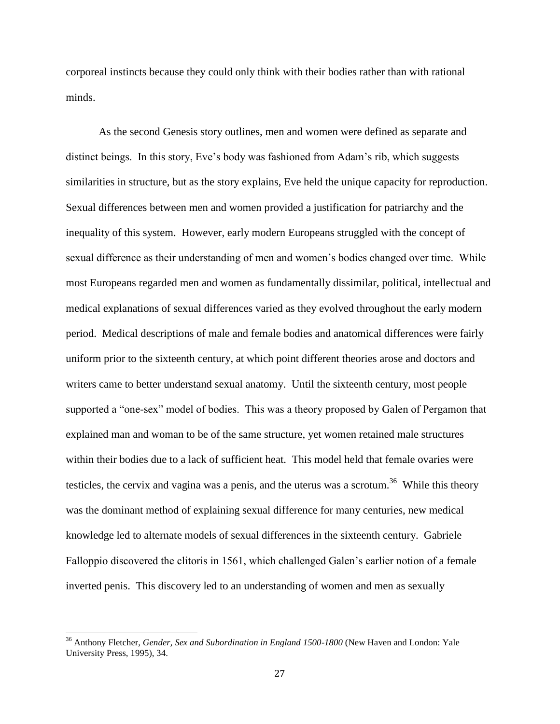corporeal instincts because they could only think with their bodies rather than with rational minds.

As the second Genesis story outlines, men and women were defined as separate and distinct beings. In this story, Eve's body was fashioned from Adam's rib, which suggests similarities in structure, but as the story explains, Eve held the unique capacity for reproduction. Sexual differences between men and women provided a justification for patriarchy and the inequality of this system. However, early modern Europeans struggled with the concept of sexual difference as their understanding of men and women's bodies changed over time. While most Europeans regarded men and women as fundamentally dissimilar, political, intellectual and medical explanations of sexual differences varied as they evolved throughout the early modern period. Medical descriptions of male and female bodies and anatomical differences were fairly uniform prior to the sixteenth century, at which point different theories arose and doctors and writers came to better understand sexual anatomy. Until the sixteenth century, most people supported a "one-sex" model of bodies. This was a theory proposed by Galen of Pergamon that explained man and woman to be of the same structure, yet women retained male structures within their bodies due to a lack of sufficient heat. This model held that female ovaries were testicles, the cervix and vagina was a penis, and the uterus was a scrotum.<sup>36</sup> While this theory was the dominant method of explaining sexual difference for many centuries, new medical knowledge led to alternate models of sexual differences in the sixteenth century. Gabriele Falloppio discovered the clitoris in 1561, which challenged Galen's earlier notion of a female inverted penis. This discovery led to an understanding of women and men as sexually

<sup>36</sup> Anthony Fletcher, *Gender, Sex and Subordination in England 1500-1800* (New Haven and London: Yale University Press, 1995), 34.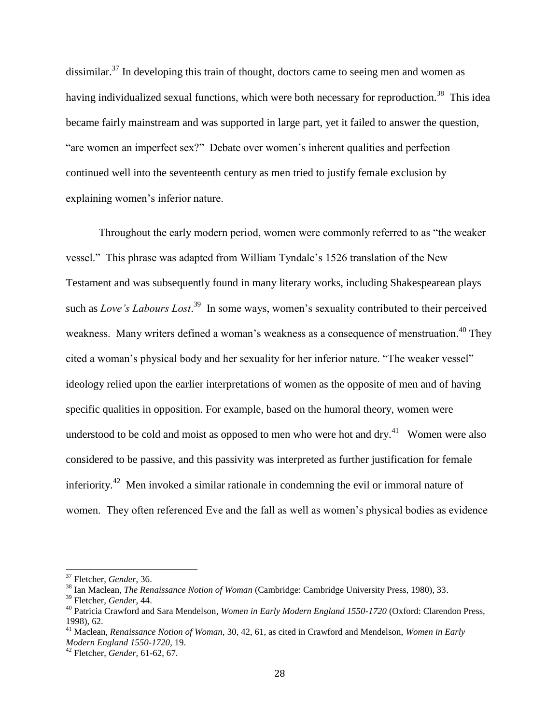dissimilar.<sup>37</sup> In developing this train of thought, doctors came to seeing men and women as having individualized sexual functions, which were both necessary for reproduction.<sup>38</sup> This idea became fairly mainstream and was supported in large part, yet it failed to answer the question, "are women an imperfect sex?" Debate over women's inherent qualities and perfection continued well into the seventeenth century as men tried to justify female exclusion by explaining women's inferior nature.

Throughout the early modern period, women were commonly referred to as "the weaker vessel." This phrase was adapted from William Tyndale's 1526 translation of the New Testament and was subsequently found in many literary works, including Shakespearean plays such as *Love's Labours Lost*.<sup>39</sup> In some ways, women's sexuality contributed to their perceived weakness. Many writers defined a woman's weakness as a consequence of menstruation.<sup>40</sup> They cited a woman's physical body and her sexuality for her inferior nature. "The weaker vessel" ideology relied upon the earlier interpretations of women as the opposite of men and of having specific qualities in opposition. For example, based on the humoral theory, women were understood to be cold and moist as opposed to men who were hot and dry. $^{41}$  Women were also considered to be passive, and this passivity was interpreted as further justification for female inferiority.<sup>42</sup> Men invoked a similar rationale in condemning the evil or immoral nature of women. They often referenced Eve and the fall as well as women's physical bodies as evidence

 $\overline{a}$ 

<sup>37</sup> Fletcher, *Gender*, 36.

<sup>38</sup> Ian Maclean, *The Renaissance Notion of Woman* (Cambridge: Cambridge University Press, 1980), 33.

<sup>39</sup> Fletcher*, Gender,* 44.

<sup>40</sup> Patricia Crawford and Sara Mendelson*, Women in Early Modern England 1550-1720* (Oxford: Clarendon Press, 1998), 62.

<sup>41</sup> Maclean, *Renaissance Notion of Woman,* 30, 42, 61, as cited in Crawford and Mendelson, *Women in Early Modern England 1550-1720*, 19.

<sup>42</sup> Fletcher, *Gender,* 61-62, 67.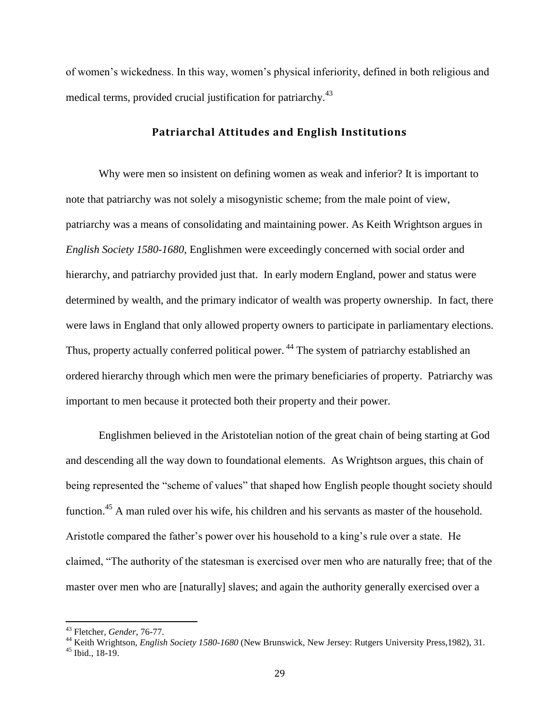of women's wickedness. In this way, women's physical inferiority, defined in both religious and medical terms, provided crucial justification for patriarchy.<sup>43</sup>

## **Patriarchal Attitudes and English Institutions**

<span id="page-29-0"></span>Why were men so insistent on defining women as weak and inferior? It is important to note that patriarchy was not solely a misogynistic scheme; from the male point of view, patriarchy was a means of consolidating and maintaining power. As Keith Wrightson argues in *English Society 1580-1680*, Englishmen were exceedingly concerned with social order and hierarchy, and patriarchy provided just that. In early modern England, power and status were determined by wealth, and the primary indicator of wealth was property ownership. In fact, there were laws in England that only allowed property owners to participate in parliamentary elections. Thus, property actually conferred political power.<sup>44</sup> The system of patriarchy established an ordered hierarchy through which men were the primary beneficiaries of property. Patriarchy was important to men because it protected both their property and their power.

Englishmen believed in the Aristotelian notion of the great chain of being starting at God and descending all the way down to foundational elements. As Wrightson argues, this chain of being represented the "scheme of values" that shaped how English people thought society should function.<sup>45</sup> A man ruled over his wife, his children and his servants as master of the household. Aristotle compared the father's power over his household to a king's rule over a state. He claimed, "The authority of the statesman is exercised over men who are naturally free; that of the master over men who are [naturally] slaves; and again the authority generally exercised over a

<sup>43</sup> Fletcher, *Gender*, 76-77.

<sup>44</sup> Keith Wrightson, *English Society 1580-1680* (New Brunswick, New Jersey: Rutgers University Press,1982), 31.

<sup>45</sup> Ibid., 18-19.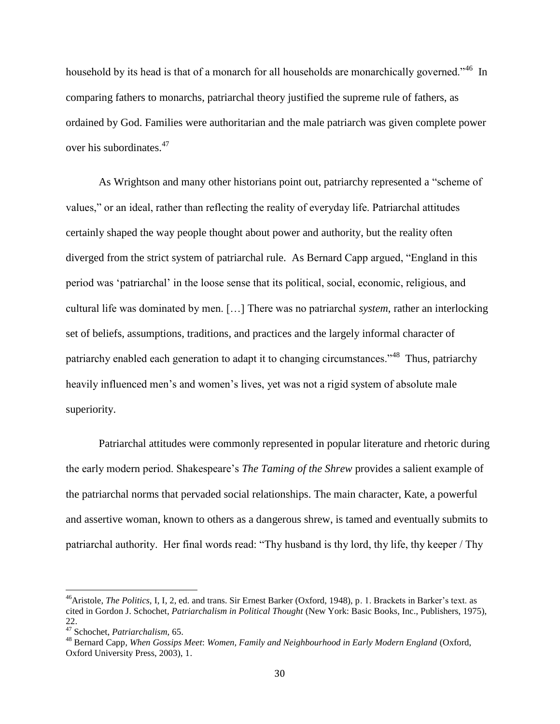household by its head is that of a monarch for all households are monarchically governed."<sup>46</sup> In comparing fathers to monarchs, patriarchal theory justified the supreme rule of fathers, as ordained by God. Families were authoritarian and the male patriarch was given complete power over his subordinates.<sup>47</sup>

As Wrightson and many other historians point out, patriarchy represented a "scheme of values," or an ideal, rather than reflecting the reality of everyday life. Patriarchal attitudes certainly shaped the way people thought about power and authority, but the reality often diverged from the strict system of patriarchal rule. As Bernard Capp argued, "England in this period was 'patriarchal' in the loose sense that its political, social, economic, religious, and cultural life was dominated by men. […] There was no patriarchal *system*, rather an interlocking set of beliefs, assumptions, traditions, and practices and the largely informal character of patriarchy enabled each generation to adapt it to changing circumstances."<sup>48</sup> Thus, patriarchy heavily influenced men's and women's lives, yet was not a rigid system of absolute male superiority.

Patriarchal attitudes were commonly represented in popular literature and rhetoric during the early modern period. Shakespeare's *The Taming of the Shrew* provides a salient example of the patriarchal norms that pervaded social relationships. The main character, Kate, a powerful and assertive woman, known to others as a dangerous shrew, is tamed and eventually submits to patriarchal authority. Her final words read: "Thy husband is thy lord, thy life, thy keeper / Thy

l

<sup>46</sup>Aristole, *The Politics,* I, I, 2, ed. and trans. Sir Ernest Barker (Oxford, 1948), p. 1. Brackets in Barker's text. as cited in Gordon J. Schochet*, Patriarchalism in Political Thought* (New York: Basic Books, Inc., Publishers, 1975), 22.

<sup>47</sup> Schochet, *Patriarchalism,* 65.

<sup>48</sup> Bernard Capp*, When Gossips Meet*: *Women, Family and Neighbourhood in Early Modern England* (Oxford, Oxford University Press, 2003), 1.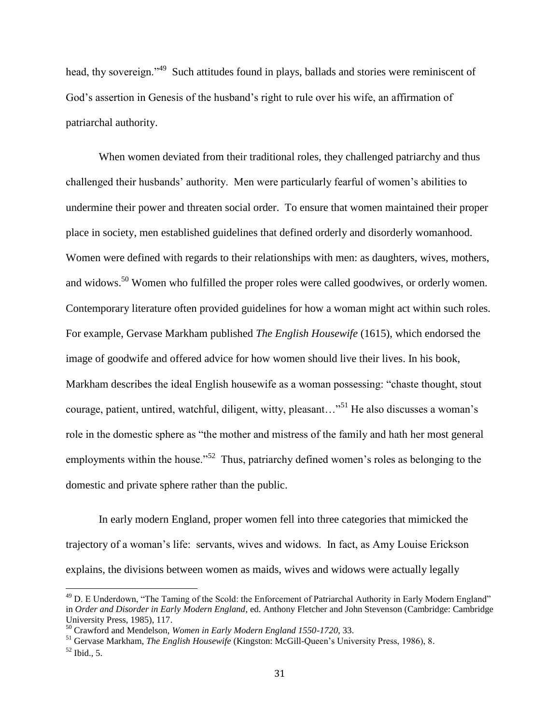head, thy sovereign."<sup>49</sup> Such attitudes found in plays, ballads and stories were reminiscent of God's assertion in Genesis of the husband's right to rule over his wife, an affirmation of patriarchal authority.

When women deviated from their traditional roles, they challenged patriarchy and thus challenged their husbands' authority. Men were particularly fearful of women's abilities to undermine their power and threaten social order. To ensure that women maintained their proper place in society, men established guidelines that defined orderly and disorderly womanhood. Women were defined with regards to their relationships with men: as daughters, wives, mothers, and widows.<sup>50</sup> Women who fulfilled the proper roles were called goodwives, or orderly women. Contemporary literature often provided guidelines for how a woman might act within such roles. For example, Gervase Markham published *The English Housewife* (1615), which endorsed the image of goodwife and offered advice for how women should live their lives. In his book, Markham describes the ideal English housewife as a woman possessing: "chaste thought, stout courage, patient, untired, watchful, diligent, witty, pleasant..."<sup>51</sup> He also discusses a woman's role in the domestic sphere as "the mother and mistress of the family and hath her most general employments within the house.<sup> $52$ </sup> Thus, patriarchy defined women's roles as belonging to the domestic and private sphere rather than the public.

In early modern England, proper women fell into three categories that mimicked the trajectory of a woman's life: servants, wives and widows. In fact, as Amy Louise Erickson explains, the divisions between women as maids, wives and widows were actually legally

<sup>&</sup>lt;sup>49</sup> D. E Underdown, "The Taming of the Scold: the Enforcement of Patriarchal Authority in Early Modern England" in *Order and Disorder in Early Modern England*, ed. Anthony Fletcher and John Stevenson (Cambridge: Cambridge University Press, 1985), 117.

<sup>50</sup> Crawford and Mendelson*, Women in Early Modern England 1550-1720*, 33.

<sup>51</sup> Gervase Markham, *The English Housewife* (Kingston: McGill-Queen's University Press, 1986), 8.  $52$  Ibid., 5.

<sup>31</sup>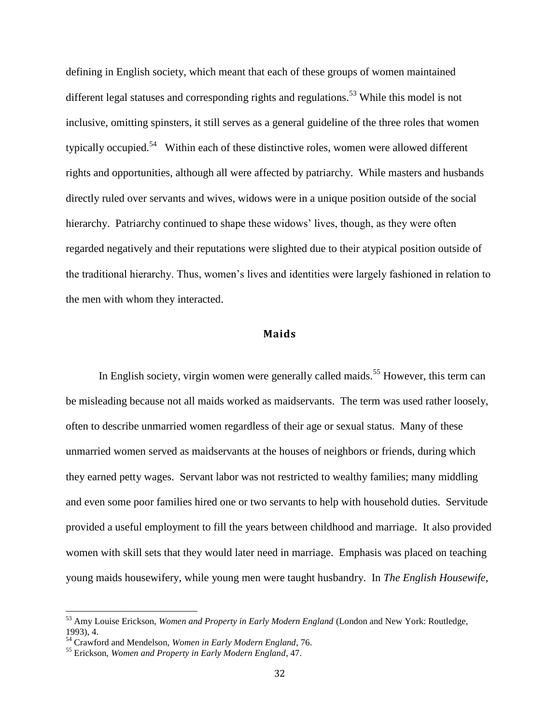defining in English society, which meant that each of these groups of women maintained different legal statuses and corresponding rights and regulations.<sup>53</sup> While this model is not inclusive, omitting spinsters, it still serves as a general guideline of the three roles that women typically occupied.<sup>54</sup> Within each of these distinctive roles, women were allowed different rights and opportunities, although all were affected by patriarchy. While masters and husbands directly ruled over servants and wives, widows were in a unique position outside of the social hierarchy. Patriarchy continued to shape these widows' lives, though, as they were often regarded negatively and their reputations were slighted due to their atypical position outside of the traditional hierarchy. Thus, women's lives and identities were largely fashioned in relation to the men with whom they interacted.

# **Maids**

<span id="page-32-0"></span>In English society, virgin women were generally called maids.<sup>55</sup> However, this term can be misleading because not all maids worked as maidservants. The term was used rather loosely, often to describe unmarried women regardless of their age or sexual status. Many of these unmarried women served as maidservants at the houses of neighbors or friends, during which they earned petty wages. Servant labor was not restricted to wealthy families; many middling and even some poor families hired one or two servants to help with household duties. Servitude provided a useful employment to fill the years between childhood and marriage. It also provided women with skill sets that they would later need in marriage. Emphasis was placed on teaching young maids housewifery, while young men were taught husbandry. In *The English Housewife*,

<sup>53</sup> Amy Louise Erickson, *Women and Property in Early Modern England* (London and New York: Routledge, 1993), 4.

<sup>54</sup> Crawford and Mendelson, *Women in Early Modern England*, 76.

<sup>55</sup> Erickson, *Women and Property in Early Modern England*, 47.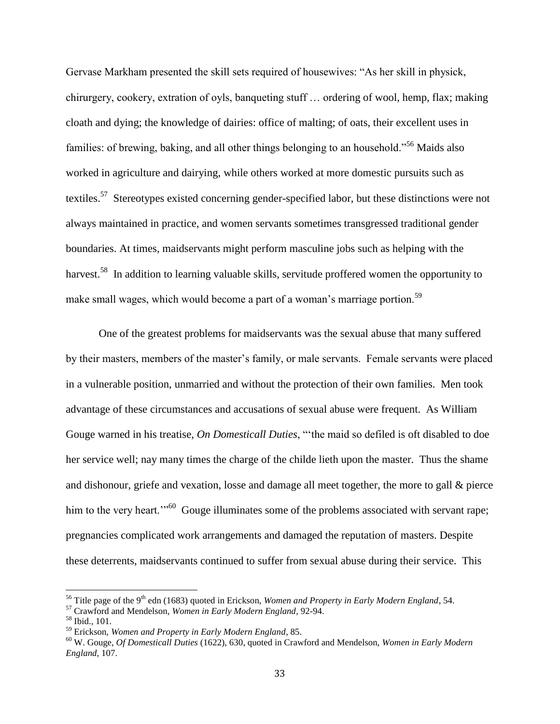Gervase Markham presented the skill sets required of housewives: "As her skill in physick, chirurgery, cookery, extration of oyls, banqueting stuff … ordering of wool, hemp, flax; making cloath and dying; the knowledge of dairies: office of malting; of oats, their excellent uses in families: of brewing, baking, and all other things belonging to an household."<sup>56</sup> Maids also worked in agriculture and dairying, while others worked at more domestic pursuits such as textiles.<sup>57</sup> Stereotypes existed concerning gender-specified labor, but these distinctions were not always maintained in practice, and women servants sometimes transgressed traditional gender boundaries. At times, maidservants might perform masculine jobs such as helping with the harvest.<sup>58</sup> In addition to learning valuable skills, servitude proffered women the opportunity to make small wages, which would become a part of a woman's marriage portion.<sup>59</sup>

One of the greatest problems for maidservants was the sexual abuse that many suffered by their masters, members of the master's family, or male servants. Female servants were placed in a vulnerable position, unmarried and without the protection of their own families. Men took advantage of these circumstances and accusations of sexual abuse were frequent. As William Gouge warned in his treatise, *On Domesticall Duties*, "'the maid so defiled is oft disabled to doe her service well; nay many times the charge of the childe lieth upon the master. Thus the shame and dishonour, griefe and vexation, losse and damage all meet together, the more to gall & pierce him to the very heart."<sup>60</sup> Gouge illuminates some of the problems associated with servant rape; pregnancies complicated work arrangements and damaged the reputation of masters. Despite these deterrents, maidservants continued to suffer from sexual abuse during their service. This

l

<sup>&</sup>lt;sup>56</sup> Title page of the 9<sup>th</sup> edn (1683) quoted in Erickson, *Women and Property in Early Modern England*, 54.

<sup>57</sup> Crawford and Mendelson, *Women in Early Modern England*, 92-94.

<sup>58</sup> Ibid., 101.

<sup>59</sup> Erickson, *Women and Property in Early Modern England*, 85.

<sup>60</sup> W. Gouge, *Of Domesticall Duties* (1622), 630, quoted in Crawford and Mendelson, *Women in Early Modern England*, 107.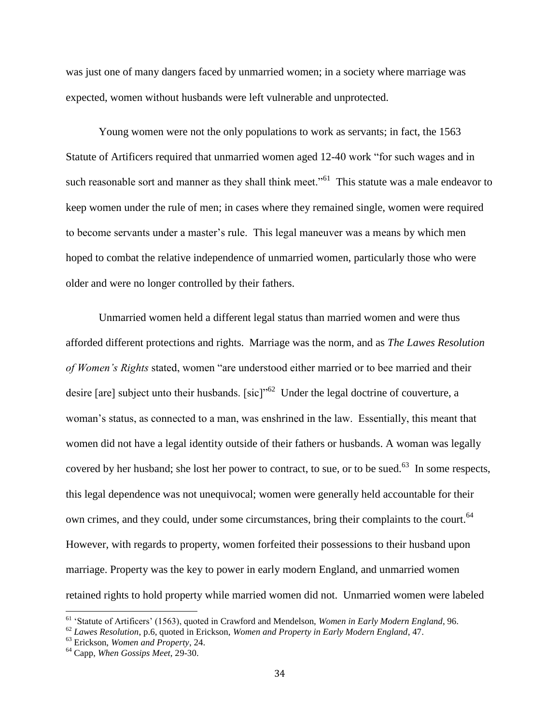was just one of many dangers faced by unmarried women; in a society where marriage was expected, women without husbands were left vulnerable and unprotected.

Young women were not the only populations to work as servants; in fact, the 1563 Statute of Artificers required that unmarried women aged 12-40 work "for such wages and in such reasonable sort and manner as they shall think meet."<sup>61</sup> This statute was a male endeavor to keep women under the rule of men; in cases where they remained single, women were required to become servants under a master's rule. This legal maneuver was a means by which men hoped to combat the relative independence of unmarried women, particularly those who were older and were no longer controlled by their fathers.

Unmarried women held a different legal status than married women and were thus afforded different protections and rights. Marriage was the norm, and as *The Lawes Resolution of Women's Rights* stated, women "are understood either married or to bee married and their desire [are] subject unto their husbands. [sic]<sup> $10^{62}$ </sup> Under the legal doctrine of couverture, a woman's status, as connected to a man, was enshrined in the law. Essentially, this meant that women did not have a legal identity outside of their fathers or husbands. A woman was legally covered by her husband; she lost her power to contract, to sue, or to be sued.<sup>63</sup> In some respects, this legal dependence was not unequivocal; women were generally held accountable for their own crimes, and they could, under some circumstances, bring their complaints to the court.<sup>64</sup> However, with regards to property, women forfeited their possessions to their husband upon marriage. Property was the key to power in early modern England, and unmarried women retained rights to hold property while married women did not. Unmarried women were labeled

<sup>61</sup> 'Statute of Artificers' (1563), quoted in Crawford and Mendelson, *Women in Early Modern England*, 96.

<sup>62</sup> *Lawes Resolution*, p.6, quoted in Erickson, *Women and Property in Early Modern England*, 47.

<sup>63</sup> Erickson, *Women and Property*, 24.

<sup>64</sup> Capp, *When Gossips Meet*, 29-30.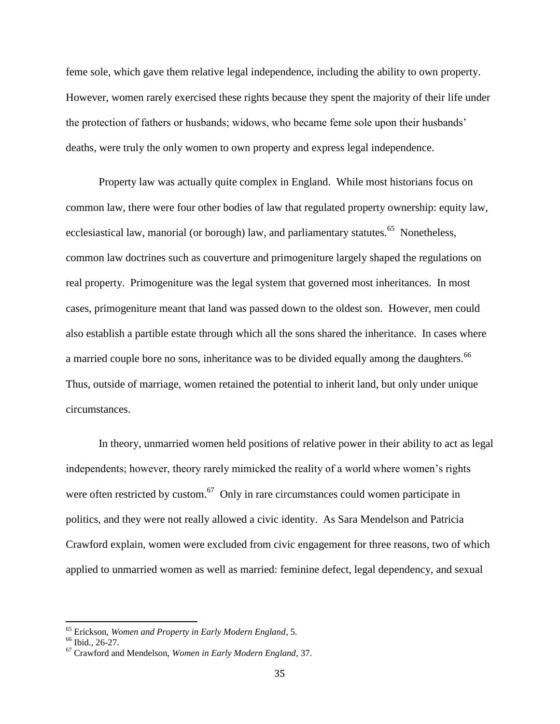feme sole, which gave them relative legal independence, including the ability to own property. However, women rarely exercised these rights because they spent the majority of their life under the protection of fathers or husbands; widows, who became feme sole upon their husbands' deaths, were truly the only women to own property and express legal independence.

Property law was actually quite complex in England. While most historians focus on common law, there were four other bodies of law that regulated property ownership: equity law, ecclesiastical law, manorial (or borough) law, and parliamentary statutes.<sup>65</sup> Nonetheless, common law doctrines such as couverture and primogeniture largely shaped the regulations on real property. Primogeniture was the legal system that governed most inheritances. In most cases, primogeniture meant that land was passed down to the oldest son. However, men could also establish a partible estate through which all the sons shared the inheritance. In cases where a married couple bore no sons, inheritance was to be divided equally among the daughters.<sup>66</sup> Thus, outside of marriage, women retained the potential to inherit land, but only under unique circumstances.

In theory, unmarried women held positions of relative power in their ability to act as legal independents; however, theory rarely mimicked the reality of a world where women's rights were often restricted by custom.<sup>67</sup> Only in rare circumstances could women participate in politics, and they were not really allowed a civic identity. As Sara Mendelson and Patricia Crawford explain, women were excluded from civic engagement for three reasons, two of which applied to unmarried women as well as married: feminine defect, legal dependency, and sexual

<sup>65</sup> Erickson, *Women and Property in Early Modern England*, 5.

<sup>66</sup> Ibid., 26-27.

<sup>67</sup> Crawford and Mendelson, *Women in Early Modern England*, 37.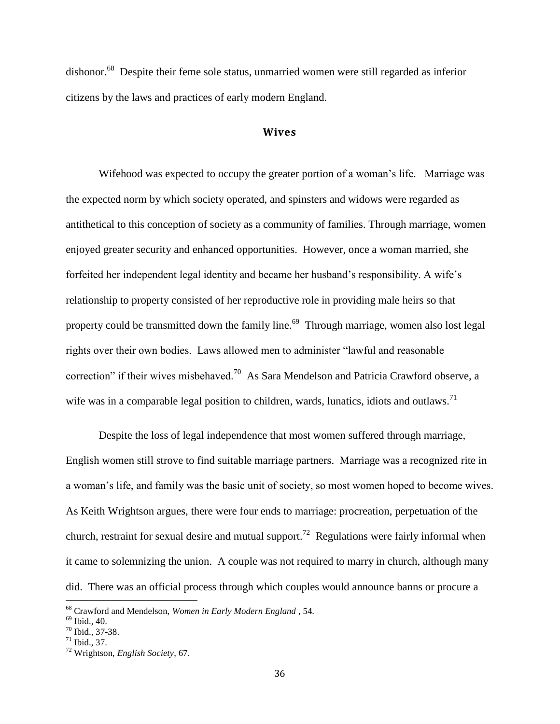dishonor.<sup>68</sup> Despite their feme sole status, unmarried women were still regarded as inferior citizens by the laws and practices of early modern England.

#### **Wives**

Wifehood was expected to occupy the greater portion of a woman's life. Marriage was the expected norm by which society operated, and spinsters and widows were regarded as antithetical to this conception of society as a community of families. Through marriage, women enjoyed greater security and enhanced opportunities. However, once a woman married, she forfeited her independent legal identity and became her husband's responsibility. A wife's relationship to property consisted of her reproductive role in providing male heirs so that property could be transmitted down the family line.<sup>69</sup> Through marriage, women also lost legal rights over their own bodies. Laws allowed men to administer "lawful and reasonable correction" if their wives misbehaved.<sup>70</sup> As Sara Mendelson and Patricia Crawford observe, a wife was in a comparable legal position to children, wards, lunatics, idiots and outlaws.<sup>71</sup>

Despite the loss of legal independence that most women suffered through marriage, English women still strove to find suitable marriage partners. Marriage was a recognized rite in a woman's life, and family was the basic unit of society, so most women hoped to become wives. As Keith Wrightson argues, there were four ends to marriage: procreation, perpetuation of the church, restraint for sexual desire and mutual support.<sup>72</sup> Regulations were fairly informal when it came to solemnizing the union. A couple was not required to marry in church, although many did. There was an official process through which couples would announce banns or procure a

<sup>68</sup> Crawford and Mendelson, *Women in Early Modern England* , 54.

<sup>69</sup> Ibid.*,* 40.

<sup>70</sup> Ibid., 37-38.

 $71$  Ibid., 37.

<sup>72</sup> Wrightson, *English Society*, 67.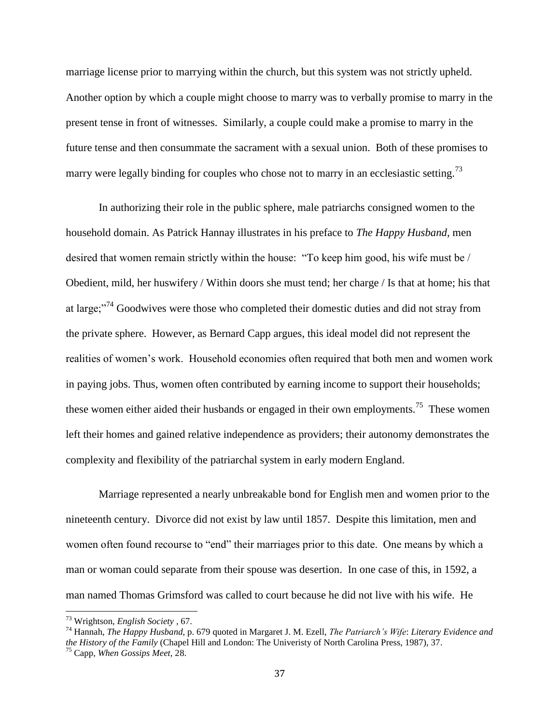marriage license prior to marrying within the church, but this system was not strictly upheld. Another option by which a couple might choose to marry was to verbally promise to marry in the present tense in front of witnesses. Similarly, a couple could make a promise to marry in the future tense and then consummate the sacrament with a sexual union. Both of these promises to marry were legally binding for couples who chose not to marry in an ecclesiastic setting.<sup>73</sup>

In authorizing their role in the public sphere, male patriarchs consigned women to the household domain. As Patrick Hannay illustrates in his preface to *The Happy Husband*, men desired that women remain strictly within the house: "To keep him good, his wife must be / Obedient, mild, her huswifery / Within doors she must tend; her charge / Is that at home; his that at large;"<sup>74</sup> Goodwives were those who completed their domestic duties and did not stray from the private sphere. However, as Bernard Capp argues, this ideal model did not represent the realities of women's work. Household economies often required that both men and women work in paying jobs. Thus, women often contributed by earning income to support their households; these women either aided their husbands or engaged in their own employments.<sup>75</sup> These women left their homes and gained relative independence as providers; their autonomy demonstrates the complexity and flexibility of the patriarchal system in early modern England.

Marriage represented a nearly unbreakable bond for English men and women prior to the nineteenth century. Divorce did not exist by law until 1857. Despite this limitation, men and women often found recourse to "end" their marriages prior to this date. One means by which a man or woman could separate from their spouse was desertion. In one case of this, in 1592, a man named Thomas Grimsford was called to court because he did not live with his wife. He

<sup>73</sup> Wrightson, *English Society* , 67.

<sup>74</sup> Hannah, *The Happy Husband*, p. 679 quoted in Margaret J. M. Ezell, *The Patriarch's Wife*: *Literary Evidence and the History of the Family* (Chapel Hill and London: The Univeristy of North Carolina Press, 1987), 37. <sup>75</sup> Capp, *When Gossips Meet*, 28.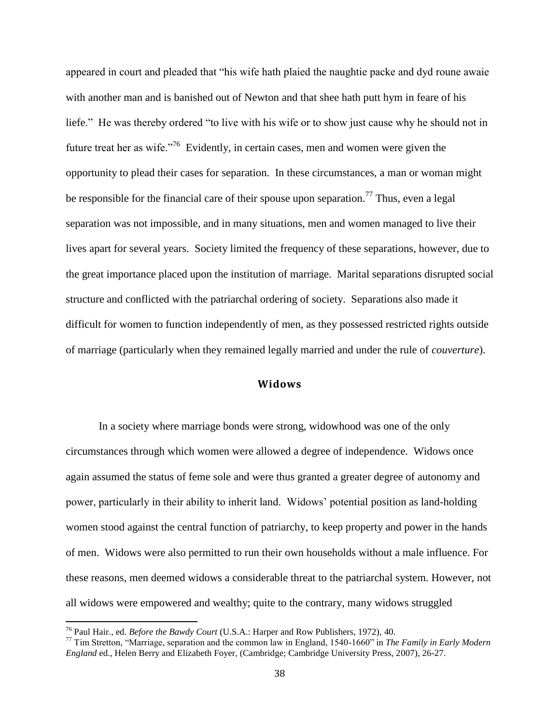appeared in court and pleaded that "his wife hath plaied the naughtie packe and dyd roune awaie with another man and is banished out of Newton and that shee hath putt hym in feare of his liefe." He was thereby ordered "to live with his wife or to show just cause why he should not in future treat her as wife. $176$  Evidently, in certain cases, men and women were given the opportunity to plead their cases for separation. In these circumstances, a man or woman might be responsible for the financial care of their spouse upon separation.<sup>77</sup> Thus, even a legal separation was not impossible, and in many situations, men and women managed to live their lives apart for several years. Society limited the frequency of these separations, however, due to the great importance placed upon the institution of marriage. Marital separations disrupted social structure and conflicted with the patriarchal ordering of society. Separations also made it difficult for women to function independently of men, as they possessed restricted rights outside of marriage (particularly when they remained legally married and under the rule of *couverture*).

# **Widows**

In a society where marriage bonds were strong, widowhood was one of the only circumstances through which women were allowed a degree of independence. Widows once again assumed the status of feme sole and were thus granted a greater degree of autonomy and power, particularly in their ability to inherit land. Widows' potential position as land-holding women stood against the central function of patriarchy, to keep property and power in the hands of men. Widows were also permitted to run their own households without a male influence. For these reasons, men deemed widows a considerable threat to the patriarchal system. However, not all widows were empowered and wealthy; quite to the contrary, many widows struggled

<sup>76</sup> Paul Hair., ed. *Before the Bawdy Court* (U.S.A.: Harper and Row Publishers, 1972), 40.

<sup>77</sup> Tim Stretton, "Marriage, separation and the common law in England, 1540-1660" in *The Family in Early Modern England* ed., Helen Berry and Elizabeth Foyer, (Cambridge; Cambridge University Press, 2007), 26-27.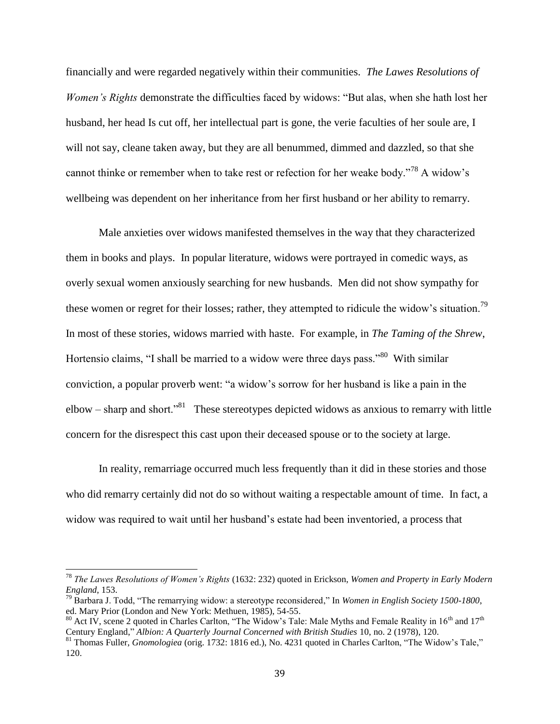financially and were regarded negatively within their communities. *The Lawes Resolutions of Women's Rights* demonstrate the difficulties faced by widows: "But alas, when she hath lost her husband, her head Is cut off, her intellectual part is gone, the verie faculties of her soule are, I will not say, cleane taken away, but they are all benummed, dimmed and dazzled, so that she cannot thinke or remember when to take rest or refection for her weake body."<sup>78</sup> A widow's wellbeing was dependent on her inheritance from her first husband or her ability to remarry.

Male anxieties over widows manifested themselves in the way that they characterized them in books and plays. In popular literature, widows were portrayed in comedic ways, as overly sexual women anxiously searching for new husbands. Men did not show sympathy for these women or regret for their losses; rather, they attempted to ridicule the widow's situation.<sup>79</sup> In most of these stories, widows married with haste. For example, in *The Taming of the Shrew*, Hortensio claims, "I shall be married to a widow were three days pass."<sup>80</sup> With similar conviction, a popular proverb went: "a widow's sorrow for her husband is like a pain in the elbow – sharp and short.<sup>381</sup> These stereotypes depicted widows as anxious to remarry with little concern for the disrespect this cast upon their deceased spouse or to the society at large.

In reality, remarriage occurred much less frequently than it did in these stories and those who did remarry certainly did not do so without waiting a respectable amount of time. In fact, a widow was required to wait until her husband's estate had been inventoried, a process that

<sup>78</sup> *The Lawes Resolutions of Women's Rights* (1632: 232) quoted in Erickson, *Women and Property in Early Modern England*, 153.

<sup>79</sup> Barbara J. Todd, "The remarrying widow: a stereotype reconsidered," In *Women in English Society 1500-1800*, ed. Mary Prior (London and New York: Methuen, 1985), 54-55.

<sup>&</sup>lt;sup>80</sup> Act IV, scene 2 quoted in Charles Carlton, "The Widow's Tale: Male Myths and Female Reality in  $16<sup>th</sup>$  and  $17<sup>th</sup>$ Century England," *Albion: A Quarterly Journal Concerned with British Studies* 10, no. 2 (1978), 120.

<sup>81</sup> Thomas Fuller, *Gnomologiea* (orig. 1732: 1816 ed.), No. 4231 quoted in Charles Carlton, "The Widow's Tale," 120.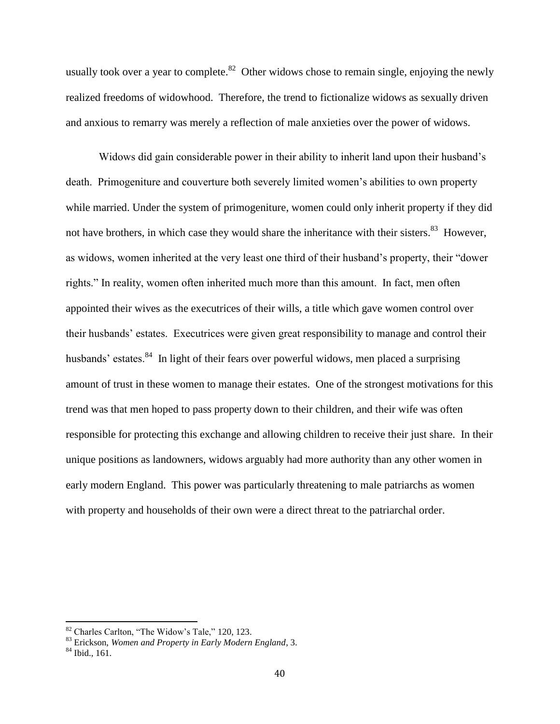usually took over a year to complete.<sup>82</sup> Other widows chose to remain single, enjoying the newly realized freedoms of widowhood. Therefore, the trend to fictionalize widows as sexually driven and anxious to remarry was merely a reflection of male anxieties over the power of widows.

Widows did gain considerable power in their ability to inherit land upon their husband's death. Primogeniture and couverture both severely limited women's abilities to own property while married. Under the system of primogeniture, women could only inherit property if they did not have brothers, in which case they would share the inheritance with their sisters.<sup>83</sup> However, as widows, women inherited at the very least one third of their husband's property, their "dower rights." In reality, women often inherited much more than this amount. In fact, men often appointed their wives as the executrices of their wills, a title which gave women control over their husbands' estates. Executrices were given great responsibility to manage and control their husbands' estates.<sup>84</sup> In light of their fears over powerful widows, men placed a surprising amount of trust in these women to manage their estates. One of the strongest motivations for this trend was that men hoped to pass property down to their children, and their wife was often responsible for protecting this exchange and allowing children to receive their just share. In their unique positions as landowners, widows arguably had more authority than any other women in early modern England. This power was particularly threatening to male patriarchs as women with property and households of their own were a direct threat to the patriarchal order.

<sup>&</sup>lt;sup>82</sup> Charles Carlton, "The Widow's Tale," 120, 123.

<sup>83</sup> Erickson, *Women and Property in Early Modern England*, 3.

<sup>84</sup> Ibid., 161.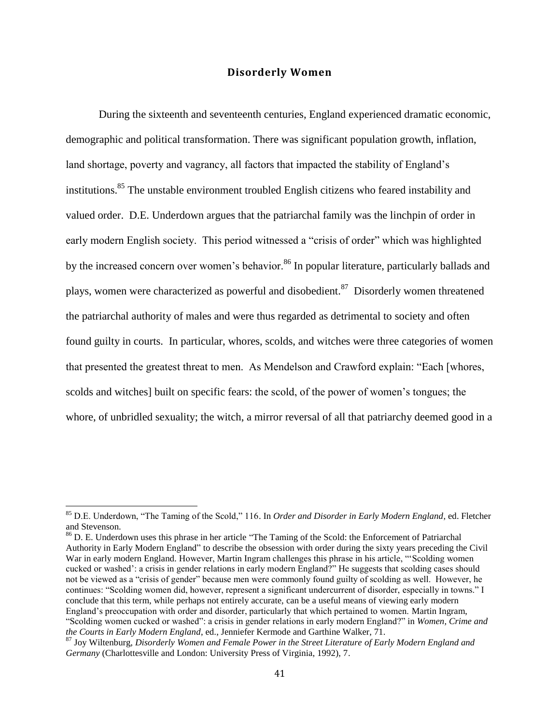### **Disorderly Women**

During the sixteenth and seventeenth centuries, England experienced dramatic economic, demographic and political transformation. There was significant population growth, inflation, land shortage, poverty and vagrancy, all factors that impacted the stability of England's institutions.<sup>85</sup> The unstable environment troubled English citizens who feared instability and valued order. D.E. Underdown argues that the patriarchal family was the linchpin of order in early modern English society. This period witnessed a "crisis of order" which was highlighted by the increased concern over women's behavior.<sup>86</sup> In popular literature, particularly ballads and plays, women were characterized as powerful and disobedient.<sup>87</sup> Disorderly women threatened the patriarchal authority of males and were thus regarded as detrimental to society and often found guilty in courts. In particular, whores, scolds, and witches were three categories of women that presented the greatest threat to men. As Mendelson and Crawford explain: "Each [whores, scolds and witches] built on specific fears: the scold, of the power of women's tongues; the whore, of unbridled sexuality; the witch, a mirror reversal of all that patriarchy deemed good in a

<sup>85</sup> D.E. Underdown, "The Taming of the Scold," 116. In *Order and Disorder in Early Modern England*, ed. Fletcher and Stevenson.

<sup>&</sup>lt;sup>86</sup> D. E. Underdown uses this phrase in her article "The Taming of the Scold: the Enforcement of Patriarchal Authority in Early Modern England" to describe the obsession with order during the sixty years preceding the Civil War in early modern England. However, Martin Ingram challenges this phrase in his article, "'Scolding women cucked or washed': a crisis in gender relations in early modern England?" He suggests that scolding cases should not be viewed as a "crisis of gender" because men were commonly found guilty of scolding as well. However, he continues: "Scolding women did, however, represent a significant undercurrent of disorder, especially in towns." I conclude that this term, while perhaps not entirely accurate, can be a useful means of viewing early modern England's preoccupation with order and disorder, particularly that which pertained to women. Martin Ingram, "Scolding women cucked or washed": a crisis in gender relations in early modern England?" in *Women, Crime and the Courts in Early Modern England*, ed., Jenniefer Kermode and Garthine Walker, 71.

<sup>87</sup> Joy Wiltenburg, *Disorderly Women and Female Power in the Street Literature of Early Modern England and Germany* (Charlottesville and London: University Press of Virginia, 1992), 7.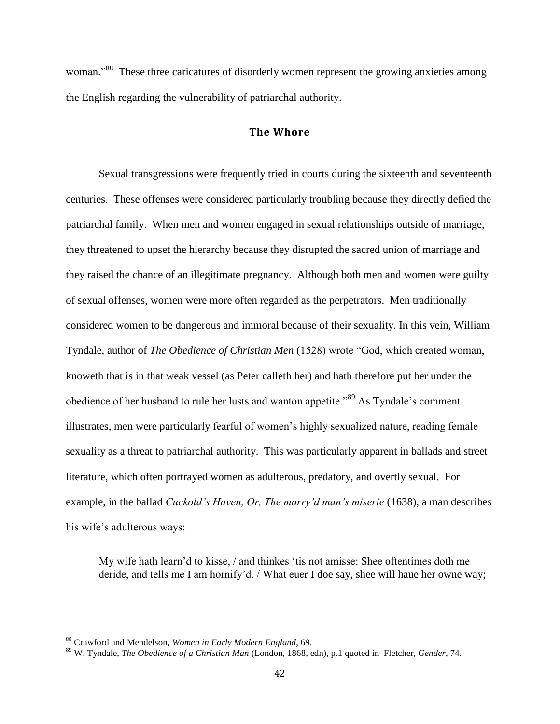woman."<sup>88</sup> These three caricatures of disorderly women represent the growing anxieties among the English regarding the vulnerability of patriarchal authority.

### **The Whore**

Sexual transgressions were frequently tried in courts during the sixteenth and seventeenth centuries. These offenses were considered particularly troubling because they directly defied the patriarchal family. When men and women engaged in sexual relationships outside of marriage, they threatened to upset the hierarchy because they disrupted the sacred union of marriage and they raised the chance of an illegitimate pregnancy. Although both men and women were guilty of sexual offenses, women were more often regarded as the perpetrators. Men traditionally considered women to be dangerous and immoral because of their sexuality. In this vein, William Tyndale, author of *The Obedience of Christian Men* (1528) wrote "God, which created woman, knoweth that is in that weak vessel (as Peter calleth her) and hath therefore put her under the obedience of her husband to rule her lusts and wanton appetite."<sup>89</sup> As Tyndale's comment illustrates, men were particularly fearful of women's highly sexualized nature, reading female sexuality as a threat to patriarchal authority. This was particularly apparent in ballads and street literature, which often portrayed women as adulterous, predatory, and overtly sexual. For example, in the ballad *Cuckold's Haven, Or, The marry'd man's miserie* (1638), a man describes his wife's adulterous ways:

My wife hath learn'd to kisse, / and thinkes 'tis not amisse: Shee oftentimes doth me deride, and tells me I am hornify'd. / What euer I doe say, shee will haue her owne way;

<sup>88</sup> Crawford and Mendelson, *Women in Early Modern England*, 69.

<sup>89</sup> W. Tyndale, *The Obedience of a Christian Man* (London, 1868, edn), p.1 quoted in Fletcher*, Gender*, 74.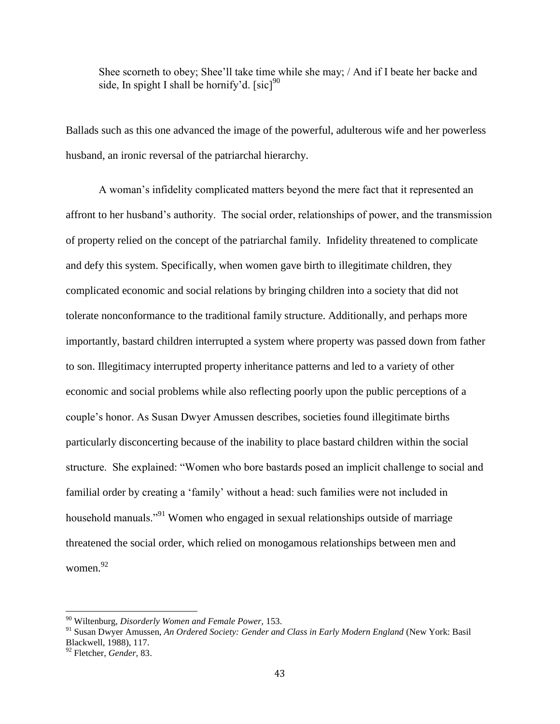Shee scorneth to obey; Shee'll take time while she may; / And if I beate her backe and side, In spight I shall be hornify'd.  $[sic]$ <sup>90</sup>

Ballads such as this one advanced the image of the powerful, adulterous wife and her powerless husband, an ironic reversal of the patriarchal hierarchy.

A woman's infidelity complicated matters beyond the mere fact that it represented an affront to her husband's authority. The social order, relationships of power, and the transmission of property relied on the concept of the patriarchal family. Infidelity threatened to complicate and defy this system. Specifically, when women gave birth to illegitimate children, they complicated economic and social relations by bringing children into a society that did not tolerate nonconformance to the traditional family structure. Additionally, and perhaps more importantly, bastard children interrupted a system where property was passed down from father to son. Illegitimacy interrupted property inheritance patterns and led to a variety of other economic and social problems while also reflecting poorly upon the public perceptions of a couple's honor. As Susan Dwyer Amussen describes, societies found illegitimate births particularly disconcerting because of the inability to place bastard children within the social structure. She explained: "Women who bore bastards posed an implicit challenge to social and familial order by creating a 'family' without a head: such families were not included in household manuals.<sup>"91</sup> Women who engaged in sexual relationships outside of marriage threatened the social order, which relied on monogamous relationships between men and women.<sup>92</sup>

<sup>90</sup> Wiltenburg, *Disorderly Women and Female Power,* 153.

<sup>91</sup> Susan Dwyer Amussen, *An Ordered Society: Gender and Class in Early Modern England* (New York: Basil Blackwell, 1988), 117.

<sup>92</sup> Fletcher, *Gender,* 83.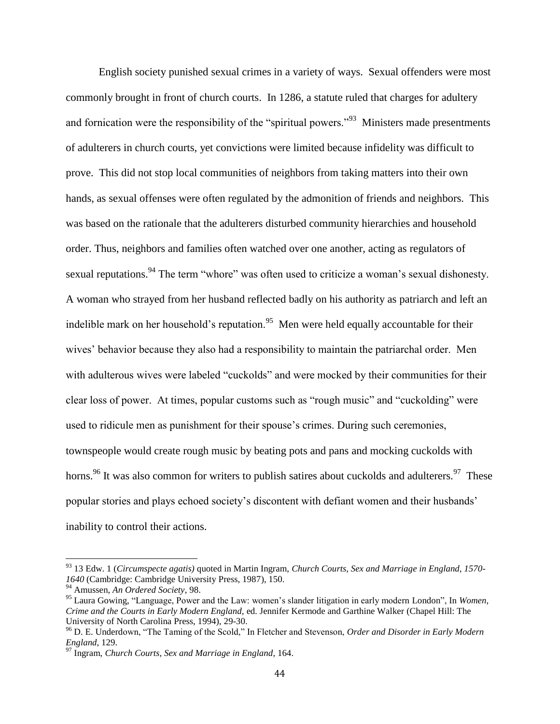English society punished sexual crimes in a variety of ways. Sexual offenders were most commonly brought in front of church courts. In 1286, a statute ruled that charges for adultery and fornication were the responsibility of the "spiritual powers."<sup>93</sup> Ministers made presentments of adulterers in church courts, yet convictions were limited because infidelity was difficult to prove. This did not stop local communities of neighbors from taking matters into their own hands, as sexual offenses were often regulated by the admonition of friends and neighbors. This was based on the rationale that the adulterers disturbed community hierarchies and household order. Thus, neighbors and families often watched over one another, acting as regulators of sexual reputations.<sup>94</sup> The term "whore" was often used to criticize a woman's sexual dishonesty. A woman who strayed from her husband reflected badly on his authority as patriarch and left an indelible mark on her household's reputation.<sup>95</sup> Men were held equally accountable for their wives' behavior because they also had a responsibility to maintain the patriarchal order. Men with adulterous wives were labeled "cuckolds" and were mocked by their communities for their clear loss of power. At times, popular customs such as "rough music" and "cuckolding" were used to ridicule men as punishment for their spouse's crimes. During such ceremonies, townspeople would create rough music by beating pots and pans and mocking cuckolds with horns.<sup>96</sup> It was also common for writers to publish satires about cuckolds and adulterers.<sup>97</sup> These popular stories and plays echoed society's discontent with defiant women and their husbands' inability to control their actions.

<sup>93</sup> 13 Edw. 1 (*Circumspecte agatis)* quoted in Martin Ingram, *Church Courts, Sex and Marriage in England, 1570- 1640* (Cambridge: Cambridge University Press, 1987), 150.

<sup>94</sup> Amussen, *An Ordered Society*, 98.

<sup>95</sup> Laura Gowing, "Language, Power and the Law: women's slander litigation in early modern London", In *Women, Crime and the Courts in Early Modern England,* ed*.* Jennifer Kermode and Garthine Walker (Chapel Hill: The University of North Carolina Press, 1994), 29-30.

<sup>96</sup> D. E. Underdown, "The Taming of the Scold," In Fletcher and Stevenson, *Order and Disorder in Early Modern England*, 129.

<sup>97</sup> Ingram, *Church Courts, Sex and Marriage in England*, 164.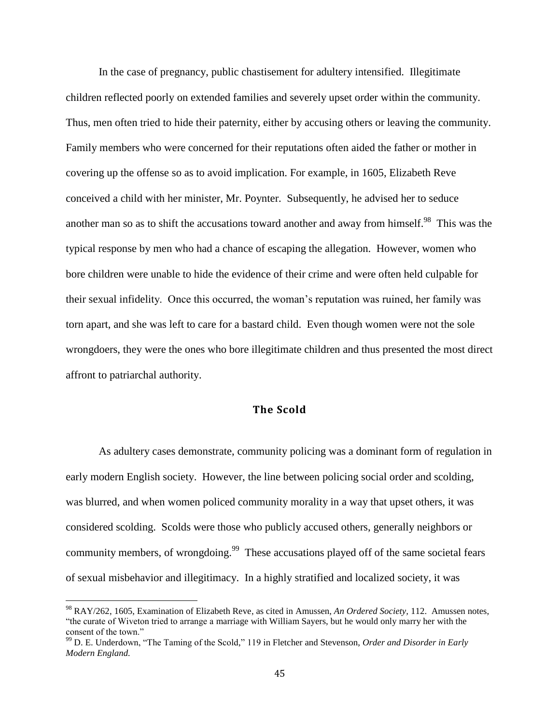In the case of pregnancy, public chastisement for adultery intensified. Illegitimate children reflected poorly on extended families and severely upset order within the community. Thus, men often tried to hide their paternity, either by accusing others or leaving the community. Family members who were concerned for their reputations often aided the father or mother in covering up the offense so as to avoid implication. For example, in 1605, Elizabeth Reve conceived a child with her minister, Mr. Poynter. Subsequently, he advised her to seduce another man so as to shift the accusations toward another and away from himself.<sup>98</sup> This was the typical response by men who had a chance of escaping the allegation. However, women who bore children were unable to hide the evidence of their crime and were often held culpable for their sexual infidelity. Once this occurred, the woman's reputation was ruined, her family was torn apart, and she was left to care for a bastard child. Even though women were not the sole wrongdoers, they were the ones who bore illegitimate children and thus presented the most direct affront to patriarchal authority.

## **The Scold**

As adultery cases demonstrate, community policing was a dominant form of regulation in early modern English society. However, the line between policing social order and scolding, was blurred, and when women policed community morality in a way that upset others, it was considered scolding. Scolds were those who publicly accused others, generally neighbors or community members, of wrongdoing.<sup>99</sup> These accusations played off of the same societal fears of sexual misbehavior and illegitimacy. In a highly stratified and localized society, it was

<sup>98</sup> RAY/262, 1605, Examination of Elizabeth Reve, as cited in Amussen, *An Ordered Society,* 112. Amussen notes, "the curate of Wiveton tried to arrange a marriage with William Sayers, but he would only marry her with the consent of the town."

<sup>99</sup> D. E. Underdown, "The Taming of the Scold," 119 in Fletcher and Stevenson, *Order and Disorder in Early Modern England.*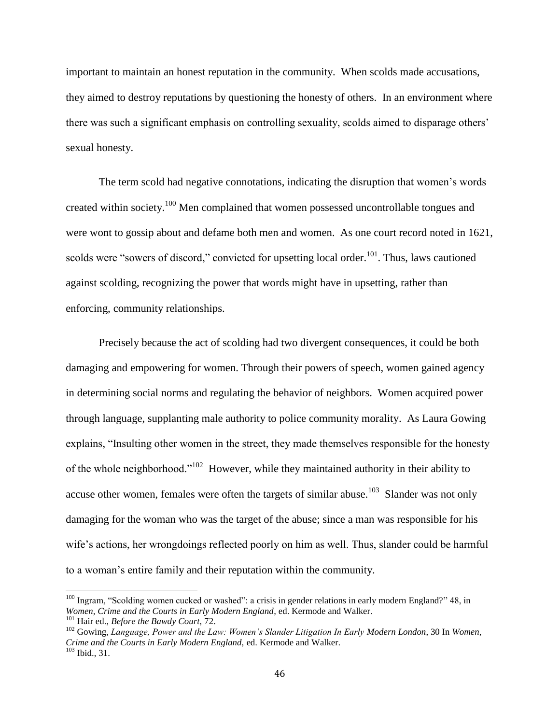important to maintain an honest reputation in the community. When scolds made accusations, they aimed to destroy reputations by questioning the honesty of others. In an environment where there was such a significant emphasis on controlling sexuality, scolds aimed to disparage others' sexual honesty.

The term scold had negative connotations, indicating the disruption that women's words created within society.<sup>100</sup> Men complained that women possessed uncontrollable tongues and were wont to gossip about and defame both men and women. As one court record noted in 1621, scolds were "sowers of discord," convicted for upsetting local order.<sup>101</sup>. Thus, laws cautioned against scolding, recognizing the power that words might have in upsetting, rather than enforcing, community relationships.

Precisely because the act of scolding had two divergent consequences, it could be both damaging and empowering for women. Through their powers of speech, women gained agency in determining social norms and regulating the behavior of neighbors. Women acquired power through language, supplanting male authority to police community morality. As Laura Gowing explains, "Insulting other women in the street, they made themselves responsible for the honesty of the whole neighborhood."<sup>102</sup> However, while they maintained authority in their ability to accuse other women, females were often the targets of similar abuse.<sup>103</sup> Slander was not only damaging for the woman who was the target of the abuse; since a man was responsible for his wife's actions, her wrongdoings reflected poorly on him as well. Thus, slander could be harmful to a woman's entire family and their reputation within the community.

<sup>&</sup>lt;sup>100</sup> Ingram, "Scolding women cucked or washed": a crisis in gender relations in early modern England?" 48, in *Women, Crime and the Courts in Early Modern England*, ed. Kermode and Walker.

<sup>101</sup> Hair ed., *Before the Bawdy Court*, 72.

<sup>102</sup> Gowing, *Language, Power and the Law: Women's Slander Litigation In Early Modern London*, 30 In *Women, Crime and the Courts in Early Modern England,* ed. Kermode and Walker. <sup>103</sup> Ibid., 31.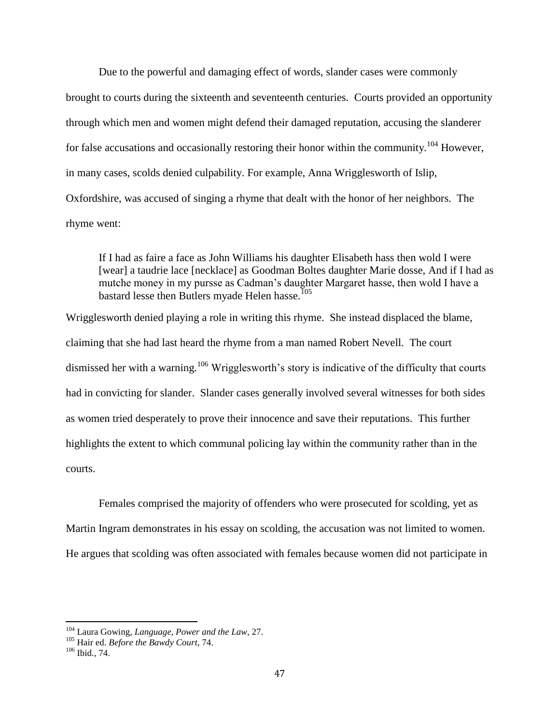Due to the powerful and damaging effect of words, slander cases were commonly brought to courts during the sixteenth and seventeenth centuries. Courts provided an opportunity through which men and women might defend their damaged reputation, accusing the slanderer for false accusations and occasionally restoring their honor within the community.<sup>104</sup> However, in many cases, scolds denied culpability. For example, Anna Wrigglesworth of Islip, Oxfordshire, was accused of singing a rhyme that dealt with the honor of her neighbors. The rhyme went:

If I had as faire a face as John Williams his daughter Elisabeth hass then wold I were [wear] a taudrie lace [necklace] as Goodman Boltes daughter Marie dosse, And if I had as mutche money in my pursse as Cadman's daughter Margaret hasse, then wold I have a bastard lesse then Butlers myade Helen hasse.<sup>105</sup>

Wrigglesworth denied playing a role in writing this rhyme. She instead displaced the blame, claiming that she had last heard the rhyme from a man named Robert Nevell. The court dismissed her with a warning.<sup>106</sup> Wrigglesworth's story is indicative of the difficulty that courts had in convicting for slander. Slander cases generally involved several witnesses for both sides as women tried desperately to prove their innocence and save their reputations. This further highlights the extent to which communal policing lay within the community rather than in the courts.

Females comprised the majority of offenders who were prosecuted for scolding, yet as Martin Ingram demonstrates in his essay on scolding, the accusation was not limited to women. He argues that scolding was often associated with females because women did not participate in

<sup>104</sup> Laura Gowing, *Language, Power and the Law*, 27.

<sup>105</sup> Hair ed. *Before the Bawdy Court*, 74.

<sup>106</sup> Ibid., 74.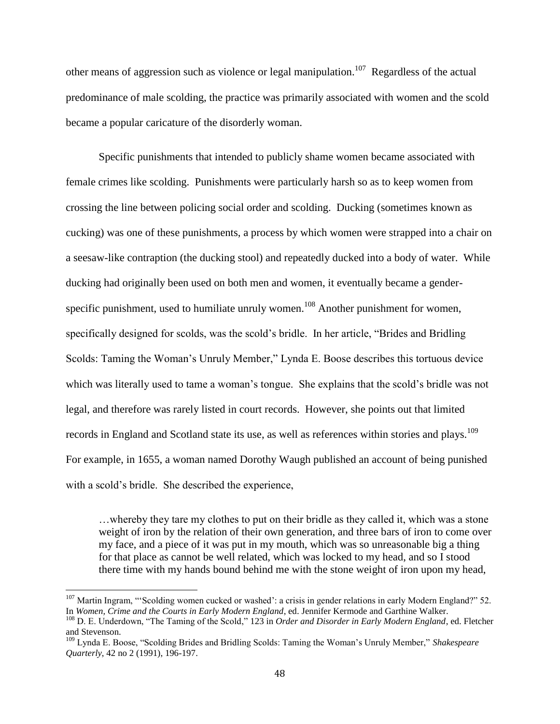other means of aggression such as violence or legal manipulation.<sup>107</sup> Regardless of the actual predominance of male scolding, the practice was primarily associated with women and the scold became a popular caricature of the disorderly woman.

Specific punishments that intended to publicly shame women became associated with female crimes like scolding. Punishments were particularly harsh so as to keep women from crossing the line between policing social order and scolding. Ducking (sometimes known as cucking) was one of these punishments, a process by which women were strapped into a chair on a seesaw-like contraption (the ducking stool) and repeatedly ducked into a body of water. While ducking had originally been used on both men and women, it eventually became a genderspecific punishment, used to humiliate unruly women.<sup>108</sup> Another punishment for women, specifically designed for scolds, was the scold's bridle. In her article, "Brides and Bridling Scolds: Taming the Woman's Unruly Member," Lynda E. Boose describes this tortuous device which was literally used to tame a woman's tongue. She explains that the scold's bridle was not legal, and therefore was rarely listed in court records. However, she points out that limited records in England and Scotland state its use, as well as references within stories and plays.<sup>109</sup> For example, in 1655, a woman named Dorothy Waugh published an account of being punished with a scold's bridle. She described the experience,

…whereby they tare my clothes to put on their bridle as they called it, which was a stone weight of iron by the relation of their own generation, and three bars of iron to come over my face, and a piece of it was put in my mouth, which was so unreasonable big a thing for that place as cannot be well related, which was locked to my head, and so I stood there time with my hands bound behind me with the stone weight of iron upon my head,

<sup>&</sup>lt;sup>107</sup> Martin Ingram, "'Scolding women cucked or washed': a crisis in gender relations in early Modern England?" 52. In *Women, Crime and the Courts in Early Modern England*, ed. Jennifer Kermode and Garthine Walker.

<sup>108</sup> D. E. Underdown, "The Taming of the Scold," 123 in *Order and Disorder in Early Modern England*, ed. Fletcher and Stevenson.

<sup>109</sup> Lynda E. Boose, "Scolding Brides and Bridling Scolds: Taming the Woman's Unruly Member," *Shakespeare Quarterly*, 42 no 2 (1991), 196-197.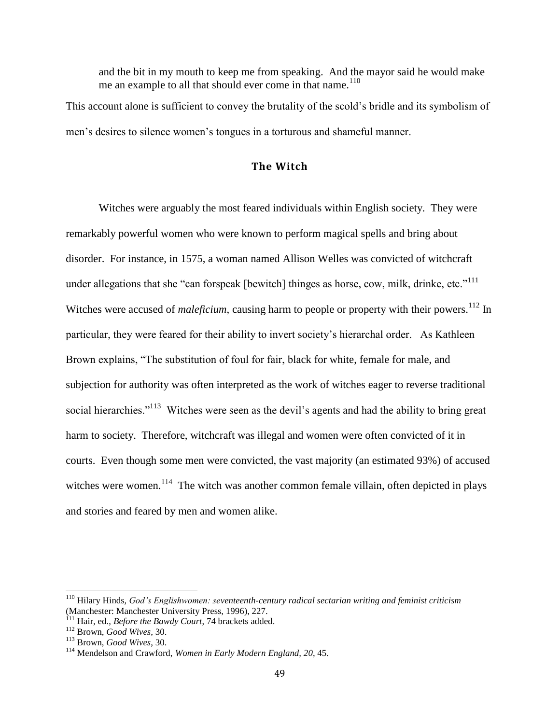and the bit in my mouth to keep me from speaking. And the mayor said he would make me an example to all that should ever come in that name.<sup>110</sup>

This account alone is sufficient to convey the brutality of the scold's bridle and its symbolism of men's desires to silence women's tongues in a torturous and shameful manner.

## **The Witch**

Witches were arguably the most feared individuals within English society. They were remarkably powerful women who were known to perform magical spells and bring about disorder. For instance, in 1575, a woman named Allison Welles was convicted of witchcraft under allegations that she "can forspeak [bewitch] thinges as horse, cow, milk, drinke, etc." $111$ Witches were accused of *maleficium*, causing harm to people or property with their powers.<sup>112</sup> In particular, they were feared for their ability to invert society's hierarchal order. As Kathleen Brown explains, "The substitution of foul for fair, black for white, female for male, and subjection for authority was often interpreted as the work of witches eager to reverse traditional social hierarchies."<sup>113</sup> Witches were seen as the devil's agents and had the ability to bring great harm to society. Therefore, witchcraft was illegal and women were often convicted of it in courts. Even though some men were convicted, the vast majority (an estimated 93%) of accused witches were women.<sup>114</sup> The witch was another common female villain, often depicted in plays and stories and feared by men and women alike.

<sup>110</sup> Hilary Hinds, *God's Englishwomen: seventeenth-century radical sectarian writing and feminist criticism* (Manchester: Manchester University Press, 1996), 227.

<sup>111</sup> Hair, ed., *Before the Bawdy Court*, 74 brackets added.

<sup>112</sup> Brown, *Good Wives*, 30.

<sup>113</sup> Brown, *Good Wives*, 30.

<sup>114</sup> Mendelson and Crawford, *Women in Early Modern England, 20*, 45.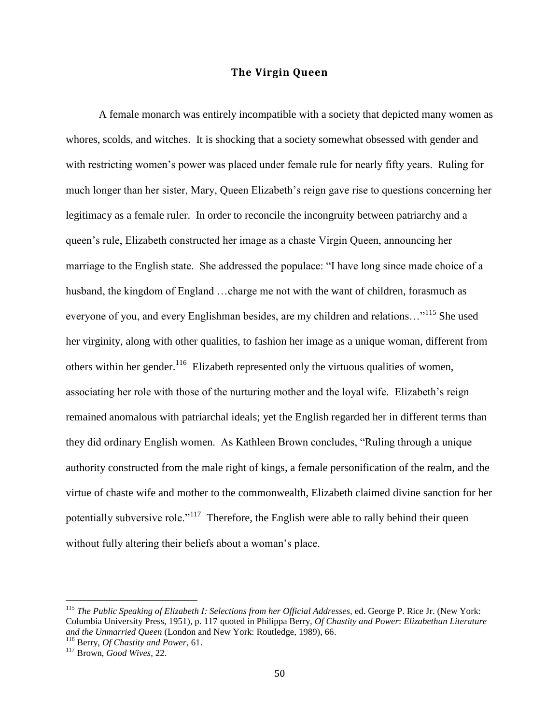## **The Virgin Queen**

A female monarch was entirely incompatible with a society that depicted many women as whores, scolds, and witches. It is shocking that a society somewhat obsessed with gender and with restricting women's power was placed under female rule for nearly fifty years. Ruling for much longer than her sister, Mary, Queen Elizabeth's reign gave rise to questions concerning her legitimacy as a female ruler. In order to reconcile the incongruity between patriarchy and a queen's rule, Elizabeth constructed her image as a chaste Virgin Queen, announcing her marriage to the English state. She addressed the populace: "I have long since made choice of a husband, the kingdom of England ...charge me not with the want of children, forasmuch as everyone of you, and every Englishman besides, are my children and relations…"<sup>115</sup> She used her virginity, along with other qualities, to fashion her image as a unique woman, different from others within her gender.<sup>116</sup> Elizabeth represented only the virtuous qualities of women, associating her role with those of the nurturing mother and the loyal wife. Elizabeth's reign remained anomalous with patriarchal ideals; yet the English regarded her in different terms than they did ordinary English women. As Kathleen Brown concludes, "Ruling through a unique authority constructed from the male right of kings, a female personification of the realm, and the virtue of chaste wife and mother to the commonwealth, Elizabeth claimed divine sanction for her potentially subversive role."<sup>117</sup> Therefore, the English were able to rally behind their queen without fully altering their beliefs about a woman's place.

<sup>115</sup> *The Public Speaking of Elizabeth I: Selections from her Official Addresses,* ed. George P. Rice Jr. (New York: Columbia University Press, 1951), p. 117 quoted in Philippa Berry, *Of Chastity and Power*: *Elizabethan Literature and the Unmarried Queen* (London and New York: Routledge, 1989), 66. <sup>116</sup> Berry, *Of Chastity and Power*, 61.

<sup>117</sup> Brown, *Good Wives*, 22.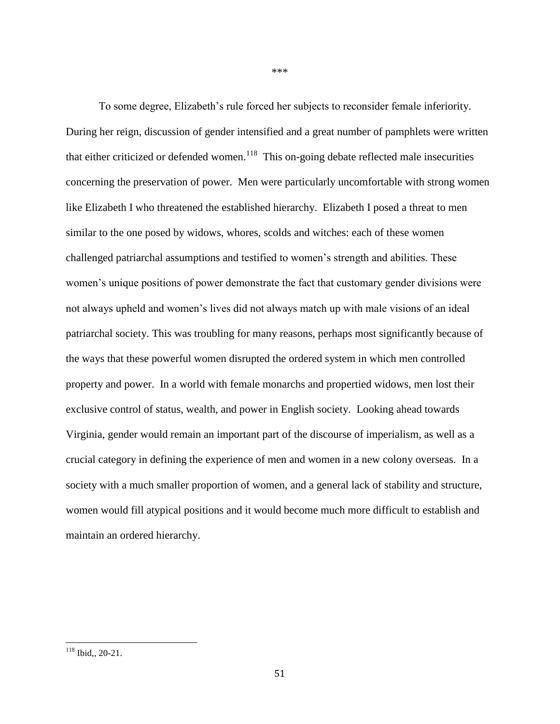To some degree, Elizabeth's rule forced her subjects to reconsider female inferiority. During her reign, discussion of gender intensified and a great number of pamphlets were written that either criticized or defended women.<sup>118</sup> This on-going debate reflected male insecurities concerning the preservation of power. Men were particularly uncomfortable with strong women like Elizabeth I who threatened the established hierarchy. Elizabeth I posed a threat to men similar to the one posed by widows, whores, scolds and witches: each of these women challenged patriarchal assumptions and testified to women's strength and abilities. These women's unique positions of power demonstrate the fact that customary gender divisions were not always upheld and women's lives did not always match up with male visions of an ideal patriarchal society. This was troubling for many reasons, perhaps most significantly because of the ways that these powerful women disrupted the ordered system in which men controlled property and power. In a world with female monarchs and propertied widows, men lost their exclusive control of status, wealth, and power in English society. Looking ahead towards Virginia, gender would remain an important part of the discourse of imperialism, as well as a crucial category in defining the experience of men and women in a new colony overseas. In a society with a much smaller proportion of women, and a general lack of stability and structure, women would fill atypical positions and it would become much more difficult to establish and maintain an ordered hierarchy.

\*\*\*

 $118$  Ibid,, 20-21.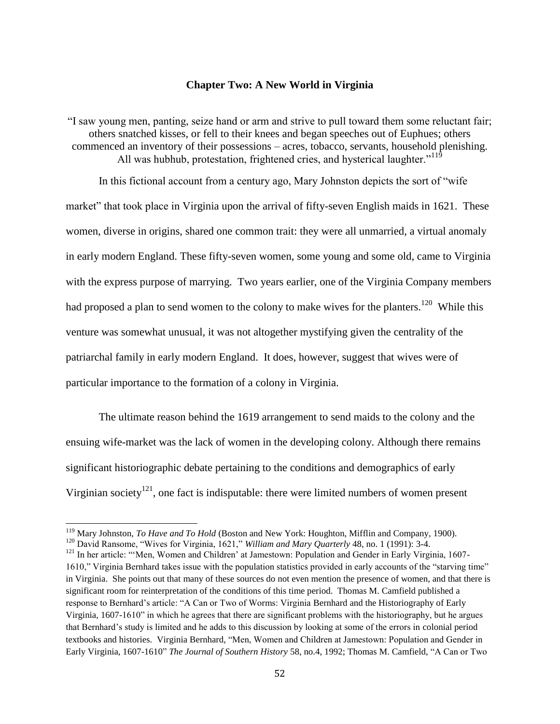#### **Chapter Two: A New World in Virginia**

"I saw young men, panting, seize hand or arm and strive to pull toward them some reluctant fair; others snatched kisses, or fell to their knees and began speeches out of Euphues; others commenced an inventory of their possessions – acres, tobacco, servants, household plenishing. All was hubhub, protestation, frightened cries, and hysterical laughter.<sup>"119</sup>

In this fictional account from a century ago, Mary Johnston depicts the sort of "wife market" that took place in Virginia upon the arrival of fifty-seven English maids in 1621. These women, diverse in origins, shared one common trait: they were all unmarried, a virtual anomaly in early modern England. These fifty-seven women, some young and some old, came to Virginia with the express purpose of marrying. Two years earlier, one of the Virginia Company members had proposed a plan to send women to the colony to make wives for the planters.<sup>120</sup> While this venture was somewhat unusual, it was not altogether mystifying given the centrality of the patriarchal family in early modern England. It does, however, suggest that wives were of particular importance to the formation of a colony in Virginia.

The ultimate reason behind the 1619 arrangement to send maids to the colony and the ensuing wife-market was the lack of women in the developing colony. Although there remains significant historiographic debate pertaining to the conditions and demographics of early Virginian society<sup>121</sup>, one fact is indisputable: there were limited numbers of women present

<sup>119</sup> Mary Johnston, *To Have and To Hold* (Boston and New York: Houghton, Mifflin and Company, 1900).

<sup>&</sup>lt;sup>120</sup> David Ransome, "Wives for Virginia, 1621," *William and Mary Quarterly* 48, no. 1 (1991): 3-4.

<sup>&</sup>lt;sup>121</sup> In her article: "'Men, Women and Children' at Jamestown: Population and Gender in Early Virginia, 1607-1610," Virginia Bernhard takes issue with the population statistics provided in early accounts of the "starving time" in Virginia. She points out that many of these sources do not even mention the presence of women, and that there is significant room for reinterpretation of the conditions of this time period. Thomas M. Camfield published a response to Bernhard's article: "A Can or Two of Worms: Virginia Bernhard and the Historiography of Early Virginia, 1607-1610" in which he agrees that there are significant problems with the historiography, but he argues that Bernhard's study is limited and he adds to this discussion by looking at some of the errors in colonial period textbooks and histories. Virginia Bernhard, "Men, Women and Children at Jamestown: Population and Gender in Early Virginia, 1607-1610" *The Journal of Southern History* 58, no.4, 1992; Thomas M. Camfield, "A Can or Two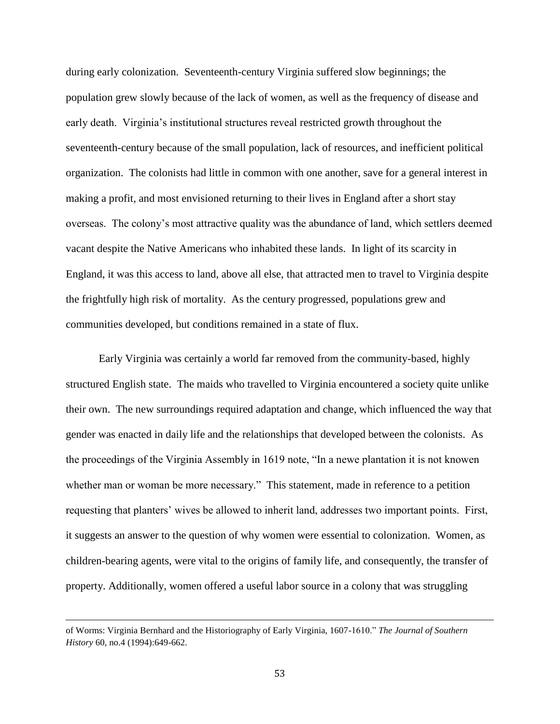during early colonization. Seventeenth-century Virginia suffered slow beginnings; the population grew slowly because of the lack of women, as well as the frequency of disease and early death. Virginia's institutional structures reveal restricted growth throughout the seventeenth-century because of the small population, lack of resources, and inefficient political organization. The colonists had little in common with one another, save for a general interest in making a profit, and most envisioned returning to their lives in England after a short stay overseas. The colony's most attractive quality was the abundance of land, which settlers deemed vacant despite the Native Americans who inhabited these lands. In light of its scarcity in England, it was this access to land, above all else, that attracted men to travel to Virginia despite the frightfully high risk of mortality. As the century progressed, populations grew and communities developed, but conditions remained in a state of flux.

Early Virginia was certainly a world far removed from the community-based, highly structured English state. The maids who travelled to Virginia encountered a society quite unlike their own. The new surroundings required adaptation and change, which influenced the way that gender was enacted in daily life and the relationships that developed between the colonists. As the proceedings of the Virginia Assembly in 1619 note, "In a newe plantation it is not knowen whether man or woman be more necessary." This statement, made in reference to a petition requesting that planters' wives be allowed to inherit land, addresses two important points. First, it suggests an answer to the question of why women were essential to colonization. Women, as children-bearing agents, were vital to the origins of family life, and consequently, the transfer of property. Additionally, women offered a useful labor source in a colony that was struggling

of Worms: Virginia Bernhard and the Historiography of Early Virginia, 1607-1610." *The Journal of Southern History* 60, no.4 (1994):649-662.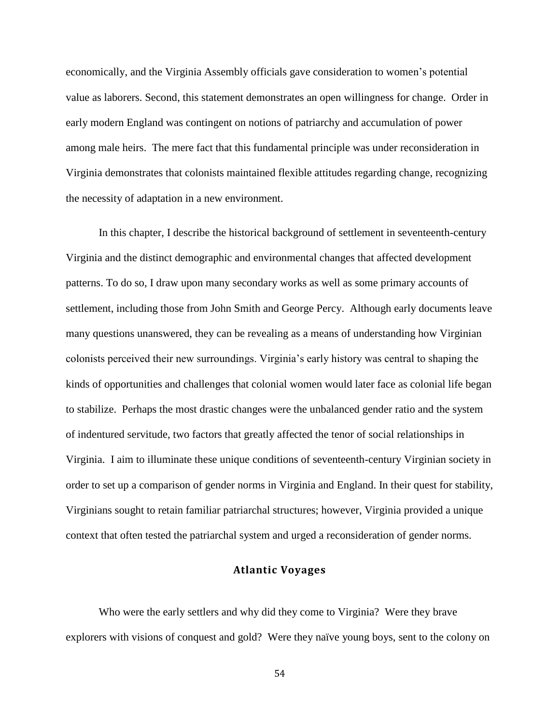economically, and the Virginia Assembly officials gave consideration to women's potential value as laborers. Second, this statement demonstrates an open willingness for change. Order in early modern England was contingent on notions of patriarchy and accumulation of power among male heirs. The mere fact that this fundamental principle was under reconsideration in Virginia demonstrates that colonists maintained flexible attitudes regarding change, recognizing the necessity of adaptation in a new environment.

In this chapter, I describe the historical background of settlement in seventeenth-century Virginia and the distinct demographic and environmental changes that affected development patterns. To do so, I draw upon many secondary works as well as some primary accounts of settlement, including those from John Smith and George Percy. Although early documents leave many questions unanswered, they can be revealing as a means of understanding how Virginian colonists perceived their new surroundings. Virginia's early history was central to shaping the kinds of opportunities and challenges that colonial women would later face as colonial life began to stabilize. Perhaps the most drastic changes were the unbalanced gender ratio and the system of indentured servitude, two factors that greatly affected the tenor of social relationships in Virginia. I aim to illuminate these unique conditions of seventeenth-century Virginian society in order to set up a comparison of gender norms in Virginia and England. In their quest for stability, Virginians sought to retain familiar patriarchal structures; however, Virginia provided a unique context that often tested the patriarchal system and urged a reconsideration of gender norms.

### **Atlantic Voyages**

Who were the early settlers and why did they come to Virginia? Were they brave explorers with visions of conquest and gold? Were they naïve young boys, sent to the colony on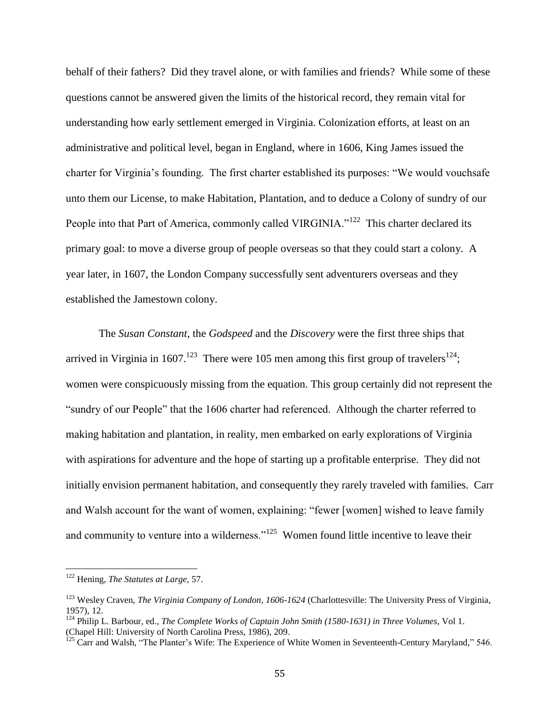behalf of their fathers? Did they travel alone, or with families and friends? While some of these questions cannot be answered given the limits of the historical record, they remain vital for understanding how early settlement emerged in Virginia. Colonization efforts, at least on an administrative and political level, began in England, where in 1606, King James issued the charter for Virginia's founding. The first charter established its purposes: "We would vouchsafe unto them our License, to make Habitation, Plantation, and to deduce a Colony of sundry of our People into that Part of America, commonly called VIRGINIA."<sup>122</sup> This charter declared its primary goal: to move a diverse group of people overseas so that they could start a colony. A year later, in 1607, the London Company successfully sent adventurers overseas and they established the Jamestown colony.

The *Susan Constant*, the *Godspeed* and the *Discovery* were the first three ships that arrived in Virginia in 1607.<sup>123</sup> There were 105 men among this first group of travelers<sup>124</sup>; women were conspicuously missing from the equation. This group certainly did not represent the "sundry of our People" that the 1606 charter had referenced. Although the charter referred to making habitation and plantation, in reality, men embarked on early explorations of Virginia with aspirations for adventure and the hope of starting up a profitable enterprise. They did not initially envision permanent habitation, and consequently they rarely traveled with families. Carr and Walsh account for the want of women, explaining: "fewer [women] wished to leave family and community to venture into a wilderness." $125$  Women found little incentive to leave their

<sup>122</sup> Hening, *The Statutes at Large,* 57.

<sup>123</sup> Wesley Craven, *The Virginia Company of London, 1606-1624* (Charlottesville: The University Press of Virginia, 1957)*,* 12.

<sup>124</sup> Philip L. Barbour, ed., *The Complete Works of Captain John Smith (1580-1631) in Three Volumes*, Vol 1. (Chapel Hill: University of North Carolina Press, 1986), 209.

<sup>&</sup>lt;sup>125</sup> Carr and Walsh, "The Planter's Wife: The Experience of White Women in Seventeenth-Century Maryland," 546.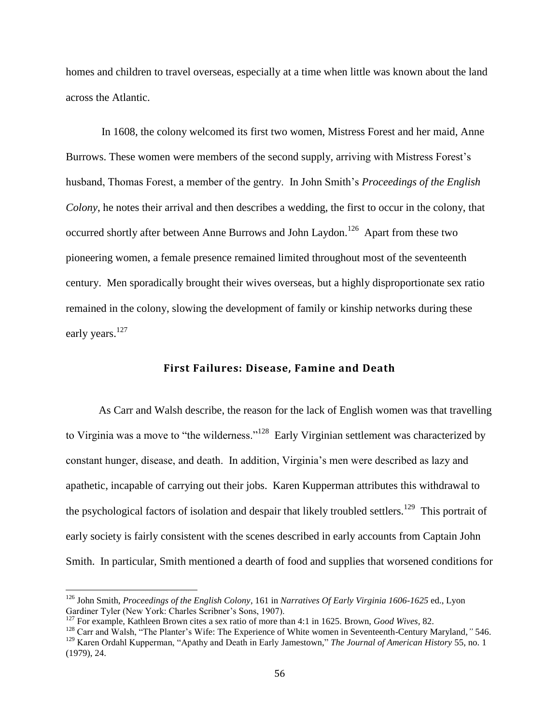homes and children to travel overseas, especially at a time when little was known about the land across the Atlantic.

In 1608, the colony welcomed its first two women, Mistress Forest and her maid, Anne Burrows. These women were members of the second supply, arriving with Mistress Forest's husband, Thomas Forest, a member of the gentry. In John Smith's *Proceedings of the English Colony*, he notes their arrival and then describes a wedding, the first to occur in the colony, that occurred shortly after between Anne Burrows and John Laydon.<sup>126</sup> Apart from these two pioneering women, a female presence remained limited throughout most of the seventeenth century. Men sporadically brought their wives overseas, but a highly disproportionate sex ratio remained in the colony, slowing the development of family or kinship networks during these early years.<sup>127</sup>

# **First Failures: Disease, Famine and Death**

As Carr and Walsh describe, the reason for the lack of English women was that travelling to Virginia was a move to "the wilderness."<sup>128</sup> Early Virginian settlement was characterized by constant hunger, disease, and death. In addition, Virginia's men were described as lazy and apathetic, incapable of carrying out their jobs. Karen Kupperman attributes this withdrawal to the psychological factors of isolation and despair that likely troubled settlers.<sup>129</sup> This portrait of early society is fairly consistent with the scenes described in early accounts from Captain John Smith. In particular, Smith mentioned a dearth of food and supplies that worsened conditions for

<sup>126</sup> John Smith, *Proceedings of the English Colony*, 161 in *Narratives Of Early Virginia 1606-1625* ed., Lyon Gardiner Tyler (New York: Charles Scribner's Sons, 1907).

<sup>127</sup> For example, Kathleen Brown cites a sex ratio of more than 4:1 in 1625. Brown, *Good Wives,* 82.

<sup>128</sup> Carr and Walsh, "The Planter's Wife: The Experience of White women in Seventeenth-Century Maryland*,"* 546. <sup>129</sup> Karen Ordahl Kupperman, "Apathy and Death in Early Jamestown," *The Journal of American History* 55, no. 1 (1979), 24.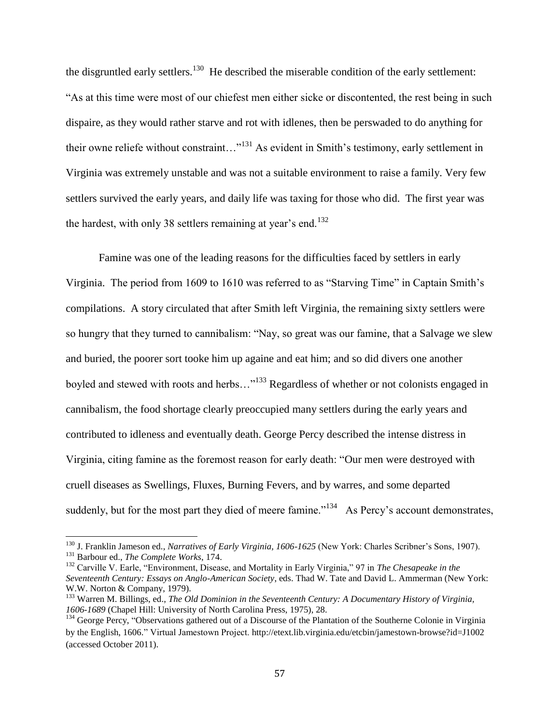the disgruntled early settlers.<sup>130</sup> He described the miserable condition of the early settlement: "As at this time were most of our chiefest men either sicke or discontented, the rest being in such dispaire, as they would rather starve and rot with idlenes, then be perswaded to do anything for their owne reliefe without constraint…"<sup>131</sup> As evident in Smith's testimony, early settlement in Virginia was extremely unstable and was not a suitable environment to raise a family. Very few settlers survived the early years, and daily life was taxing for those who did. The first year was the hardest, with only 38 settlers remaining at year's end.<sup>132</sup>

Famine was one of the leading reasons for the difficulties faced by settlers in early Virginia. The period from 1609 to 1610 was referred to as "Starving Time" in Captain Smith's compilations. A story circulated that after Smith left Virginia, the remaining sixty settlers were so hungry that they turned to cannibalism: "Nay, so great was our famine, that a Salvage we slew and buried, the poorer sort tooke him up againe and eat him; and so did divers one another boyled and stewed with roots and herbs…"<sup>133</sup> Regardless of whether or not colonists engaged in cannibalism, the food shortage clearly preoccupied many settlers during the early years and contributed to idleness and eventually death. George Percy described the intense distress in Virginia, citing famine as the foremost reason for early death: "Our men were destroyed with cruell diseases as Swellings, Fluxes, Burning Fevers, and by warres, and some departed suddenly, but for the most part they died of meere famine."<sup>134</sup> As Percy's account demonstrates,

<sup>130</sup> J. Franklin Jameson ed., *Narratives of Early Virginia, 1606-1625* (New York: Charles Scribner's Sons, 1907). <sup>131</sup> Barbour ed., *The Complete Works*, 174.

<sup>132</sup> Carville V. Earle, "Environment, Disease, and Mortality in Early Virginia," 97 in *The Chesapeake in the Seventeenth Century: Essays on Anglo-American Society*, eds. Thad W. Tate and David L. Ammerman (New York: W.W. Norton & Company, 1979).

<sup>&</sup>lt;sup>133</sup> Warren M. Billings, ed., *The Old Dominion in the Seventeenth Century: A Documentary History of Virginia, 1606-1689* (Chapel Hill: University of North Carolina Press, 1975), 28.

<sup>&</sup>lt;sup>134</sup> George Percy, "Observations gathered out of a Discourse of the Plantation of the Southerne Colonie in Virginia by the English, 1606." Virtual Jamestown Project. http://etext.lib.virginia.edu/etcbin/jamestown-browse?id=J1002 (accessed October 2011).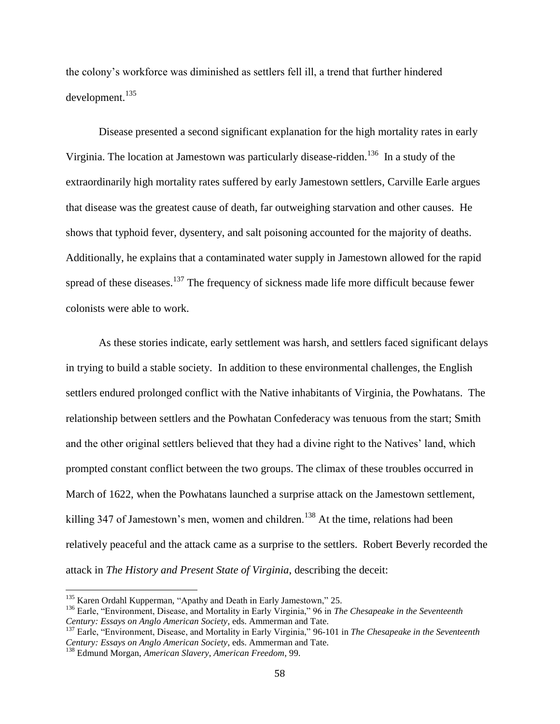the colony's workforce was diminished as settlers fell ill, a trend that further hindered development.<sup>135</sup>

Disease presented a second significant explanation for the high mortality rates in early Virginia. The location at Jamestown was particularly disease-ridden.<sup>136</sup> In a study of the extraordinarily high mortality rates suffered by early Jamestown settlers, Carville Earle argues that disease was the greatest cause of death, far outweighing starvation and other causes. He shows that typhoid fever, dysentery, and salt poisoning accounted for the majority of deaths. Additionally, he explains that a contaminated water supply in Jamestown allowed for the rapid spread of these diseases.<sup>137</sup> The frequency of sickness made life more difficult because fewer colonists were able to work.

As these stories indicate, early settlement was harsh, and settlers faced significant delays in trying to build a stable society. In addition to these environmental challenges, the English settlers endured prolonged conflict with the Native inhabitants of Virginia, the Powhatans. The relationship between settlers and the Powhatan Confederacy was tenuous from the start; Smith and the other original settlers believed that they had a divine right to the Natives' land, which prompted constant conflict between the two groups. The climax of these troubles occurred in March of 1622, when the Powhatans launched a surprise attack on the Jamestown settlement, killing 347 of Jamestown's men, women and children.<sup>138</sup> At the time, relations had been relatively peaceful and the attack came as a surprise to the settlers. Robert Beverly recorded the attack in *The History and Present State of Virginia*, describing the deceit:

<sup>&</sup>lt;sup>135</sup> Karen Ordahl Kupperman, "Apathy and Death in Early Jamestown," 25.

<sup>136</sup> Earle, "Environment, Disease, and Mortality in Early Virginia," 96 in *The Chesapeake in the Seventeenth Century: Essays on Anglo American Society*, eds. Ammerman and Tate.

<sup>137</sup> Earle, "Environment, Disease, and Mortality in Early Virginia," 96-101 in *The Chesapeake in the Seventeenth Century: Essays on Anglo American Society*, eds. Ammerman and Tate.

<sup>138</sup> Edmund Morgan, *American Slavery, American Freedom*, 99.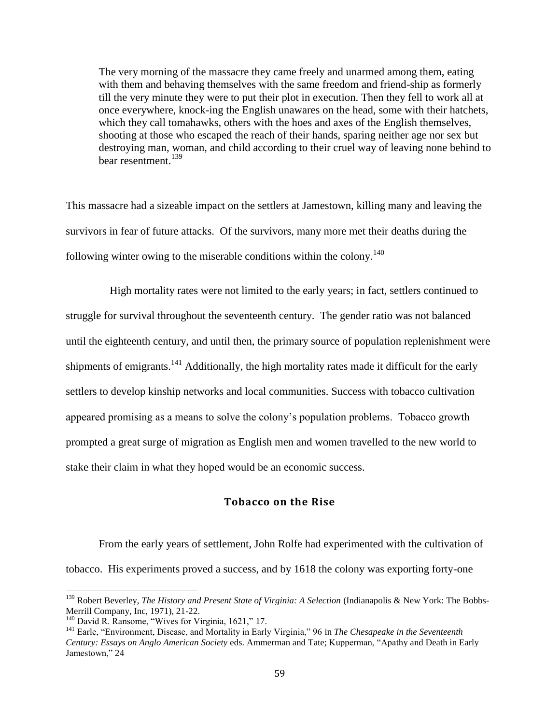The very morning of the massacre they came freely and unarmed among them, eating with them and behaving themselves with the same freedom and friend-ship as formerly till the very minute they were to put their plot in execution. Then they fell to work all at once everywhere, knock-ing the English unawares on the head, some with their hatchets, which they call tomahawks, others with the hoes and axes of the English themselves, shooting at those who escaped the reach of their hands, sparing neither age nor sex but destroying man, woman, and child according to their cruel way of leaving none behind to bear resentment.<sup>139</sup>

This massacre had a sizeable impact on the settlers at Jamestown, killing many and leaving the survivors in fear of future attacks. Of the survivors, many more met their deaths during the following winter owing to the miserable conditions within the colony.<sup>140</sup>

 High mortality rates were not limited to the early years; in fact, settlers continued to struggle for survival throughout the seventeenth century. The gender ratio was not balanced until the eighteenth century, and until then, the primary source of population replenishment were shipments of emigrants.<sup>141</sup> Additionally, the high mortality rates made it difficult for the early settlers to develop kinship networks and local communities. Success with tobacco cultivation appeared promising as a means to solve the colony's population problems. Tobacco growth prompted a great surge of migration as English men and women travelled to the new world to stake their claim in what they hoped would be an economic success.

### **Tobacco on the Rise**

From the early years of settlement, John Rolfe had experimented with the cultivation of tobacco. His experiments proved a success, and by 1618 the colony was exporting forty-one

<sup>139</sup> Robert Beverley, *The History and Present State of Virginia: A Selection* (Indianapolis & New York: The Bobbs-Merrill Company, Inc, 1971), 21-22.

<sup>&</sup>lt;sup>140</sup> David R. Ransome, "Wives for Virginia, 1621," 17.

<sup>141</sup> Earle, "Environment, Disease, and Mortality in Early Virginia," 96 in *The Chesapeake in the Seventeenth Century: Essays on Anglo American Society* eds. Ammerman and Tate; Kupperman, "Apathy and Death in Early Jamestown," 24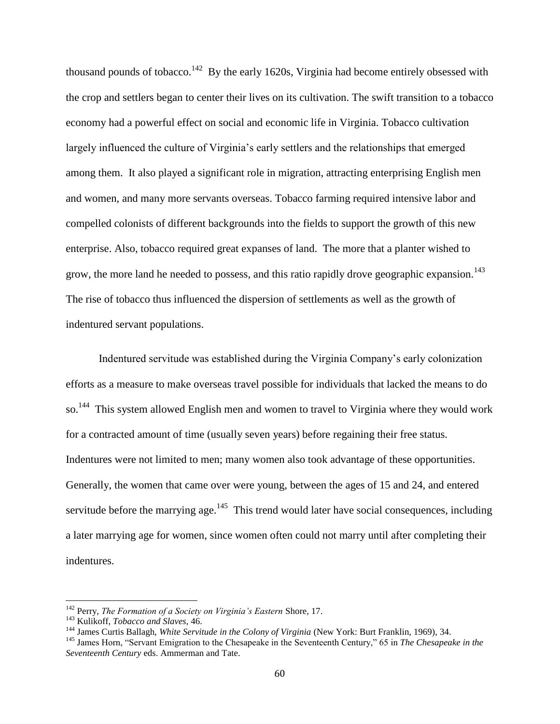thousand pounds of tobacco.<sup>142</sup> By the early 1620s, Virginia had become entirely obsessed with the crop and settlers began to center their lives on its cultivation. The swift transition to a tobacco economy had a powerful effect on social and economic life in Virginia. Tobacco cultivation largely influenced the culture of Virginia's early settlers and the relationships that emerged among them. It also played a significant role in migration, attracting enterprising English men and women, and many more servants overseas. Tobacco farming required intensive labor and compelled colonists of different backgrounds into the fields to support the growth of this new enterprise. Also, tobacco required great expanses of land. The more that a planter wished to grow, the more land he needed to possess, and this ratio rapidly drove geographic expansion.<sup>143</sup> The rise of tobacco thus influenced the dispersion of settlements as well as the growth of indentured servant populations.

Indentured servitude was established during the Virginia Company's early colonization efforts as a measure to make overseas travel possible for individuals that lacked the means to do so.<sup>144</sup> This system allowed English men and women to travel to Virginia where they would work for a contracted amount of time (usually seven years) before regaining their free status. Indentures were not limited to men; many women also took advantage of these opportunities. Generally, the women that came over were young, between the ages of 15 and 24, and entered servitude before the marrying age.<sup>145</sup> This trend would later have social consequences, including a later marrying age for women, since women often could not marry until after completing their indentures.

<sup>142</sup> Perry, *The Formation of a Society on Virginia's Eastern* Shore, 17.

<sup>143</sup> Kulikoff, *Tobacco and Slaves,* 46.

<sup>144</sup> James Curtis Ballagh, *White Servitude in the Colony of Virginia* (New York: Burt Franklin, 1969), 34.

<sup>145</sup> James Horn, "Servant Emigration to the Chesapeake in the Seventeenth Century," 65 in *The Chesapeake in the Seventeenth Century* eds. Ammerman and Tate.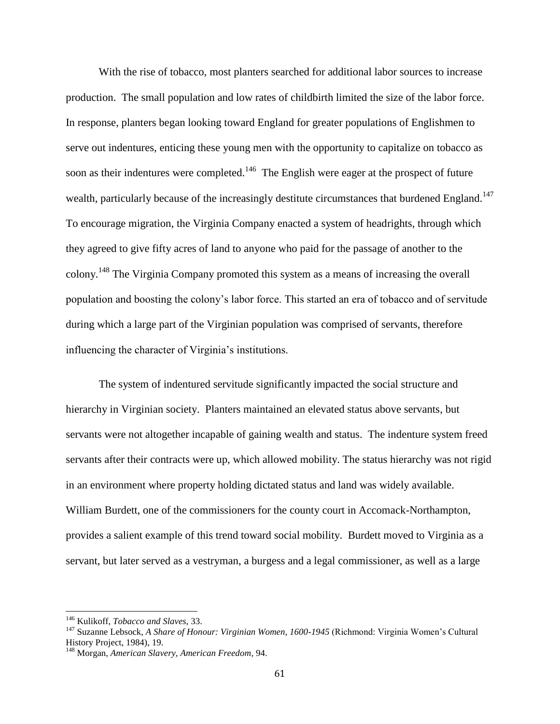With the rise of tobacco, most planters searched for additional labor sources to increase production. The small population and low rates of childbirth limited the size of the labor force. In response, planters began looking toward England for greater populations of Englishmen to serve out indentures, enticing these young men with the opportunity to capitalize on tobacco as soon as their indentures were completed.<sup>146</sup> The English were eager at the prospect of future wealth, particularly because of the increasingly destitute circumstances that burdened England.<sup>147</sup> To encourage migration, the Virginia Company enacted a system of headrights, through which they agreed to give fifty acres of land to anyone who paid for the passage of another to the colony.<sup>148</sup> The Virginia Company promoted this system as a means of increasing the overall population and boosting the colony's labor force. This started an era of tobacco and of servitude during which a large part of the Virginian population was comprised of servants, therefore influencing the character of Virginia's institutions.

The system of indentured servitude significantly impacted the social structure and hierarchy in Virginian society. Planters maintained an elevated status above servants, but servants were not altogether incapable of gaining wealth and status. The indenture system freed servants after their contracts were up, which allowed mobility. The status hierarchy was not rigid in an environment where property holding dictated status and land was widely available. William Burdett, one of the commissioners for the county court in Accomack-Northampton, provides a salient example of this trend toward social mobility. Burdett moved to Virginia as a servant, but later served as a vestryman, a burgess and a legal commissioner, as well as a large

<sup>146</sup> Kulikoff, *Tobacco and Slaves*, 33.

<sup>147</sup> Suzanne Lebsock, *A Share of Honour: Virginian Women, 1600-1945* (Richmond: Virginia Women's Cultural History Project, 1984), 19.

<sup>148</sup> Morgan, *American Slavery, American Freedom*, 94.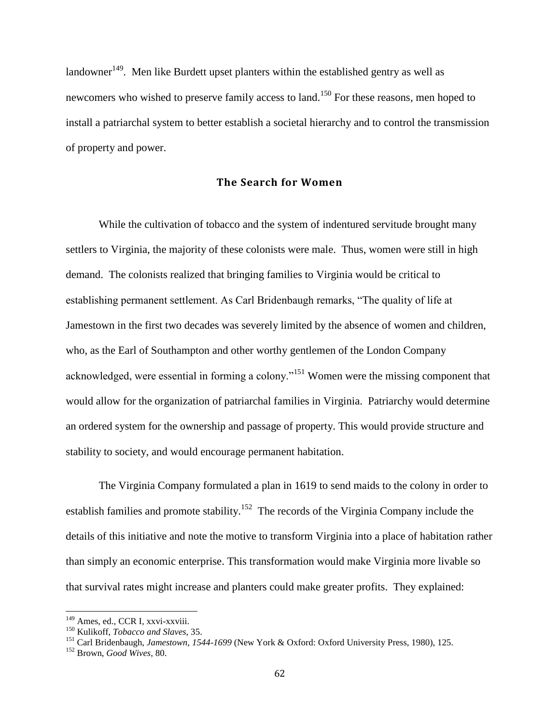$\lambda$ landowner<sup>149</sup>. Men like Burdett upset planters within the established gentry as well as newcomers who wished to preserve family access to land.<sup>150</sup> For these reasons, men hoped to install a patriarchal system to better establish a societal hierarchy and to control the transmission of property and power.

# **The Search for Women**

While the cultivation of tobacco and the system of indentured servitude brought many settlers to Virginia, the majority of these colonists were male. Thus, women were still in high demand. The colonists realized that bringing families to Virginia would be critical to establishing permanent settlement. As Carl Bridenbaugh remarks, "The quality of life at Jamestown in the first two decades was severely limited by the absence of women and children, who, as the Earl of Southampton and other worthy gentlemen of the London Company acknowledged, were essential in forming a colony."<sup>151</sup> Women were the missing component that would allow for the organization of patriarchal families in Virginia. Patriarchy would determine an ordered system for the ownership and passage of property. This would provide structure and stability to society, and would encourage permanent habitation.

The Virginia Company formulated a plan in 1619 to send maids to the colony in order to establish families and promote stability.<sup>152</sup> The records of the Virginia Company include the details of this initiative and note the motive to transform Virginia into a place of habitation rather than simply an economic enterprise. This transformation would make Virginia more livable so that survival rates might increase and planters could make greater profits. They explained:

<sup>&</sup>lt;sup>149</sup> Ames, ed., CCR I, xxvi-xxviii.

<sup>150</sup> Kulikoff, *Tobacco and Slaves*, 35.

<sup>151</sup> Carl Bridenbaugh, *Jamestown, 1544-1699* (New York & Oxford: Oxford University Press, 1980), 125.

<sup>152</sup> Brown, *Good Wives*, 80.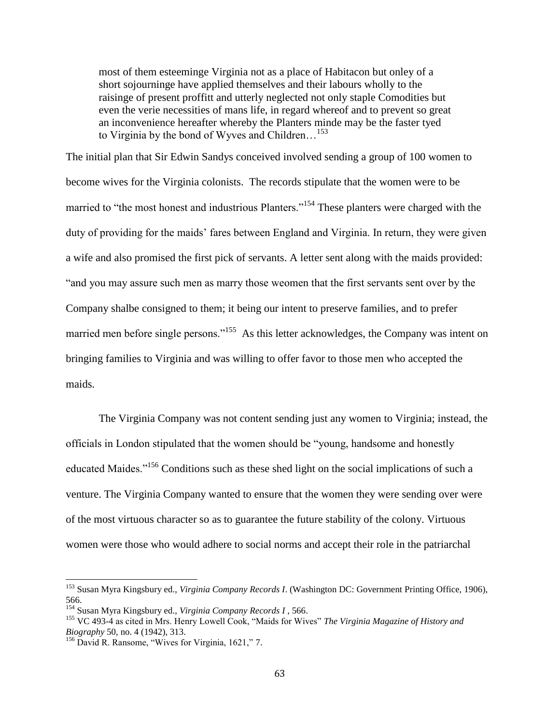most of them esteeminge Virginia not as a place of Habitacon but onley of a short sojourninge have applied themselves and their labours wholly to the raisinge of present proffitt and utterly neglected not only staple Comodities but even the verie necessities of mans life, in regard whereof and to prevent so great an inconvenience hereafter whereby the Planters minde may be the faster tyed to Virginia by the bond of Wyves and Children...<sup>153</sup>

The initial plan that Sir Edwin Sandys conceived involved sending a group of 100 women to become wives for the Virginia colonists. The records stipulate that the women were to be married to "the most honest and industrious Planters."<sup>154</sup> These planters were charged with the duty of providing for the maids' fares between England and Virginia. In return, they were given a wife and also promised the first pick of servants. A letter sent along with the maids provided: "and you may assure such men as marry those weomen that the first servants sent over by the Company shalbe consigned to them; it being our intent to preserve families, and to prefer married men before single persons."<sup>155</sup> As this letter acknowledges, the Company was intent on bringing families to Virginia and was willing to offer favor to those men who accepted the maids.

The Virginia Company was not content sending just any women to Virginia; instead, the officials in London stipulated that the women should be "young, handsome and honestly educated Maides."<sup>156</sup> Conditions such as these shed light on the social implications of such a venture. The Virginia Company wanted to ensure that the women they were sending over were of the most virtuous character so as to guarantee the future stability of the colony. Virtuous women were those who would adhere to social norms and accept their role in the patriarchal

<sup>153</sup> Susan Myra Kingsbury ed., *Virginia Company Records I*. (Washington DC: Government Printing Office, 1906), 566.

<sup>154</sup> Susan Myra Kingsbury ed., *Virginia Company Records I* , 566.

<sup>155</sup> VC 493-4 as cited in Mrs. Henry Lowell Cook, "Maids for Wives" *The Virginia Magazine of History and Biography* 50, no. 4 (1942), 313.

<sup>&</sup>lt;sup>156</sup> David R. Ransome, "Wives for Virginia, 1621," 7.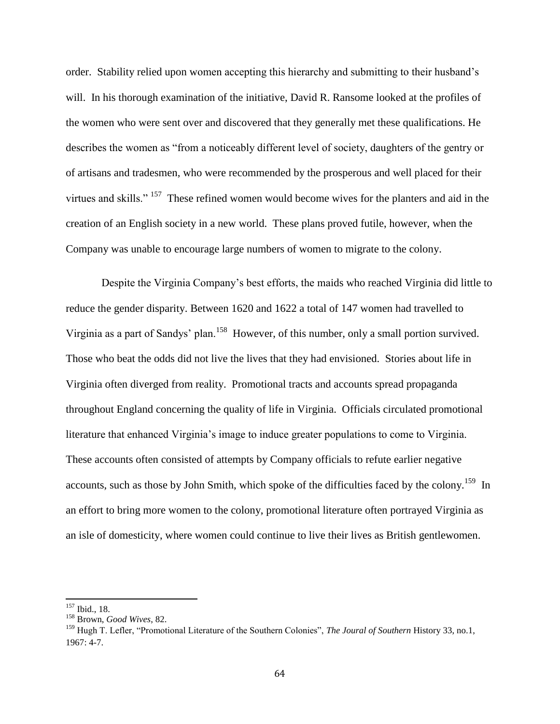order. Stability relied upon women accepting this hierarchy and submitting to their husband's will. In his thorough examination of the initiative, David R. Ransome looked at the profiles of the women who were sent over and discovered that they generally met these qualifications. He describes the women as "from a noticeably different level of society, daughters of the gentry or of artisans and tradesmen, who were recommended by the prosperous and well placed for their virtues and skills."<sup>157</sup> These refined women would become wives for the planters and aid in the creation of an English society in a new world. These plans proved futile, however, when the Company was unable to encourage large numbers of women to migrate to the colony.

Despite the Virginia Company's best efforts, the maids who reached Virginia did little to reduce the gender disparity. Between 1620 and 1622 a total of 147 women had travelled to Virginia as a part of Sandys' plan.<sup>158</sup> However, of this number, only a small portion survived. Those who beat the odds did not live the lives that they had envisioned. Stories about life in Virginia often diverged from reality. Promotional tracts and accounts spread propaganda throughout England concerning the quality of life in Virginia. Officials circulated promotional literature that enhanced Virginia's image to induce greater populations to come to Virginia. These accounts often consisted of attempts by Company officials to refute earlier negative accounts, such as those by John Smith, which spoke of the difficulties faced by the colony.<sup>159</sup> In an effort to bring more women to the colony, promotional literature often portrayed Virginia as an isle of domesticity, where women could continue to live their lives as British gentlewomen.

<sup>157</sup> Ibid., 18.

<sup>158</sup> Brown, *Good Wives*, 82.

<sup>159</sup> Hugh T. Lefler, "Promotional Literature of the Southern Colonies", *The Joural of Southern* History 33, no.1, 1967: 4-7.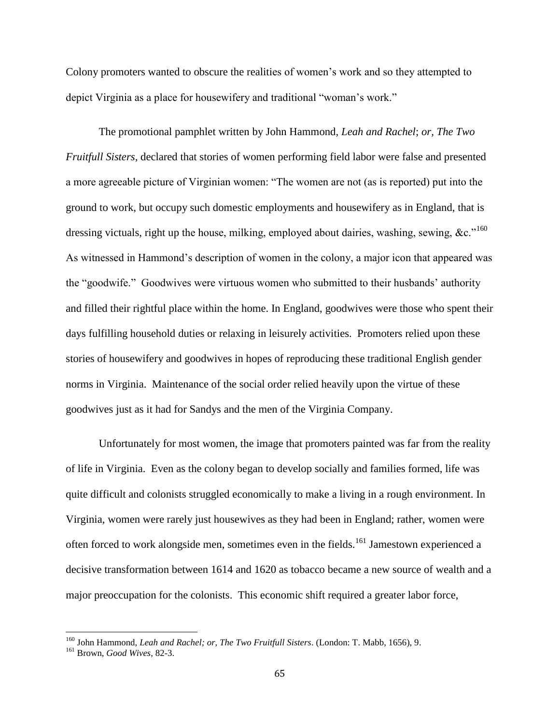Colony promoters wanted to obscure the realities of women's work and so they attempted to depict Virginia as a place for housewifery and traditional "woman's work."

The promotional pamphlet written by John Hammond, *Leah and Rachel*; *or, The Two Fruitfull Sisters,* declared that stories of women performing field labor were false and presented a more agreeable picture of Virginian women: "The women are not (as is reported) put into the ground to work, but occupy such domestic employments and housewifery as in England, that is dressing victuals, right up the house, milking, employed about dairies, washing, sewing, &c."<sup>160</sup> As witnessed in Hammond's description of women in the colony, a major icon that appeared was the "goodwife." Goodwives were virtuous women who submitted to their husbands' authority and filled their rightful place within the home. In England, goodwives were those who spent their days fulfilling household duties or relaxing in leisurely activities. Promoters relied upon these stories of housewifery and goodwives in hopes of reproducing these traditional English gender norms in Virginia. Maintenance of the social order relied heavily upon the virtue of these goodwives just as it had for Sandys and the men of the Virginia Company.

Unfortunately for most women, the image that promoters painted was far from the reality of life in Virginia. Even as the colony began to develop socially and families formed, life was quite difficult and colonists struggled economically to make a living in a rough environment. In Virginia, women were rarely just housewives as they had been in England; rather, women were often forced to work alongside men, sometimes even in the fields.<sup>161</sup> Jamestown experienced a decisive transformation between 1614 and 1620 as tobacco became a new source of wealth and a major preoccupation for the colonists. This economic shift required a greater labor force,

<sup>160</sup> John Hammond, *Leah and Rachel; or, The Two Fruitfull Sisters*. (London: T. Mabb, 1656), 9.

<sup>161</sup> Brown, *Good Wives*, 82-3.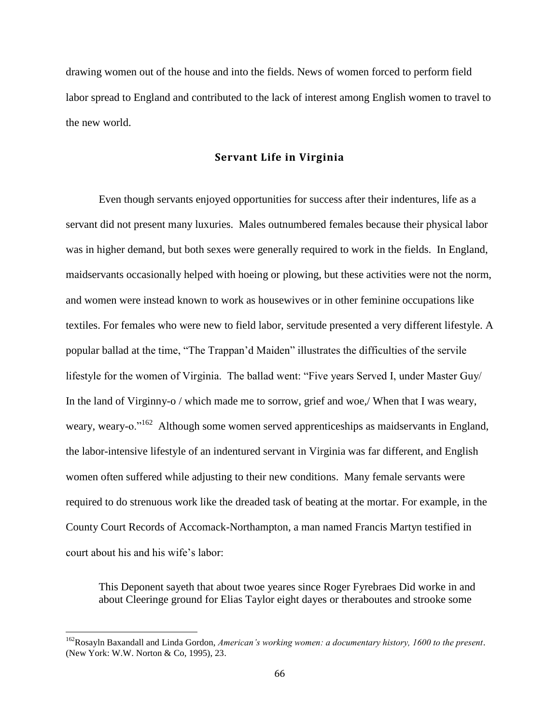drawing women out of the house and into the fields. News of women forced to perform field labor spread to England and contributed to the lack of interest among English women to travel to the new world.

#### **Servant Life in Virginia**

Even though servants enjoyed opportunities for success after their indentures, life as a servant did not present many luxuries. Males outnumbered females because their physical labor was in higher demand, but both sexes were generally required to work in the fields. In England, maidservants occasionally helped with hoeing or plowing, but these activities were not the norm, and women were instead known to work as housewives or in other feminine occupations like textiles. For females who were new to field labor, servitude presented a very different lifestyle. A popular ballad at the time, "The Trappan'd Maiden" illustrates the difficulties of the servile lifestyle for the women of Virginia. The ballad went: "Five years Served I, under Master Guy/ In the land of Virginny-o / which made me to sorrow, grief and woe,/ When that I was weary, weary, weary-o."<sup>162</sup> Although some women served apprenticeships as maidservants in England, the labor-intensive lifestyle of an indentured servant in Virginia was far different, and English women often suffered while adjusting to their new conditions. Many female servants were required to do strenuous work like the dreaded task of beating at the mortar. For example, in the County Court Records of Accomack-Northampton, a man named Francis Martyn testified in court about his and his wife's labor:

This Deponent sayeth that about twoe yeares since Roger Fyrebraes Did worke in and about Cleeringe ground for Elias Taylor eight dayes or theraboutes and strooke some

<sup>162</sup>Rosayln Baxandall and Linda Gordon, *American's working women: a documentary history, 1600 to the present*. (New York: W.W. Norton & Co, 1995), 23.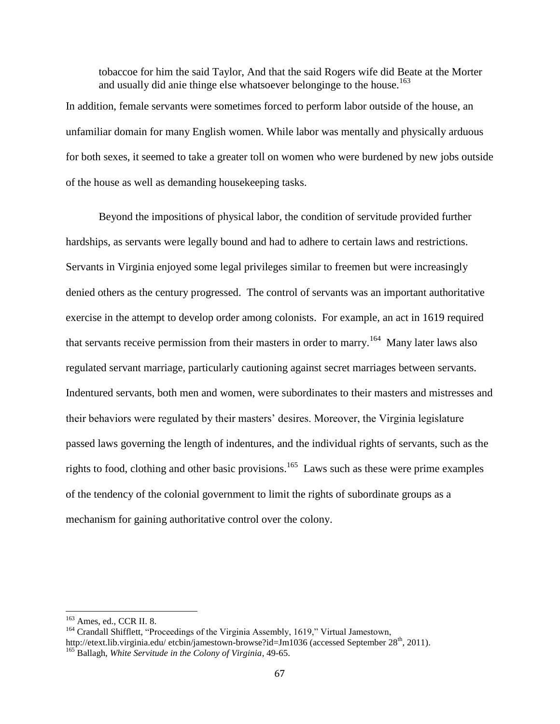tobaccoe for him the said Taylor, And that the said Rogers wife did Beate at the Morter and usually did anie thinge else whatsoever belonginge to the house.<sup>163</sup>

In addition, female servants were sometimes forced to perform labor outside of the house, an unfamiliar domain for many English women. While labor was mentally and physically arduous for both sexes, it seemed to take a greater toll on women who were burdened by new jobs outside of the house as well as demanding housekeeping tasks.

Beyond the impositions of physical labor, the condition of servitude provided further hardships, as servants were legally bound and had to adhere to certain laws and restrictions. Servants in Virginia enjoyed some legal privileges similar to freemen but were increasingly denied others as the century progressed. The control of servants was an important authoritative exercise in the attempt to develop order among colonists. For example, an act in 1619 required that servants receive permission from their masters in order to marry.<sup>164</sup> Many later laws also regulated servant marriage, particularly cautioning against secret marriages between servants. Indentured servants, both men and women, were subordinates to their masters and mistresses and their behaviors were regulated by their masters' desires. Moreover, the Virginia legislature passed laws governing the length of indentures, and the individual rights of servants, such as the rights to food, clothing and other basic provisions.<sup>165</sup> Laws such as these were prime examples of the tendency of the colonial government to limit the rights of subordinate groups as a mechanism for gaining authoritative control over the colony.

<sup>163</sup> Ames, ed., CCR II. 8.

<sup>&</sup>lt;sup>164</sup> Crandall Shifflett, "Proceedings of the Virginia Assembly, 1619," Virtual Jamestown, http://etext.lib.virginia.edu/ etcbin/jamestown-browse?id=Jm1036 (accessed September 28<sup>th</sup>, 2011). <sup>165</sup> Ballagh, *White Servitude in the Colony of Virginia*, 49-65.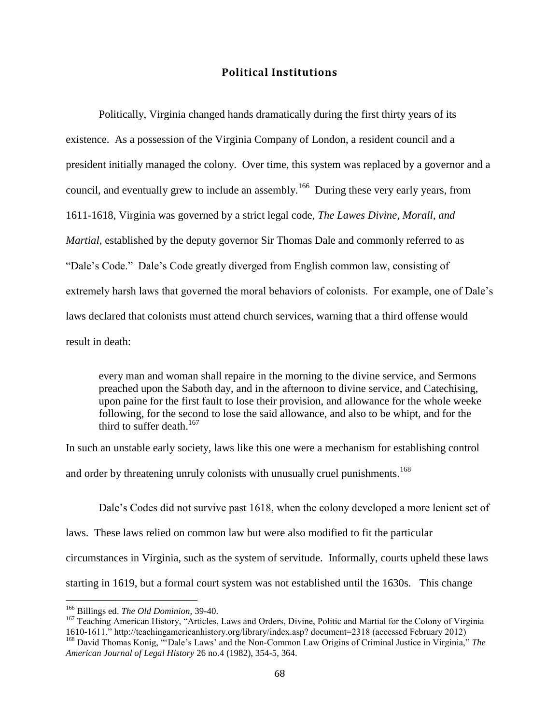# **Political Institutions**

Politically, Virginia changed hands dramatically during the first thirty years of its existence. As a possession of the Virginia Company of London, a resident council and a president initially managed the colony. Over time, this system was replaced by a governor and a council, and eventually grew to include an assembly.<sup>166</sup> During these very early years, from 1611-1618, Virginia was governed by a strict legal code, *The Lawes Divine, Morall, and Martial,* established by the deputy governor Sir Thomas Dale and commonly referred to as "Dale's Code." Dale's Code greatly diverged from English common law, consisting of extremely harsh laws that governed the moral behaviors of colonists. For example, one of Dale's laws declared that colonists must attend church services, warning that a third offense would result in death:

every man and woman shall repaire in the morning to the divine service, and Sermons preached upon the Saboth day, and in the afternoon to divine service, and Catechising, upon paine for the first fault to lose their provision, and allowance for the whole weeke following, for the second to lose the said allowance, and also to be whipt, and for the third to suffer death.<sup>167</sup>

In such an unstable early society, laws like this one were a mechanism for establishing control and order by threatening unruly colonists with unusually cruel punishments.<sup>168</sup>

Dale's Codes did not survive past 1618, when the colony developed a more lenient set of laws. These laws relied on common law but were also modified to fit the particular circumstances in Virginia, such as the system of servitude. Informally, courts upheld these laws starting in 1619, but a formal court system was not established until the 1630s. This change

<sup>166</sup> Billings ed. *The Old Dominion,* 39-40.

<sup>&</sup>lt;sup>167</sup> Teaching American History, "Articles, Laws and Orders, Divine, Politic and Martial for the Colony of Virginia 1610-1611." http://teachingamericanhistory.org/library/index.asp? document=2318 (accessed February 2012)

<sup>168</sup> David Thomas Konig, "'Dale's Laws' and the Non-Common Law Origins of Criminal Justice in Virginia," *The American Journal of Legal History* 26 no.4 (1982), 354-5, 364.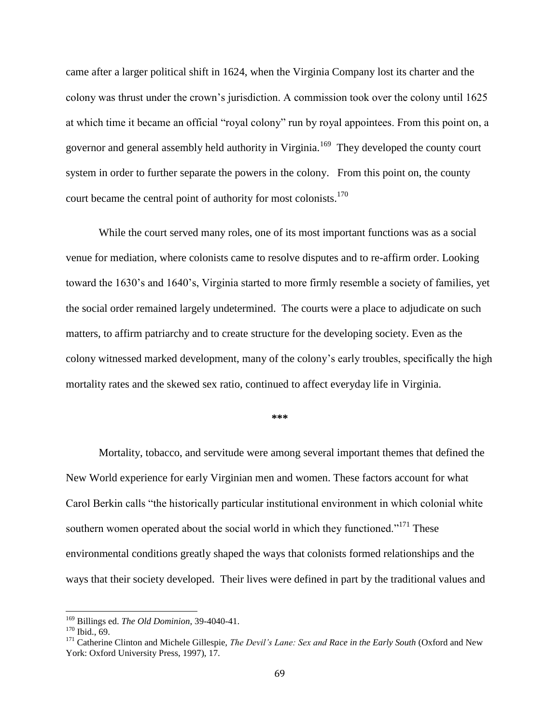came after a larger political shift in 1624, when the Virginia Company lost its charter and the colony was thrust under the crown's jurisdiction. A commission took over the colony until 1625 at which time it became an official "royal colony" run by royal appointees. From this point on, a governor and general assembly held authority in Virginia.<sup>169</sup> They developed the county court system in order to further separate the powers in the colony. From this point on, the county court became the central point of authority for most colonists.<sup>170</sup>

While the court served many roles, one of its most important functions was as a social venue for mediation, where colonists came to resolve disputes and to re-affirm order. Looking toward the 1630's and 1640's, Virginia started to more firmly resemble a society of families, yet the social order remained largely undetermined. The courts were a place to adjudicate on such matters, to affirm patriarchy and to create structure for the developing society. Even as the colony witnessed marked development, many of the colony's early troubles, specifically the high mortality rates and the skewed sex ratio, continued to affect everyday life in Virginia.

#### **\*\*\***

Mortality, tobacco, and servitude were among several important themes that defined the New World experience for early Virginian men and women. These factors account for what Carol Berkin calls "the historically particular institutional environment in which colonial white southern women operated about the social world in which they functioned."<sup>171</sup> These environmental conditions greatly shaped the ways that colonists formed relationships and the ways that their society developed. Their lives were defined in part by the traditional values and

<sup>169</sup> Billings ed. *The Old Dominion*, 39-4040-41.

 $170$  Ibid., 69.

<sup>171</sup> Catherine Clinton and Michele Gillespie, *The Devil's Lane: Sex and Race in the Early South* (Oxford and New York: Oxford University Press, 1997), 17.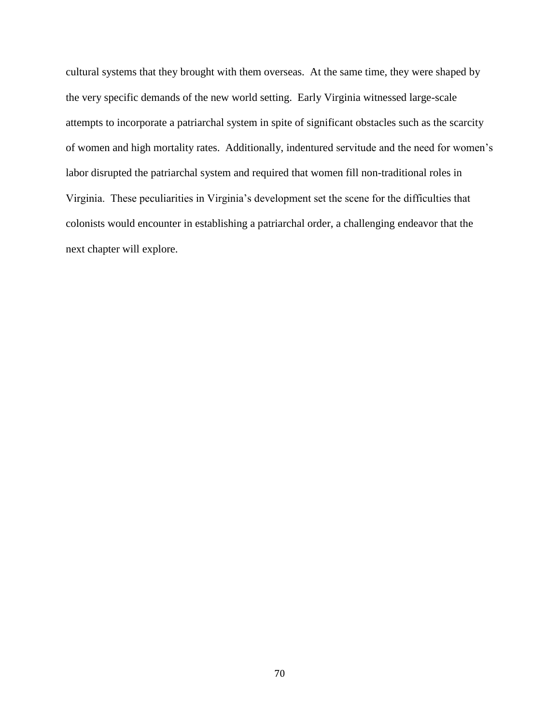cultural systems that they brought with them overseas. At the same time, they were shaped by the very specific demands of the new world setting. Early Virginia witnessed large-scale attempts to incorporate a patriarchal system in spite of significant obstacles such as the scarcity of women and high mortality rates. Additionally, indentured servitude and the need for women's labor disrupted the patriarchal system and required that women fill non-traditional roles in Virginia. These peculiarities in Virginia's development set the scene for the difficulties that colonists would encounter in establishing a patriarchal order, a challenging endeavor that the next chapter will explore.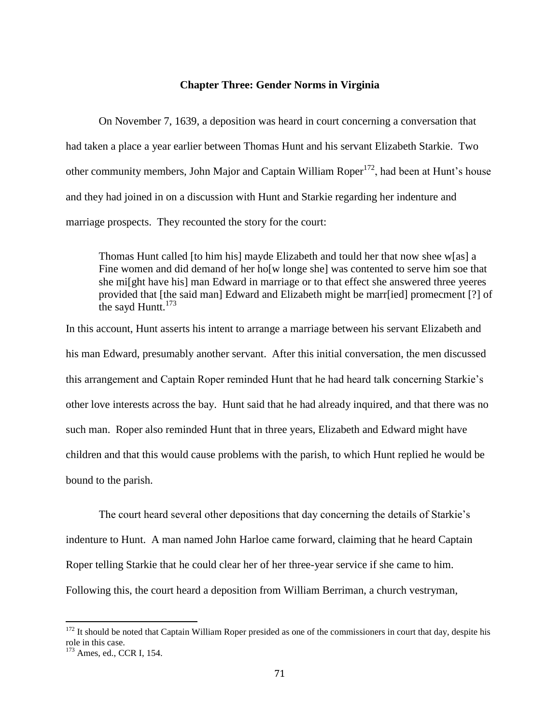#### **Chapter Three: Gender Norms in Virginia**

On November 7, 1639, a deposition was heard in court concerning a conversation that had taken a place a year earlier between Thomas Hunt and his servant Elizabeth Starkie. Two other community members, John Major and Captain William Roper<sup>172</sup>, had been at Hunt's house and they had joined in on a discussion with Hunt and Starkie regarding her indenture and marriage prospects. They recounted the story for the court:

Thomas Hunt called [to him his] mayde Elizabeth and tould her that now shee w[as] a Fine women and did demand of her ho[w longe she] was contented to serve him soe that she mi[ght have his] man Edward in marriage or to that effect she answered three yeeres provided that [the said man] Edward and Elizabeth might be marr[ied] promecment [?] of the sayd Huntt. $173$ 

In this account, Hunt asserts his intent to arrange a marriage between his servant Elizabeth and his man Edward, presumably another servant. After this initial conversation, the men discussed this arrangement and Captain Roper reminded Hunt that he had heard talk concerning Starkie's other love interests across the bay. Hunt said that he had already inquired, and that there was no such man. Roper also reminded Hunt that in three years, Elizabeth and Edward might have children and that this would cause problems with the parish, to which Hunt replied he would be bound to the parish.

The court heard several other depositions that day concerning the details of Starkie's indenture to Hunt. A man named John Harloe came forward, claiming that he heard Captain Roper telling Starkie that he could clear her of her three-year service if she came to him. Following this, the court heard a deposition from William Berriman, a church vestryman,

 $172$  It should be noted that Captain William Roper presided as one of the commissioners in court that day, despite his role in this case.

 $173$  Ames, ed., CCR I, 154.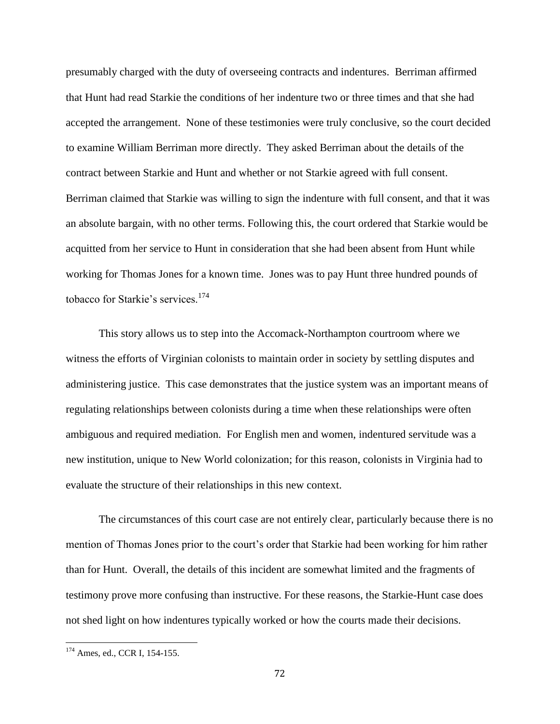presumably charged with the duty of overseeing contracts and indentures. Berriman affirmed that Hunt had read Starkie the conditions of her indenture two or three times and that she had accepted the arrangement. None of these testimonies were truly conclusive, so the court decided to examine William Berriman more directly. They asked Berriman about the details of the contract between Starkie and Hunt and whether or not Starkie agreed with full consent. Berriman claimed that Starkie was willing to sign the indenture with full consent, and that it was an absolute bargain, with no other terms. Following this, the court ordered that Starkie would be acquitted from her service to Hunt in consideration that she had been absent from Hunt while working for Thomas Jones for a known time. Jones was to pay Hunt three hundred pounds of tobacco for Starkie's services.<sup>174</sup>

This story allows us to step into the Accomack-Northampton courtroom where we witness the efforts of Virginian colonists to maintain order in society by settling disputes and administering justice. This case demonstrates that the justice system was an important means of regulating relationships between colonists during a time when these relationships were often ambiguous and required mediation. For English men and women, indentured servitude was a new institution, unique to New World colonization; for this reason, colonists in Virginia had to evaluate the structure of their relationships in this new context.

The circumstances of this court case are not entirely clear, particularly because there is no mention of Thomas Jones prior to the court's order that Starkie had been working for him rather than for Hunt. Overall, the details of this incident are somewhat limited and the fragments of testimony prove more confusing than instructive. For these reasons, the Starkie-Hunt case does not shed light on how indentures typically worked or how the courts made their decisions.

<sup>&</sup>lt;sup>174</sup> Ames, ed., CCR I, 154-155.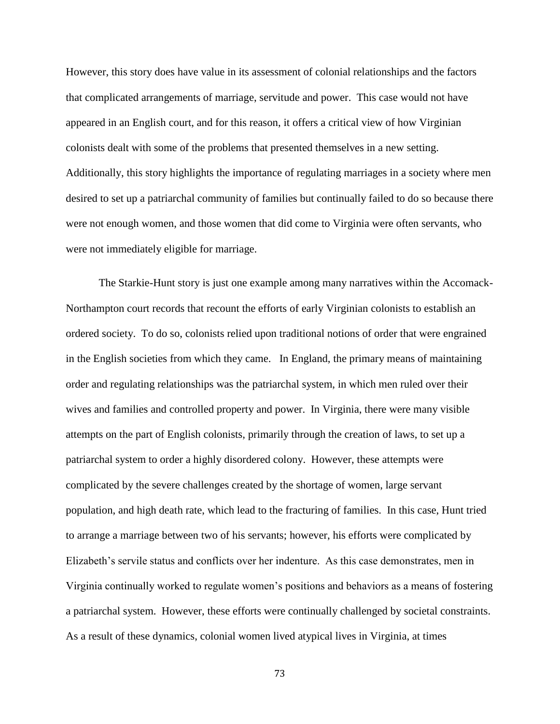However, this story does have value in its assessment of colonial relationships and the factors that complicated arrangements of marriage, servitude and power. This case would not have appeared in an English court, and for this reason, it offers a critical view of how Virginian colonists dealt with some of the problems that presented themselves in a new setting. Additionally, this story highlights the importance of regulating marriages in a society where men desired to set up a patriarchal community of families but continually failed to do so because there were not enough women, and those women that did come to Virginia were often servants, who were not immediately eligible for marriage.

The Starkie-Hunt story is just one example among many narratives within the Accomack-Northampton court records that recount the efforts of early Virginian colonists to establish an ordered society. To do so, colonists relied upon traditional notions of order that were engrained in the English societies from which they came. In England, the primary means of maintaining order and regulating relationships was the patriarchal system, in which men ruled over their wives and families and controlled property and power. In Virginia, there were many visible attempts on the part of English colonists, primarily through the creation of laws, to set up a patriarchal system to order a highly disordered colony. However, these attempts were complicated by the severe challenges created by the shortage of women, large servant population, and high death rate, which lead to the fracturing of families. In this case, Hunt tried to arrange a marriage between two of his servants; however, his efforts were complicated by Elizabeth's servile status and conflicts over her indenture. As this case demonstrates, men in Virginia continually worked to regulate women's positions and behaviors as a means of fostering a patriarchal system. However, these efforts were continually challenged by societal constraints. As a result of these dynamics, colonial women lived atypical lives in Virginia, at times

73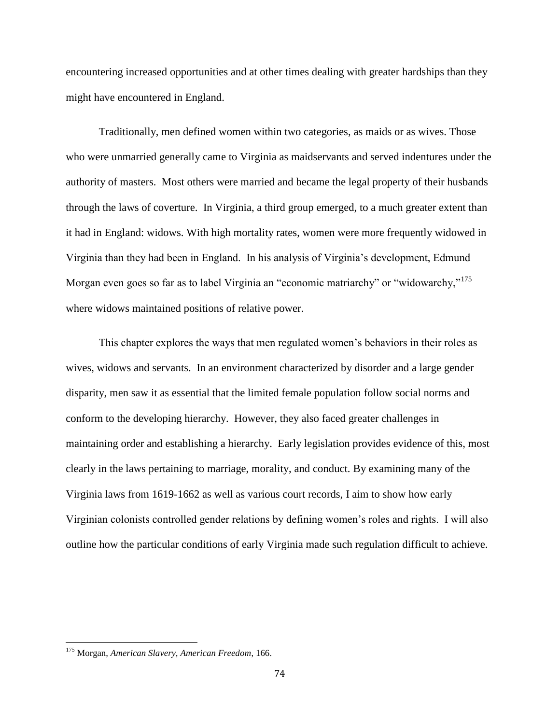encountering increased opportunities and at other times dealing with greater hardships than they might have encountered in England.

Traditionally, men defined women within two categories, as maids or as wives. Those who were unmarried generally came to Virginia as maidservants and served indentures under the authority of masters. Most others were married and became the legal property of their husbands through the laws of coverture. In Virginia, a third group emerged, to a much greater extent than it had in England: widows. With high mortality rates, women were more frequently widowed in Virginia than they had been in England. In his analysis of Virginia's development, Edmund Morgan even goes so far as to label Virginia an "economic matriarchy" or "widowarchy,"<sup>175</sup> where widows maintained positions of relative power.

This chapter explores the ways that men regulated women's behaviors in their roles as wives, widows and servants. In an environment characterized by disorder and a large gender disparity, men saw it as essential that the limited female population follow social norms and conform to the developing hierarchy. However, they also faced greater challenges in maintaining order and establishing a hierarchy. Early legislation provides evidence of this, most clearly in the laws pertaining to marriage, morality, and conduct. By examining many of the Virginia laws from 1619-1662 as well as various court records, I aim to show how early Virginian colonists controlled gender relations by defining women's roles and rights. I will also outline how the particular conditions of early Virginia made such regulation difficult to achieve.

<sup>175</sup> Morgan, *American Slavery, American Freedom*, 166.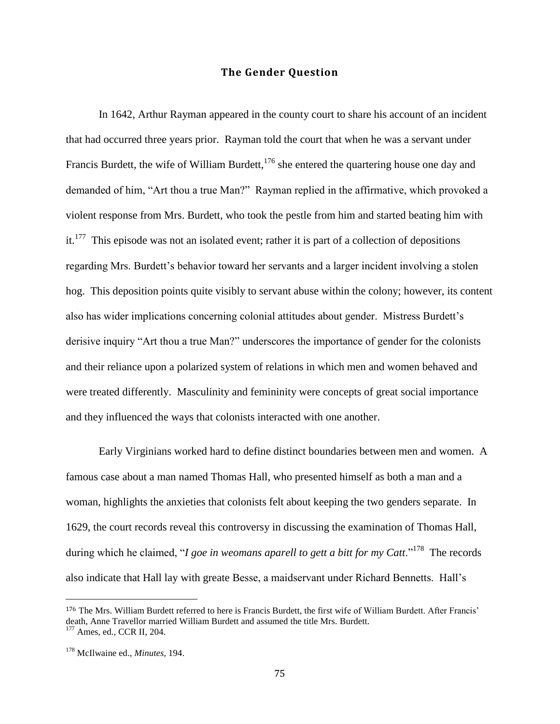### **The Gender Question**

In 1642, Arthur Rayman appeared in the county court to share his account of an incident that had occurred three years prior. Rayman told the court that when he was a servant under Francis Burdett, the wife of William Burdett, $176$  she entered the quartering house one day and demanded of him, "Art thou a true Man?" Rayman replied in the affirmative, which provoked a violent response from Mrs. Burdett, who took the pestle from him and started beating him with it.<sup>177</sup> This episode was not an isolated event; rather it is part of a collection of depositions regarding Mrs. Burdett's behavior toward her servants and a larger incident involving a stolen hog. This deposition points quite visibly to servant abuse within the colony; however, its content also has wider implications concerning colonial attitudes about gender. Mistress Burdett's derisive inquiry "Art thou a true Man?" underscores the importance of gender for the colonists and their reliance upon a polarized system of relations in which men and women behaved and were treated differently. Masculinity and femininity were concepts of great social importance and they influenced the ways that colonists interacted with one another.

Early Virginians worked hard to define distinct boundaries between men and women. A famous case about a man named Thomas Hall, who presented himself as both a man and a woman, highlights the anxieties that colonists felt about keeping the two genders separate. In 1629, the court records reveal this controversy in discussing the examination of Thomas Hall, during which he claimed, "*I goe in weomans aparell to gett a bitt for my Catt*."<sup>178</sup> The records also indicate that Hall lay with greate Besse, a maidservant under Richard Bennetts. Hall's

<sup>176</sup> The Mrs. William Burdett referred to here is Francis Burdett, the first wife of William Burdett. After Francis' death, Anne Travellor married William Burdett and assumed the title Mrs. Burdett. <sup>177</sup> Ames, ed., CCR II, 204.

<sup>178</sup> McIlwaine ed., *Minutes,* 194.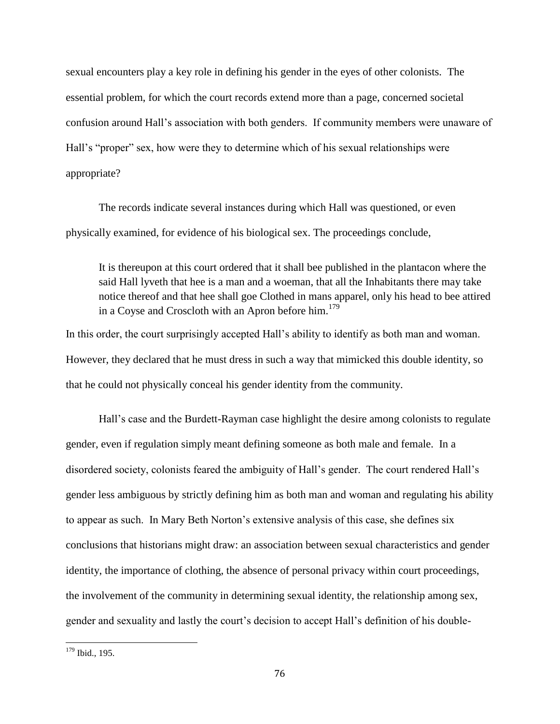sexual encounters play a key role in defining his gender in the eyes of other colonists. The essential problem, for which the court records extend more than a page, concerned societal confusion around Hall's association with both genders. If community members were unaware of Hall's "proper" sex, how were they to determine which of his sexual relationships were appropriate?

The records indicate several instances during which Hall was questioned, or even physically examined, for evidence of his biological sex. The proceedings conclude,

It is thereupon at this court ordered that it shall bee published in the plantacon where the said Hall lyveth that hee is a man and a woeman, that all the Inhabitants there may take notice thereof and that hee shall goe Clothed in mans apparel, only his head to bee attired in a Coyse and Croscloth with an Apron before him.<sup>179</sup>

In this order, the court surprisingly accepted Hall's ability to identify as both man and woman. However, they declared that he must dress in such a way that mimicked this double identity, so that he could not physically conceal his gender identity from the community.

Hall's case and the Burdett-Rayman case highlight the desire among colonists to regulate gender, even if regulation simply meant defining someone as both male and female. In a disordered society, colonists feared the ambiguity of Hall's gender. The court rendered Hall's gender less ambiguous by strictly defining him as both man and woman and regulating his ability to appear as such. In Mary Beth Norton's extensive analysis of this case, she defines six conclusions that historians might draw: an association between sexual characteristics and gender identity, the importance of clothing, the absence of personal privacy within court proceedings, the involvement of the community in determining sexual identity, the relationship among sex, gender and sexuality and lastly the court's decision to accept Hall's definition of his double-

 $179$  Ibid., 195.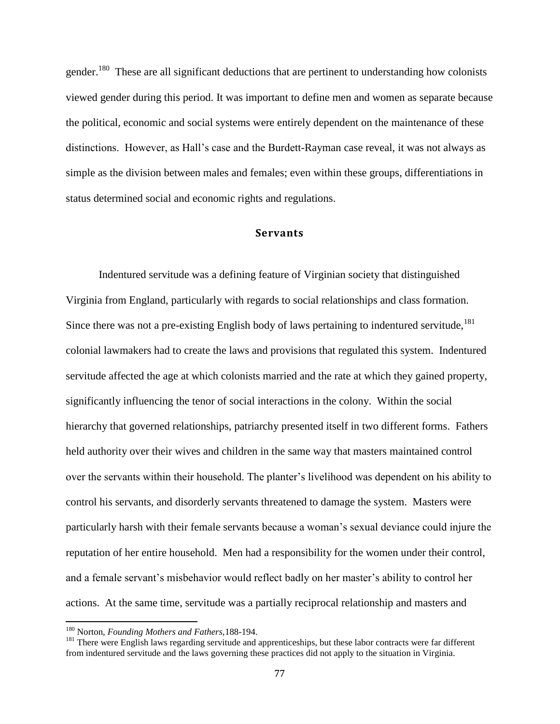gender.<sup>180</sup> These are all significant deductions that are pertinent to understanding how colonists viewed gender during this period. It was important to define men and women as separate because the political, economic and social systems were entirely dependent on the maintenance of these distinctions. However, as Hall's case and the Burdett-Rayman case reveal, it was not always as simple as the division between males and females; even within these groups, differentiations in status determined social and economic rights and regulations.

### **Servants**

Indentured servitude was a defining feature of Virginian society that distinguished Virginia from England, particularly with regards to social relationships and class formation. Since there was not a pre-existing English body of laws pertaining to indentured servitude,<sup>181</sup> colonial lawmakers had to create the laws and provisions that regulated this system. Indentured servitude affected the age at which colonists married and the rate at which they gained property, significantly influencing the tenor of social interactions in the colony. Within the social hierarchy that governed relationships, patriarchy presented itself in two different forms. Fathers held authority over their wives and children in the same way that masters maintained control over the servants within their household. The planter's livelihood was dependent on his ability to control his servants, and disorderly servants threatened to damage the system. Masters were particularly harsh with their female servants because a woman's sexual deviance could injure the reputation of her entire household. Men had a responsibility for the women under their control, and a female servant's misbehavior would reflect badly on her master's ability to control her actions. At the same time, servitude was a partially reciprocal relationship and masters and

<sup>180</sup> Norton, *Founding Mothers and Fathers,*188-194.

<sup>&</sup>lt;sup>181</sup> There were English laws regarding servitude and apprenticeships, but these labor contracts were far different from indentured servitude and the laws governing these practices did not apply to the situation in Virginia.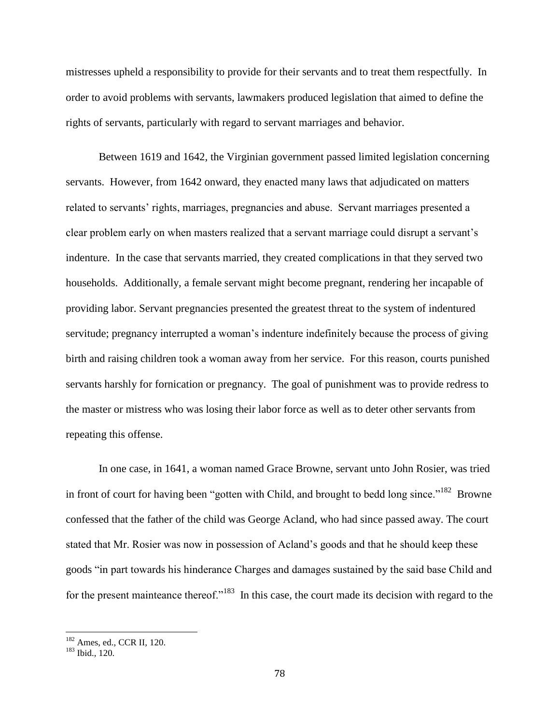mistresses upheld a responsibility to provide for their servants and to treat them respectfully. In order to avoid problems with servants, lawmakers produced legislation that aimed to define the rights of servants, particularly with regard to servant marriages and behavior.

Between 1619 and 1642, the Virginian government passed limited legislation concerning servants. However, from 1642 onward, they enacted many laws that adjudicated on matters related to servants' rights, marriages, pregnancies and abuse. Servant marriages presented a clear problem early on when masters realized that a servant marriage could disrupt a servant's indenture. In the case that servants married, they created complications in that they served two households. Additionally, a female servant might become pregnant, rendering her incapable of providing labor. Servant pregnancies presented the greatest threat to the system of indentured servitude; pregnancy interrupted a woman's indenture indefinitely because the process of giving birth and raising children took a woman away from her service. For this reason, courts punished servants harshly for fornication or pregnancy. The goal of punishment was to provide redress to the master or mistress who was losing their labor force as well as to deter other servants from repeating this offense.

In one case, in 1641, a woman named Grace Browne, servant unto John Rosier, was tried in front of court for having been "gotten with Child, and brought to bedd long since."<sup>182</sup> Browne confessed that the father of the child was George Acland, who had since passed away. The court stated that Mr. Rosier was now in possession of Acland's goods and that he should keep these goods "in part towards his hinderance Charges and damages sustained by the said base Child and for the present mainteance thereof."<sup>183</sup> In this case, the court made its decision with regard to the

<sup>182</sup> Ames, ed., CCR II*,* 120.

<sup>183</sup> Ibid., 120.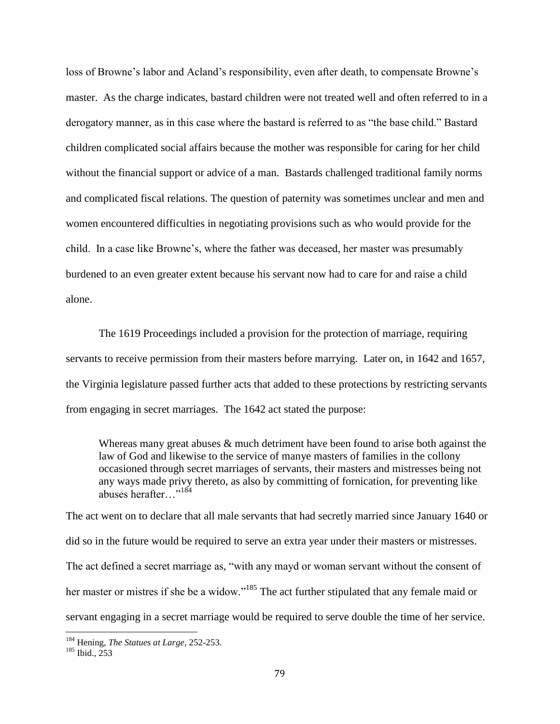loss of Browne's labor and Acland's responsibility, even after death, to compensate Browne's master. As the charge indicates, bastard children were not treated well and often referred to in a derogatory manner, as in this case where the bastard is referred to as "the base child." Bastard children complicated social affairs because the mother was responsible for caring for her child without the financial support or advice of a man. Bastards challenged traditional family norms and complicated fiscal relations. The question of paternity was sometimes unclear and men and women encountered difficulties in negotiating provisions such as who would provide for the child. In a case like Browne's, where the father was deceased, her master was presumably burdened to an even greater extent because his servant now had to care for and raise a child alone.

The 1619 Proceedings included a provision for the protection of marriage, requiring servants to receive permission from their masters before marrying. Later on, in 1642 and 1657, the Virginia legislature passed further acts that added to these protections by restricting servants from engaging in secret marriages. The 1642 act stated the purpose:

Whereas many great abuses & much detriment have been found to arise both against the law of God and likewise to the service of manye masters of families in the collony occasioned through secret marriages of servants, their masters and mistresses being not any ways made privy thereto, as also by committing of fornication, for preventing like abuses herafter…"<sup>184</sup>

The act went on to declare that all male servants that had secretly married since January 1640 or did so in the future would be required to serve an extra year under their masters or mistresses. The act defined a secret marriage as, "with any mayd or woman servant without the consent of her master or mistres if she be a widow."<sup>185</sup> The act further stipulated that any female maid or servant engaging in a secret marriage would be required to serve double the time of her service.

<sup>184</sup> Hening, *The Statues at Large*, 252-253.

<sup>185</sup> Ibid., 253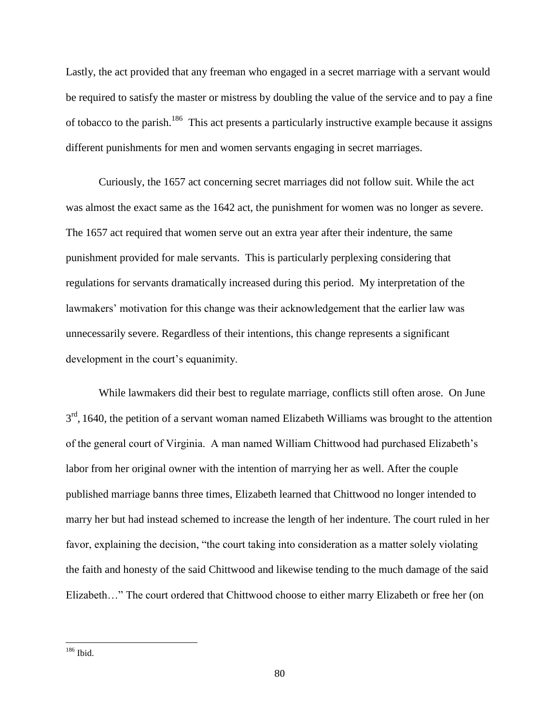Lastly, the act provided that any freeman who engaged in a secret marriage with a servant would be required to satisfy the master or mistress by doubling the value of the service and to pay a fine of tobacco to the parish.<sup>186</sup> This act presents a particularly instructive example because it assigns different punishments for men and women servants engaging in secret marriages.

Curiously, the 1657 act concerning secret marriages did not follow suit. While the act was almost the exact same as the 1642 act, the punishment for women was no longer as severe. The 1657 act required that women serve out an extra year after their indenture, the same punishment provided for male servants. This is particularly perplexing considering that regulations for servants dramatically increased during this period. My interpretation of the lawmakers' motivation for this change was their acknowledgement that the earlier law was unnecessarily severe. Regardless of their intentions, this change represents a significant development in the court's equanimity.

While lawmakers did their best to regulate marriage, conflicts still often arose. On June 3<sup>rd</sup>, 1640, the petition of a servant woman named Elizabeth Williams was brought to the attention of the general court of Virginia. A man named William Chittwood had purchased Elizabeth's labor from her original owner with the intention of marrying her as well. After the couple published marriage banns three times, Elizabeth learned that Chittwood no longer intended to marry her but had instead schemed to increase the length of her indenture. The court ruled in her favor, explaining the decision, "the court taking into consideration as a matter solely violating the faith and honesty of the said Chittwood and likewise tending to the much damage of the said Elizabeth…" The court ordered that Chittwood choose to either marry Elizabeth or free her (on

<sup>186</sup> Ibid.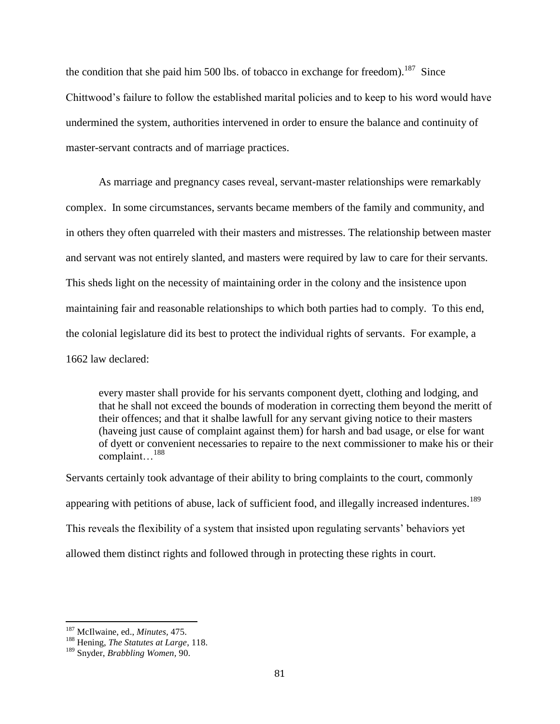the condition that she paid him 500 lbs. of tobacco in exchange for freedom).<sup>187</sup> Since Chittwood's failure to follow the established marital policies and to keep to his word would have undermined the system, authorities intervened in order to ensure the balance and continuity of master-servant contracts and of marriage practices.

As marriage and pregnancy cases reveal, servant-master relationships were remarkably complex. In some circumstances, servants became members of the family and community, and in others they often quarreled with their masters and mistresses. The relationship between master and servant was not entirely slanted, and masters were required by law to care for their servants. This sheds light on the necessity of maintaining order in the colony and the insistence upon maintaining fair and reasonable relationships to which both parties had to comply. To this end, the colonial legislature did its best to protect the individual rights of servants. For example, a 1662 law declared:

every master shall provide for his servants component dyett, clothing and lodging, and that he shall not exceed the bounds of moderation in correcting them beyond the meritt of their offences; and that it shalbe lawfull for any servant giving notice to their masters (haveing just cause of complaint against them) for harsh and bad usage, or else for want of dyett or convenient necessaries to repaire to the next commissioner to make his or their complaint…<sup>188</sup>

Servants certainly took advantage of their ability to bring complaints to the court, commonly appearing with petitions of abuse, lack of sufficient food, and illegally increased indentures.<sup>189</sup> This reveals the flexibility of a system that insisted upon regulating servants' behaviors yet allowed them distinct rights and followed through in protecting these rights in court.

<sup>187</sup> McIlwaine, ed., *Minutes,* 475.

<sup>188</sup> Hening, *The Statutes at Large*, 118.

<sup>189</sup> Snyder, *Brabbling Women,* 90.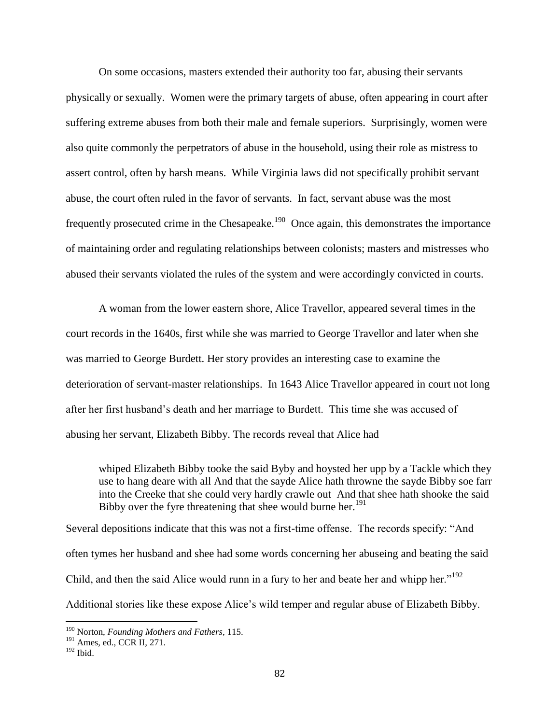On some occasions, masters extended their authority too far, abusing their servants physically or sexually. Women were the primary targets of abuse, often appearing in court after suffering extreme abuses from both their male and female superiors. Surprisingly, women were also quite commonly the perpetrators of abuse in the household, using their role as mistress to assert control, often by harsh means. While Virginia laws did not specifically prohibit servant abuse, the court often ruled in the favor of servants. In fact, servant abuse was the most frequently prosecuted crime in the Chesapeake.<sup>190</sup> Once again, this demonstrates the importance of maintaining order and regulating relationships between colonists; masters and mistresses who abused their servants violated the rules of the system and were accordingly convicted in courts.

A woman from the lower eastern shore, Alice Travellor, appeared several times in the court records in the 1640s, first while she was married to George Travellor and later when she was married to George Burdett. Her story provides an interesting case to examine the deterioration of servant-master relationships. In 1643 Alice Travellor appeared in court not long after her first husband's death and her marriage to Burdett. This time she was accused of abusing her servant, Elizabeth Bibby. The records reveal that Alice had

whiped Elizabeth Bibby tooke the said Byby and hoysted her upp by a Tackle which they use to hang deare with all And that the sayde Alice hath throwne the sayde Bibby soe farr into the Creeke that she could very hardly crawle out And that shee hath shooke the said Bibby over the fyre threatening that shee would burne her.<sup>191</sup>

Several depositions indicate that this was not a first-time offense. The records specify: "And often tymes her husband and shee had some words concerning her abuseing and beating the said Child, and then the said Alice would runn in a fury to her and beate her and whipp her."<sup>192</sup> Additional stories like these expose Alice's wild temper and regular abuse of Elizabeth Bibby.

<sup>190</sup> Norton, *Founding Mothers and Fathers*, 115.

<sup>191</sup> Ames, ed., CCR II*,* 271.

<sup>192</sup> Ibid.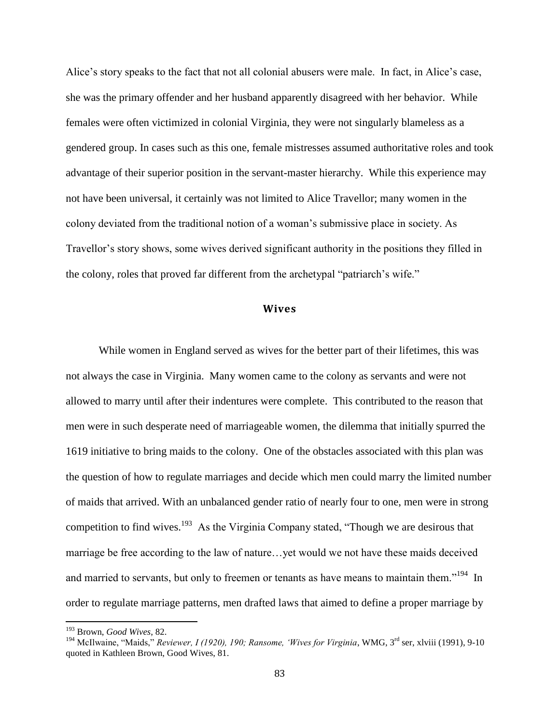Alice's story speaks to the fact that not all colonial abusers were male. In fact, in Alice's case, she was the primary offender and her husband apparently disagreed with her behavior. While females were often victimized in colonial Virginia, they were not singularly blameless as a gendered group. In cases such as this one, female mistresses assumed authoritative roles and took advantage of their superior position in the servant-master hierarchy. While this experience may not have been universal, it certainly was not limited to Alice Travellor; many women in the colony deviated from the traditional notion of a woman's submissive place in society. As Travellor's story shows, some wives derived significant authority in the positions they filled in the colony, roles that proved far different from the archetypal "patriarch's wife."

### **Wives**

While women in England served as wives for the better part of their lifetimes, this was not always the case in Virginia. Many women came to the colony as servants and were not allowed to marry until after their indentures were complete. This contributed to the reason that men were in such desperate need of marriageable women, the dilemma that initially spurred the 1619 initiative to bring maids to the colony. One of the obstacles associated with this plan was the question of how to regulate marriages and decide which men could marry the limited number of maids that arrived. With an unbalanced gender ratio of nearly four to one, men were in strong competition to find wives.<sup>193</sup> As the Virginia Company stated, "Though we are desirous that marriage be free according to the law of nature…yet would we not have these maids deceived and married to servants, but only to freemen or tenants as have means to maintain them."<sup>194</sup> In order to regulate marriage patterns, men drafted laws that aimed to define a proper marriage by

<sup>193</sup> Brown, *Good Wives*, 82.

<sup>194</sup> McIlwaine, "Maids," *Reviewer, I (1920), 190; Ransome, 'Wives for Virginia*, WMG, 3rd ser, xlviii (1991), 9-10 quoted in Kathleen Brown, Good Wives, 81.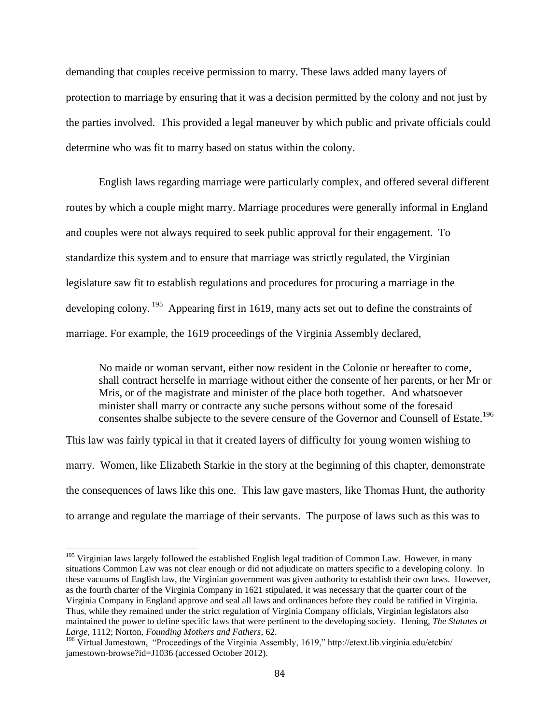demanding that couples receive permission to marry. These laws added many layers of protection to marriage by ensuring that it was a decision permitted by the colony and not just by the parties involved. This provided a legal maneuver by which public and private officials could determine who was fit to marry based on status within the colony.

English laws regarding marriage were particularly complex, and offered several different routes by which a couple might marry. Marriage procedures were generally informal in England and couples were not always required to seek public approval for their engagement. To standardize this system and to ensure that marriage was strictly regulated, the Virginian legislature saw fit to establish regulations and procedures for procuring a marriage in the developing colony.<sup>195</sup> Appearing first in 1619, many acts set out to define the constraints of marriage. For example, the 1619 proceedings of the Virginia Assembly declared,

No maide or woman servant, either now resident in the Colonie or hereafter to come, shall contract herselfe in marriage without either the consente of her parents, or her Mr or Mris, or of the magistrate and minister of the place both together. And whatsoever minister shall marry or contracte any suche persons without some of the foresaid consentes shalbe subjecte to the severe censure of the Governor and Counsell of Estate.<sup>196</sup>

This law was fairly typical in that it created layers of difficulty for young women wishing to marry. Women, like Elizabeth Starkie in the story at the beginning of this chapter, demonstrate the consequences of laws like this one. This law gave masters, like Thomas Hunt, the authority to arrange and regulate the marriage of their servants. The purpose of laws such as this was to

<sup>&</sup>lt;sup>195</sup> Virginian laws largely followed the established English legal tradition of Common Law. However, in many situations Common Law was not clear enough or did not adjudicate on matters specific to a developing colony. In these vacuums of English law, the Virginian government was given authority to establish their own laws. However, as the fourth charter of the Virginia Company in 1621 stipulated, it was necessary that the quarter court of the Virginia Company in England approve and seal all laws and ordinances before they could be ratified in Virginia. Thus, while they remained under the strict regulation of Virginia Company officials, Virginian legislators also maintained the power to define specific laws that were pertinent to the developing society. Hening, *The Statutes at Large*, 1112; Norton, *Founding Mothers and Fathers*, 62.

<sup>&</sup>lt;sup>196</sup> Virtual Jamestown, "Proceedings of the Virginia Assembly, 1619," http://etext.lib.virginia.edu/etcbin/ jamestown-browse?id=J1036 (accessed October 2012).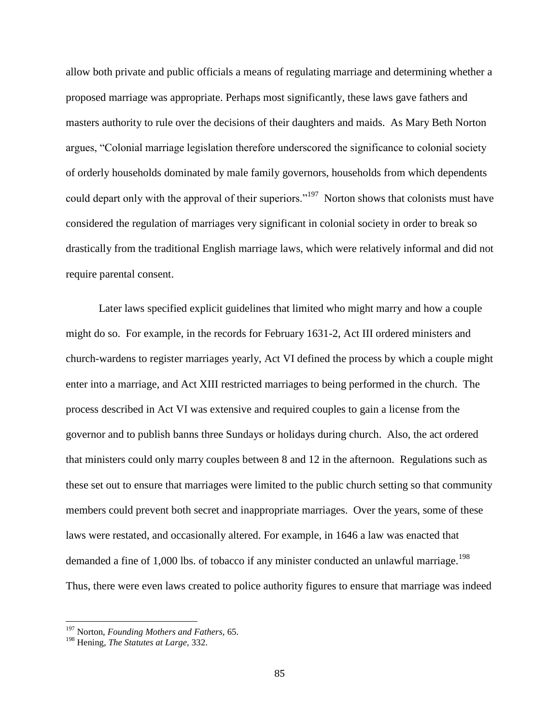allow both private and public officials a means of regulating marriage and determining whether a proposed marriage was appropriate. Perhaps most significantly, these laws gave fathers and masters authority to rule over the decisions of their daughters and maids. As Mary Beth Norton argues, "Colonial marriage legislation therefore underscored the significance to colonial society of orderly households dominated by male family governors, households from which dependents could depart only with the approval of their superiors."<sup>197</sup> Norton shows that colonists must have considered the regulation of marriages very significant in colonial society in order to break so drastically from the traditional English marriage laws, which were relatively informal and did not require parental consent.

Later laws specified explicit guidelines that limited who might marry and how a couple might do so. For example, in the records for February 1631-2, Act III ordered ministers and church-wardens to register marriages yearly, Act VI defined the process by which a couple might enter into a marriage, and Act XIII restricted marriages to being performed in the church. The process described in Act VI was extensive and required couples to gain a license from the governor and to publish banns three Sundays or holidays during church. Also, the act ordered that ministers could only marry couples between 8 and 12 in the afternoon. Regulations such as these set out to ensure that marriages were limited to the public church setting so that community members could prevent both secret and inappropriate marriages. Over the years, some of these laws were restated, and occasionally altered. For example, in 1646 a law was enacted that demanded a fine of 1,000 lbs. of tobacco if any minister conducted an unlawful marriage.<sup>198</sup> Thus, there were even laws created to police authority figures to ensure that marriage was indeed

<sup>197</sup> Norton, *Founding Mothers and Fathers,* 65.

<sup>198</sup> Hening, *The Statutes at Large,* 332.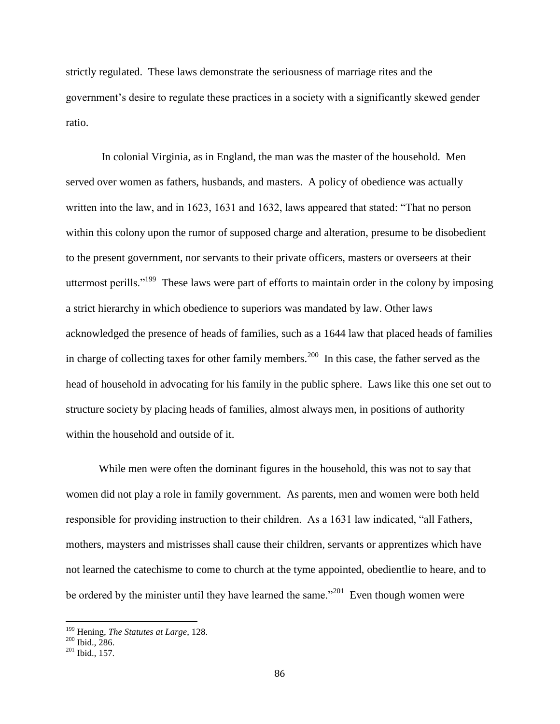strictly regulated. These laws demonstrate the seriousness of marriage rites and the government's desire to regulate these practices in a society with a significantly skewed gender ratio.

In colonial Virginia, as in England, the man was the master of the household. Men served over women as fathers, husbands, and masters. A policy of obedience was actually written into the law, and in 1623, 1631 and 1632, laws appeared that stated: "That no person within this colony upon the rumor of supposed charge and alteration, presume to be disobedient to the present government, nor servants to their private officers, masters or overseers at their uttermost perills."<sup>199</sup> These laws were part of efforts to maintain order in the colony by imposing a strict hierarchy in which obedience to superiors was mandated by law. Other laws acknowledged the presence of heads of families, such as a 1644 law that placed heads of families in charge of collecting taxes for other family members.<sup>200</sup> In this case, the father served as the head of household in advocating for his family in the public sphere. Laws like this one set out to structure society by placing heads of families, almost always men, in positions of authority within the household and outside of it.

While men were often the dominant figures in the household, this was not to say that women did not play a role in family government. As parents, men and women were both held responsible for providing instruction to their children. As a 1631 law indicated, "all Fathers, mothers, maysters and mistrisses shall cause their children, servants or apprentizes which have not learned the catechisme to come to church at the tyme appointed, obedientlie to heare, and to be ordered by the minister until they have learned the same."<sup>201</sup> Even though women were

<sup>199</sup> Hening, *The Statutes at Large*, 128.

 $200$  Ibid., 286.

<sup>201</sup> Ibid., 157.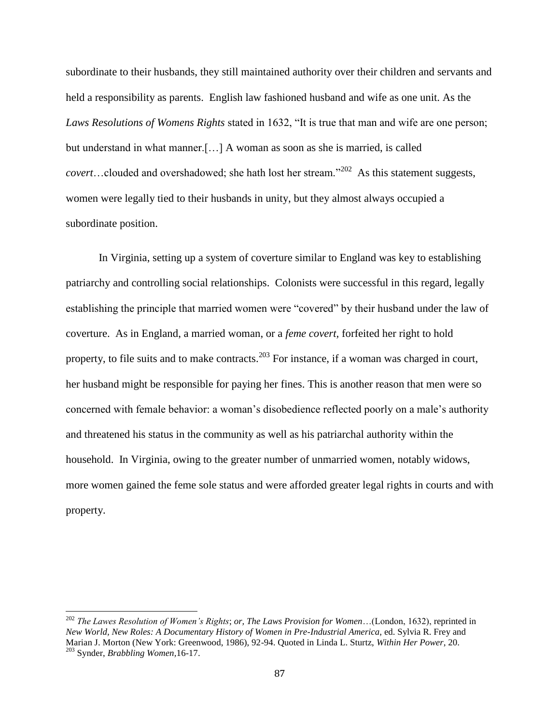subordinate to their husbands, they still maintained authority over their children and servants and held a responsibility as parents. English law fashioned husband and wife as one unit. As the *Laws Resolutions of Womens Rights* stated in 1632, "It is true that man and wife are one person; but understand in what manner.[…] A woman as soon as she is married, is called *covert*…clouded and overshadowed; she hath lost her stream."<sup>202</sup> As this statement suggests, women were legally tied to their husbands in unity, but they almost always occupied a subordinate position.

In Virginia, setting up a system of coverture similar to England was key to establishing patriarchy and controlling social relationships. Colonists were successful in this regard, legally establishing the principle that married women were "covered" by their husband under the law of coverture. As in England, a married woman, or a *feme covert,* forfeited her right to hold property, to file suits and to make contracts.<sup>203</sup> For instance, if a woman was charged in court, her husband might be responsible for paying her fines. This is another reason that men were so concerned with female behavior: a woman's disobedience reflected poorly on a male's authority and threatened his status in the community as well as his patriarchal authority within the household. In Virginia, owing to the greater number of unmarried women, notably widows, more women gained the feme sole status and were afforded greater legal rights in courts and with property.

<sup>202</sup> *The Lawes Resolution of Women's Rights*; *or, The Laws Provision for Women*…(London, 1632), reprinted in *New World, New Roles: A Documentary History of Women in Pre-Industrial America*, ed. Sylvia R. Frey and Marian J. Morton (New York: Greenwood, 1986), 92-94. Quoted in Linda L. Sturtz, *Within Her Power*, 20. <sup>203</sup> Synder, *Brabbling Women,*16-17.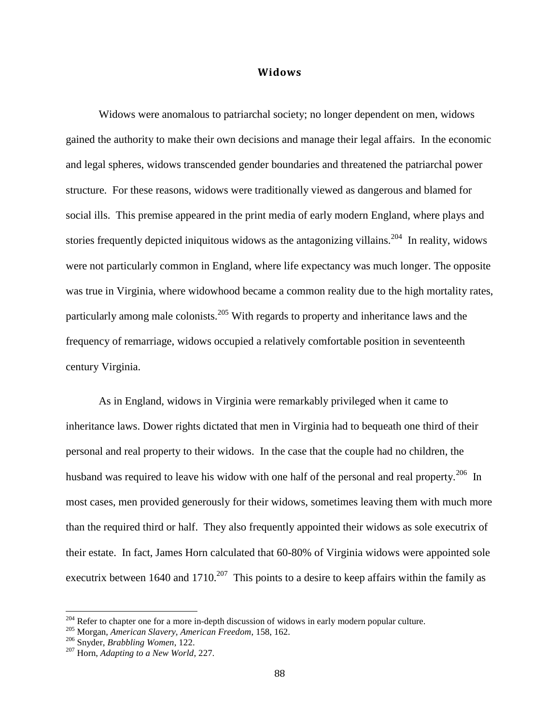### **Widows**

Widows were anomalous to patriarchal society; no longer dependent on men, widows gained the authority to make their own decisions and manage their legal affairs. In the economic and legal spheres, widows transcended gender boundaries and threatened the patriarchal power structure. For these reasons, widows were traditionally viewed as dangerous and blamed for social ills. This premise appeared in the print media of early modern England, where plays and stories frequently depicted iniquitous widows as the antagonizing villains.<sup>204</sup> In reality, widows were not particularly common in England, where life expectancy was much longer. The opposite was true in Virginia, where widowhood became a common reality due to the high mortality rates, particularly among male colonists.<sup>205</sup> With regards to property and inheritance laws and the frequency of remarriage, widows occupied a relatively comfortable position in seventeenth century Virginia.

As in England, widows in Virginia were remarkably privileged when it came to inheritance laws. Dower rights dictated that men in Virginia had to bequeath one third of their personal and real property to their widows. In the case that the couple had no children, the husband was required to leave his widow with one half of the personal and real property.<sup>206</sup> In most cases, men provided generously for their widows, sometimes leaving them with much more than the required third or half. They also frequently appointed their widows as sole executrix of their estate. In fact, James Horn calculated that 60-80% of Virginia widows were appointed sole executrix between 1640 and 1710.<sup>207</sup> This points to a desire to keep affairs within the family as

 $204$  Refer to chapter one for a more in-depth discussion of widows in early modern popular culture.

<sup>205</sup> Morgan, *American Slavery, American Freedom*, 158, 162.

<sup>206</sup> Snyder, *Brabbling Women*, 122.

<sup>207</sup> Horn, *Adapting to a New World*, 227.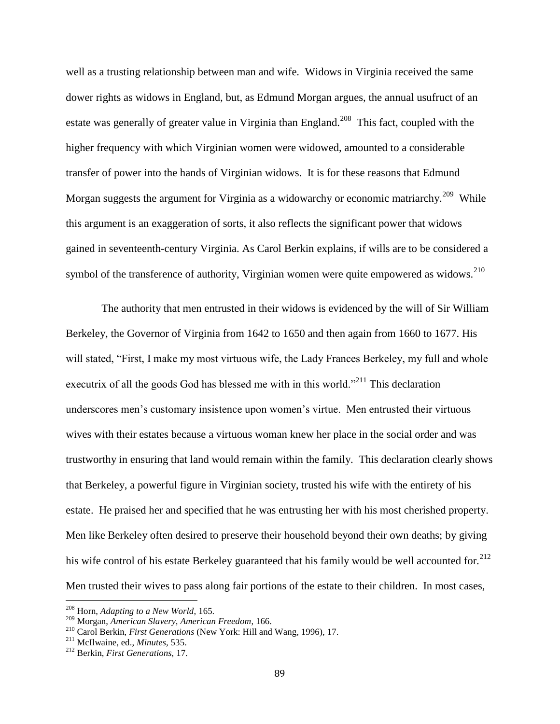well as a trusting relationship between man and wife. Widows in Virginia received the same dower rights as widows in England, but, as Edmund Morgan argues, the annual usufruct of an estate was generally of greater value in Virginia than England.<sup>208</sup> This fact, coupled with the higher frequency with which Virginian women were widowed, amounted to a considerable transfer of power into the hands of Virginian widows. It is for these reasons that Edmund Morgan suggests the argument for Virginia as a widowarchy or economic matriarchy.<sup>209</sup> While this argument is an exaggeration of sorts, it also reflects the significant power that widows gained in seventeenth-century Virginia. As Carol Berkin explains, if wills are to be considered a symbol of the transference of authority, Virginian women were quite empowered as widows.<sup>210</sup>

The authority that men entrusted in their widows is evidenced by the will of Sir William Berkeley, the Governor of Virginia from 1642 to 1650 and then again from 1660 to 1677. His will stated, "First, I make my most virtuous wife, the Lady Frances Berkeley, my full and whole executrix of all the goods God has blessed me with in this world.<sup>"211</sup> This declaration underscores men's customary insistence upon women's virtue. Men entrusted their virtuous wives with their estates because a virtuous woman knew her place in the social order and was trustworthy in ensuring that land would remain within the family. This declaration clearly shows that Berkeley, a powerful figure in Virginian society, trusted his wife with the entirety of his estate. He praised her and specified that he was entrusting her with his most cherished property. Men like Berkeley often desired to preserve their household beyond their own deaths; by giving his wife control of his estate Berkeley guaranteed that his family would be well accounted for.<sup>212</sup> Men trusted their wives to pass along fair portions of the estate to their children. In most cases,

 $\overline{a}$ 

<sup>208</sup> Horn, *Adapting to a New World*, 165.

<sup>209</sup> Morgan, *American Slavery, American Freedom*, 166.

<sup>210</sup> Carol Berkin, *First Generations* (New York: Hill and Wang, 1996), 17.

<sup>211</sup> McIlwaine, ed., *Minutes,* 535.

<sup>212</sup> Berkin, *First Generations*, 17.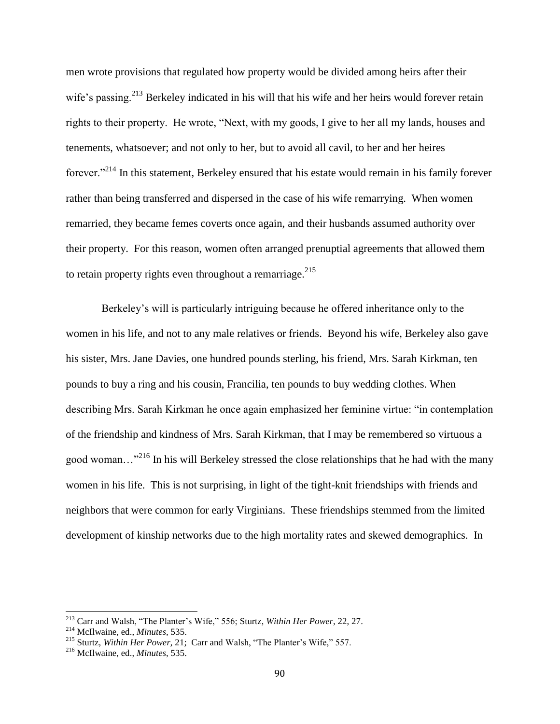men wrote provisions that regulated how property would be divided among heirs after their wife's passing.<sup>213</sup> Berkeley indicated in his will that his wife and her heirs would forever retain rights to their property. He wrote, "Next, with my goods, I give to her all my lands, houses and tenements, whatsoever; and not only to her, but to avoid all cavil, to her and her heires forever."<sup>214</sup> In this statement, Berkeley ensured that his estate would remain in his family forever rather than being transferred and dispersed in the case of his wife remarrying. When women remarried, they became femes coverts once again, and their husbands assumed authority over their property. For this reason, women often arranged prenuptial agreements that allowed them to retain property rights even throughout a remarriage. $^{215}$ 

Berkeley's will is particularly intriguing because he offered inheritance only to the women in his life, and not to any male relatives or friends. Beyond his wife, Berkeley also gave his sister, Mrs. Jane Davies, one hundred pounds sterling, his friend, Mrs. Sarah Kirkman, ten pounds to buy a ring and his cousin, Francilia, ten pounds to buy wedding clothes. When describing Mrs. Sarah Kirkman he once again emphasized her feminine virtue: "in contemplation of the friendship and kindness of Mrs. Sarah Kirkman, that I may be remembered so virtuous a good woman…"<sup>216</sup> In his will Berkeley stressed the close relationships that he had with the many women in his life. This is not surprising, in light of the tight-knit friendships with friends and neighbors that were common for early Virginians. These friendships stemmed from the limited development of kinship networks due to the high mortality rates and skewed demographics. In

<sup>213</sup> Carr and Walsh, "The Planter's Wife," 556; Sturtz, *Within Her Power*, 22, 27.

<sup>214</sup> McIlwaine, ed., *Minutes,* 535.

<sup>215</sup> Sturtz, *Within Her Power*, 21; Carr and Walsh, "The Planter's Wife," 557.

<sup>216</sup> McIlwaine, ed., *Minutes*, 535.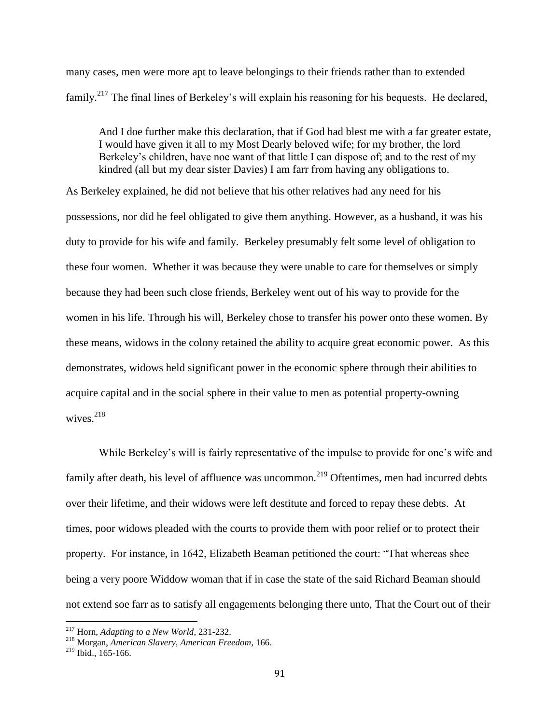many cases, men were more apt to leave belongings to their friends rather than to extended family.<sup>217</sup> The final lines of Berkeley's will explain his reasoning for his bequests. He declared,

And I doe further make this declaration, that if God had blest me with a far greater estate, I would have given it all to my Most Dearly beloved wife; for my brother, the lord Berkeley's children, have noe want of that little I can dispose of; and to the rest of my kindred (all but my dear sister Davies) I am farr from having any obligations to.

As Berkeley explained, he did not believe that his other relatives had any need for his possessions, nor did he feel obligated to give them anything. However, as a husband, it was his duty to provide for his wife and family. Berkeley presumably felt some level of obligation to these four women. Whether it was because they were unable to care for themselves or simply because they had been such close friends, Berkeley went out of his way to provide for the women in his life. Through his will, Berkeley chose to transfer his power onto these women. By these means, widows in the colony retained the ability to acquire great economic power. As this demonstrates, widows held significant power in the economic sphere through their abilities to acquire capital and in the social sphere in their value to men as potential property-owning wives. $218$ 

While Berkeley's will is fairly representative of the impulse to provide for one's wife and family after death, his level of affluence was uncommon.<sup>219</sup> Oftentimes, men had incurred debts over their lifetime, and their widows were left destitute and forced to repay these debts. At times, poor widows pleaded with the courts to provide them with poor relief or to protect their property. For instance, in 1642, Elizabeth Beaman petitioned the court: "That whereas shee being a very poore Widdow woman that if in case the state of the said Richard Beaman should not extend soe farr as to satisfy all engagements belonging there unto, That the Court out of their

<sup>217</sup> Horn, *Adapting to a New World*, 231-232.

<sup>218</sup> Morgan, *American Slavery, American Freedom*, 166.

 $219$  Ibid., 165-166.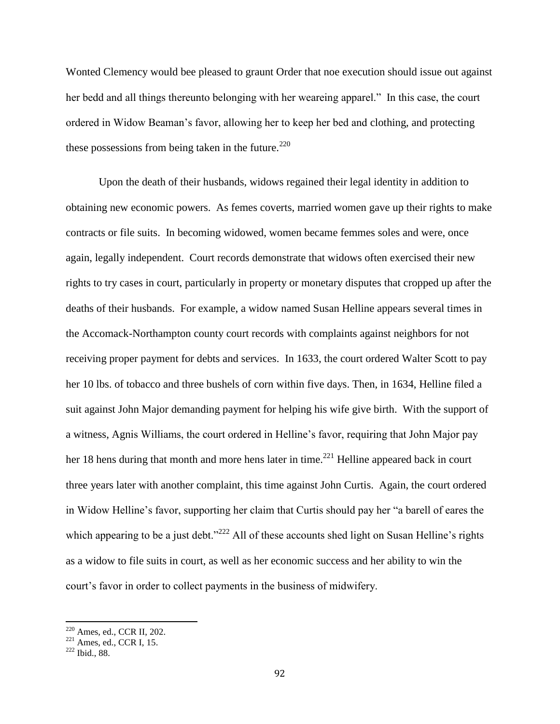Wonted Clemency would bee pleased to graunt Order that noe execution should issue out against her bedd and all things thereunto belonging with her weareing apparel." In this case, the court ordered in Widow Beaman's favor, allowing her to keep her bed and clothing, and protecting these possessions from being taken in the future. $220$ 

Upon the death of their husbands, widows regained their legal identity in addition to obtaining new economic powers. As femes coverts, married women gave up their rights to make contracts or file suits. In becoming widowed, women became femmes soles and were, once again, legally independent. Court records demonstrate that widows often exercised their new rights to try cases in court, particularly in property or monetary disputes that cropped up after the deaths of their husbands. For example, a widow named Susan Helline appears several times in the Accomack-Northampton county court records with complaints against neighbors for not receiving proper payment for debts and services. In 1633, the court ordered Walter Scott to pay her 10 lbs. of tobacco and three bushels of corn within five days. Then, in 1634, Helline filed a suit against John Major demanding payment for helping his wife give birth. With the support of a witness, Agnis Williams, the court ordered in Helline's favor, requiring that John Major pay her 18 hens during that month and more hens later in time.<sup>221</sup> Helline appeared back in court three years later with another complaint, this time against John Curtis. Again, the court ordered in Widow Helline's favor, supporting her claim that Curtis should pay her "a barell of eares the which appearing to be a just debt."<sup>222</sup> All of these accounts shed light on Susan Helline's rights as a widow to file suits in court, as well as her economic success and her ability to win the court's favor in order to collect payments in the business of midwifery.

<sup>220</sup> Ames, ed., CCR II, 202.

 $221$  Ames, ed., CCR I, 15.

<sup>222</sup> Ibid., 88.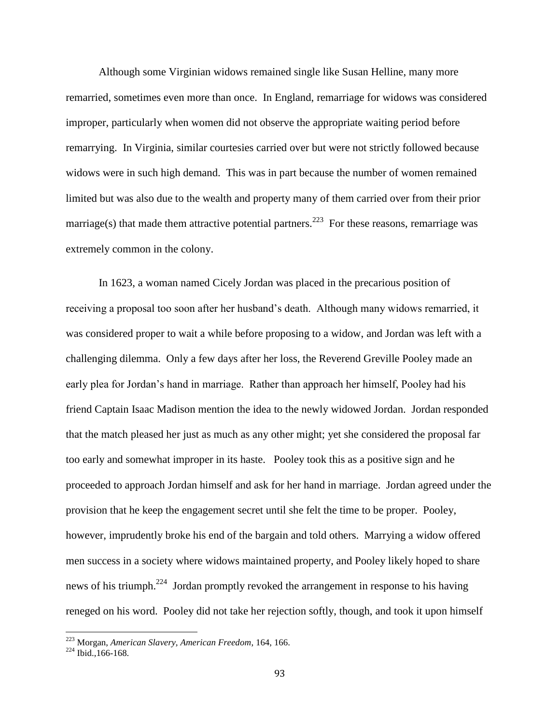Although some Virginian widows remained single like Susan Helline, many more remarried, sometimes even more than once. In England, remarriage for widows was considered improper, particularly when women did not observe the appropriate waiting period before remarrying. In Virginia, similar courtesies carried over but were not strictly followed because widows were in such high demand. This was in part because the number of women remained limited but was also due to the wealth and property many of them carried over from their prior marriage(s) that made them attractive potential partners.<sup>223</sup> For these reasons, remarriage was extremely common in the colony.

In 1623, a woman named Cicely Jordan was placed in the precarious position of receiving a proposal too soon after her husband's death. Although many widows remarried, it was considered proper to wait a while before proposing to a widow, and Jordan was left with a challenging dilemma. Only a few days after her loss, the Reverend Greville Pooley made an early plea for Jordan's hand in marriage. Rather than approach her himself, Pooley had his friend Captain Isaac Madison mention the idea to the newly widowed Jordan. Jordan responded that the match pleased her just as much as any other might; yet she considered the proposal far too early and somewhat improper in its haste. Pooley took this as a positive sign and he proceeded to approach Jordan himself and ask for her hand in marriage. Jordan agreed under the provision that he keep the engagement secret until she felt the time to be proper. Pooley, however, imprudently broke his end of the bargain and told others. Marrying a widow offered men success in a society where widows maintained property, and Pooley likely hoped to share news of his triumph.<sup>224</sup> Jordan promptly revoked the arrangement in response to his having reneged on his word. Pooley did not take her rejection softly, though, and took it upon himself

<sup>223</sup> Morgan, *American Slavery, American Freedom*, 164, 166.

 $224$  Ibid., 166-168.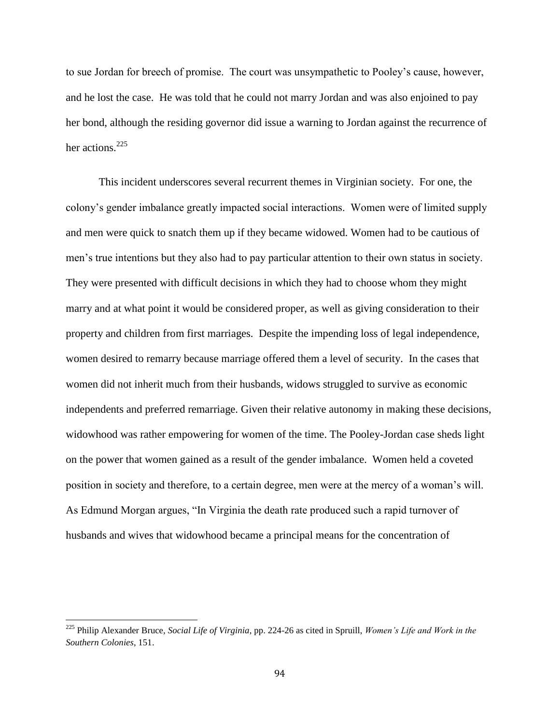to sue Jordan for breech of promise. The court was unsympathetic to Pooley's cause, however, and he lost the case. He was told that he could not marry Jordan and was also enjoined to pay her bond, although the residing governor did issue a warning to Jordan against the recurrence of her actions.<sup>225</sup>

This incident underscores several recurrent themes in Virginian society. For one, the colony's gender imbalance greatly impacted social interactions. Women were of limited supply and men were quick to snatch them up if they became widowed. Women had to be cautious of men's true intentions but they also had to pay particular attention to their own status in society. They were presented with difficult decisions in which they had to choose whom they might marry and at what point it would be considered proper, as well as giving consideration to their property and children from first marriages. Despite the impending loss of legal independence, women desired to remarry because marriage offered them a level of security. In the cases that women did not inherit much from their husbands, widows struggled to survive as economic independents and preferred remarriage. Given their relative autonomy in making these decisions, widowhood was rather empowering for women of the time. The Pooley-Jordan case sheds light on the power that women gained as a result of the gender imbalance. Women held a coveted position in society and therefore, to a certain degree, men were at the mercy of a woman's will. As Edmund Morgan argues, "In Virginia the death rate produced such a rapid turnover of husbands and wives that widowhood became a principal means for the concentration of

 $\overline{a}$ 

<sup>225</sup> Philip Alexander Bruce, *Social Life of Virginia*, pp. 224-26 as cited in Spruill, *Women's Life and Work in the Southern Colonies*, 151.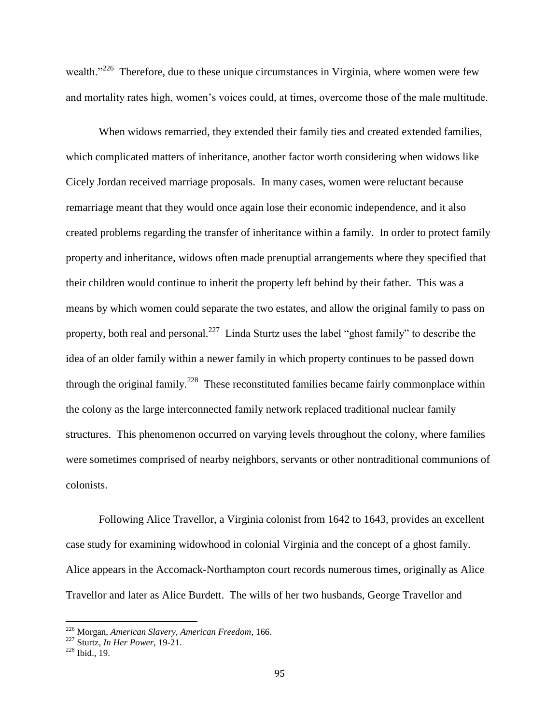wealth."<sup>226</sup> Therefore, due to these unique circumstances in Virginia, where women were few and mortality rates high, women's voices could, at times, overcome those of the male multitude.

When widows remarried, they extended their family ties and created extended families, which complicated matters of inheritance, another factor worth considering when widows like Cicely Jordan received marriage proposals. In many cases, women were reluctant because remarriage meant that they would once again lose their economic independence, and it also created problems regarding the transfer of inheritance within a family. In order to protect family property and inheritance, widows often made prenuptial arrangements where they specified that their children would continue to inherit the property left behind by their father. This was a means by which women could separate the two estates, and allow the original family to pass on property, both real and personal.<sup>227</sup> Linda Sturtz uses the label "ghost family" to describe the idea of an older family within a newer family in which property continues to be passed down through the original family.<sup>228</sup> These reconstituted families became fairly commonplace within the colony as the large interconnected family network replaced traditional nuclear family structures. This phenomenon occurred on varying levels throughout the colony, where families were sometimes comprised of nearby neighbors, servants or other nontraditional communions of colonists.

Following Alice Travellor, a Virginia colonist from 1642 to 1643, provides an excellent case study for examining widowhood in colonial Virginia and the concept of a ghost family. Alice appears in the Accomack-Northampton court records numerous times, originally as Alice Travellor and later as Alice Burdett. The wills of her two husbands, George Travellor and

<sup>226</sup> Morgan, *American Slavery, American Freedom*, 166.

<sup>227</sup> Sturtz, *In Her Power*, 19-21.

<sup>228</sup> Ibid., 19.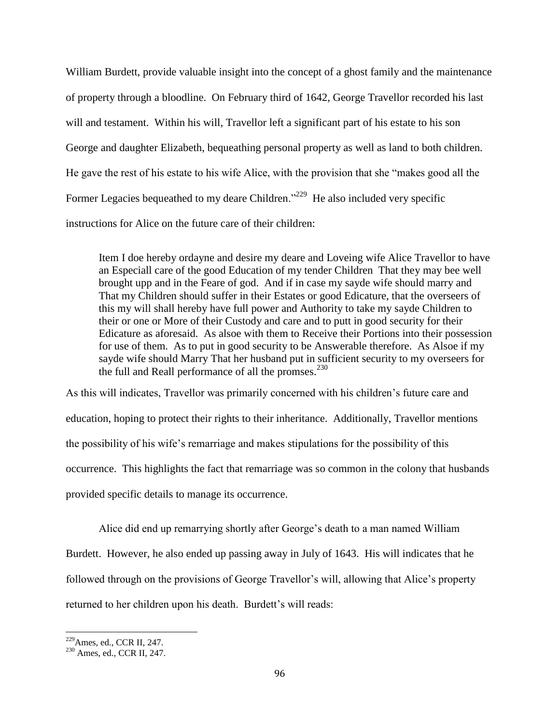William Burdett, provide valuable insight into the concept of a ghost family and the maintenance of property through a bloodline. On February third of 1642, George Travellor recorded his last will and testament. Within his will, Travellor left a significant part of his estate to his son George and daughter Elizabeth, bequeathing personal property as well as land to both children. He gave the rest of his estate to his wife Alice, with the provision that she "makes good all the Former Legacies bequeathed to my deare Children."<sup>229</sup> He also included very specific instructions for Alice on the future care of their children:

Item I doe hereby ordayne and desire my deare and Loveing wife Alice Travellor to have an Especiall care of the good Education of my tender Children That they may bee well brought upp and in the Feare of god. And if in case my sayde wife should marry and That my Children should suffer in their Estates or good Edicature, that the overseers of this my will shall hereby have full power and Authority to take my sayde Children to their or one or More of their Custody and care and to putt in good security for their Edicature as aforesaid. As alsoe with them to Receive their Portions into their possession for use of them. As to put in good security to be Answerable therefore. As Alsoe if my sayde wife should Marry That her husband put in sufficient security to my overseers for the full and Reall performance of all the promses. $^{230}$ 

As this will indicates, Travellor was primarily concerned with his children's future care and education, hoping to protect their rights to their inheritance. Additionally, Travellor mentions the possibility of his wife's remarriage and makes stipulations for the possibility of this occurrence. This highlights the fact that remarriage was so common in the colony that husbands provided specific details to manage its occurrence.

Alice did end up remarrying shortly after George's death to a man named William Burdett. However, he also ended up passing away in July of 1643. His will indicates that he followed through on the provisions of George Travellor's will, allowing that Alice's property returned to her children upon his death. Burdett's will reads:

<sup>229</sup>Ames, ed., CCR II*,* 247.

<sup>230</sup> Ames, ed., CCR II, 247.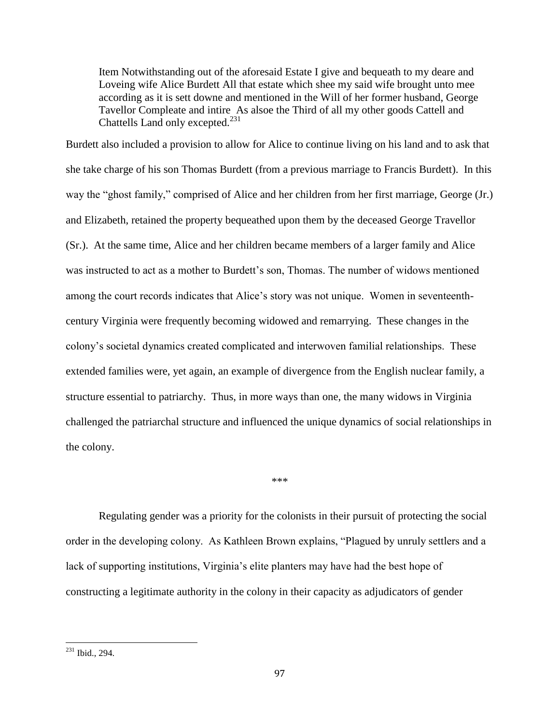Item Notwithstanding out of the aforesaid Estate I give and bequeath to my deare and Loveing wife Alice Burdett All that estate which shee my said wife brought unto mee according as it is sett downe and mentioned in the Will of her former husband, George Tavellor Compleate and intire As alsoe the Third of all my other goods Cattell and Chattells Land only excepted. $^{231}$ 

Burdett also included a provision to allow for Alice to continue living on his land and to ask that she take charge of his son Thomas Burdett (from a previous marriage to Francis Burdett). In this way the "ghost family," comprised of Alice and her children from her first marriage, George (Jr.) and Elizabeth, retained the property bequeathed upon them by the deceased George Travellor (Sr.). At the same time, Alice and her children became members of a larger family and Alice was instructed to act as a mother to Burdett's son, Thomas. The number of widows mentioned among the court records indicates that Alice's story was not unique. Women in seventeenthcentury Virginia were frequently becoming widowed and remarrying. These changes in the colony's societal dynamics created complicated and interwoven familial relationships. These extended families were, yet again, an example of divergence from the English nuclear family, a structure essential to patriarchy. Thus, in more ways than one, the many widows in Virginia challenged the patriarchal structure and influenced the unique dynamics of social relationships in the colony.

\*\*\*

Regulating gender was a priority for the colonists in their pursuit of protecting the social order in the developing colony. As Kathleen Brown explains, "Plagued by unruly settlers and a lack of supporting institutions, Virginia's elite planters may have had the best hope of constructing a legitimate authority in the colony in their capacity as adjudicators of gender

 $231$  Ibid., 294.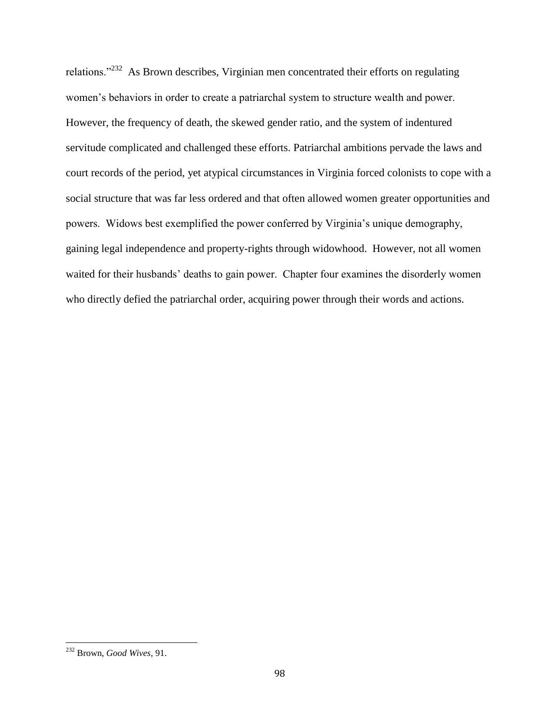relations."<sup>232</sup> As Brown describes, Virginian men concentrated their efforts on regulating women's behaviors in order to create a patriarchal system to structure wealth and power. However, the frequency of death, the skewed gender ratio, and the system of indentured servitude complicated and challenged these efforts. Patriarchal ambitions pervade the laws and court records of the period, yet atypical circumstances in Virginia forced colonists to cope with a social structure that was far less ordered and that often allowed women greater opportunities and powers. Widows best exemplified the power conferred by Virginia's unique demography, gaining legal independence and property-rights through widowhood. However, not all women waited for their husbands' deaths to gain power. Chapter four examines the disorderly women who directly defied the patriarchal order, acquiring power through their words and actions.

<sup>232</sup> Brown, *Good Wives*, 91.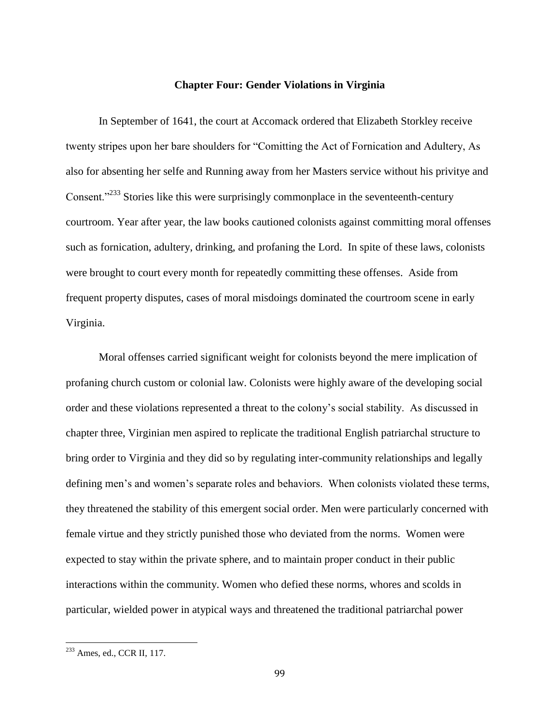### **Chapter Four: Gender Violations in Virginia**

In September of 1641, the court at Accomack ordered that Elizabeth Storkley receive twenty stripes upon her bare shoulders for "Comitting the Act of Fornication and Adultery, As also for absenting her selfe and Running away from her Masters service without his privitye and Consent.<sup>"233</sup> Stories like this were surprisingly commonplace in the seventeenth-century courtroom. Year after year, the law books cautioned colonists against committing moral offenses such as fornication, adultery, drinking, and profaning the Lord. In spite of these laws, colonists were brought to court every month for repeatedly committing these offenses. Aside from frequent property disputes, cases of moral misdoings dominated the courtroom scene in early Virginia.

Moral offenses carried significant weight for colonists beyond the mere implication of profaning church custom or colonial law. Colonists were highly aware of the developing social order and these violations represented a threat to the colony's social stability. As discussed in chapter three, Virginian men aspired to replicate the traditional English patriarchal structure to bring order to Virginia and they did so by regulating inter-community relationships and legally defining men's and women's separate roles and behaviors. When colonists violated these terms, they threatened the stability of this emergent social order. Men were particularly concerned with female virtue and they strictly punished those who deviated from the norms. Women were expected to stay within the private sphere, and to maintain proper conduct in their public interactions within the community. Women who defied these norms, whores and scolds in particular, wielded power in atypical ways and threatened the traditional patriarchal power

 $^{233}$  Ames, ed., CCR II, 117.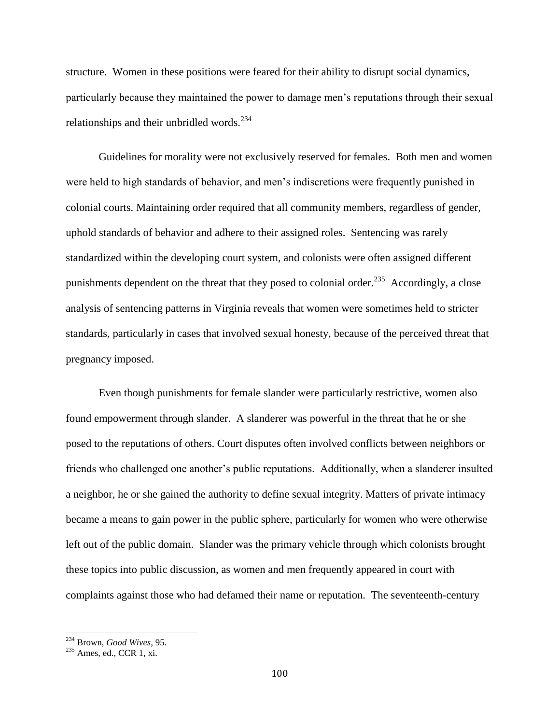structure. Women in these positions were feared for their ability to disrupt social dynamics, particularly because they maintained the power to damage men's reputations through their sexual relationships and their unbridled words. $234$ 

Guidelines for morality were not exclusively reserved for females. Both men and women were held to high standards of behavior, and men's indiscretions were frequently punished in colonial courts. Maintaining order required that all community members, regardless of gender, uphold standards of behavior and adhere to their assigned roles. Sentencing was rarely standardized within the developing court system, and colonists were often assigned different punishments dependent on the threat that they posed to colonial order.<sup>235</sup> Accordingly, a close analysis of sentencing patterns in Virginia reveals that women were sometimes held to stricter standards, particularly in cases that involved sexual honesty, because of the perceived threat that pregnancy imposed.

Even though punishments for female slander were particularly restrictive, women also found empowerment through slander. A slanderer was powerful in the threat that he or she posed to the reputations of others. Court disputes often involved conflicts between neighbors or friends who challenged one another's public reputations. Additionally, when a slanderer insulted a neighbor, he or she gained the authority to define sexual integrity. Matters of private intimacy became a means to gain power in the public sphere, particularly for women who were otherwise left out of the public domain. Slander was the primary vehicle through which colonists brought these topics into public discussion, as women and men frequently appeared in court with complaints against those who had defamed their name or reputation. The seventeenth-century

<sup>234</sup> Brown, *Good Wives,* 95.

<sup>&</sup>lt;sup>235</sup> Ames, ed., CCR 1, xi.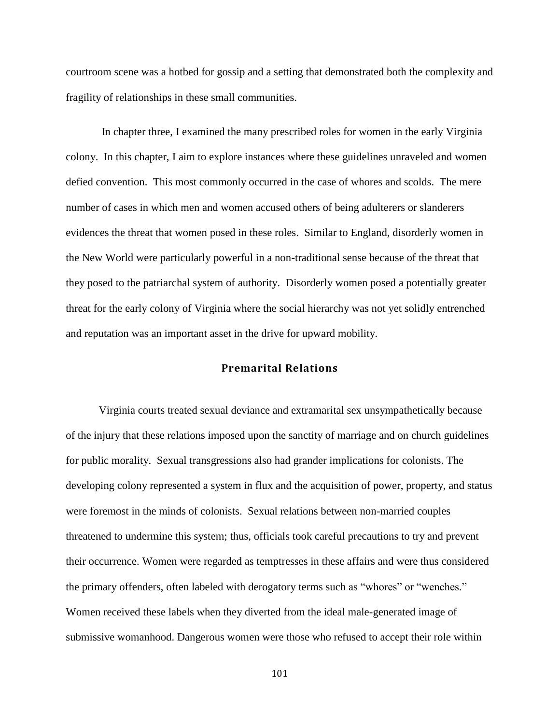courtroom scene was a hotbed for gossip and a setting that demonstrated both the complexity and fragility of relationships in these small communities.

In chapter three, I examined the many prescribed roles for women in the early Virginia colony. In this chapter, I aim to explore instances where these guidelines unraveled and women defied convention. This most commonly occurred in the case of whores and scolds. The mere number of cases in which men and women accused others of being adulterers or slanderers evidences the threat that women posed in these roles. Similar to England, disorderly women in the New World were particularly powerful in a non-traditional sense because of the threat that they posed to the patriarchal system of authority. Disorderly women posed a potentially greater threat for the early colony of Virginia where the social hierarchy was not yet solidly entrenched and reputation was an important asset in the drive for upward mobility.

# **Premarital Relations**

Virginia courts treated sexual deviance and extramarital sex unsympathetically because of the injury that these relations imposed upon the sanctity of marriage and on church guidelines for public morality. Sexual transgressions also had grander implications for colonists. The developing colony represented a system in flux and the acquisition of power, property, and status were foremost in the minds of colonists. Sexual relations between non-married couples threatened to undermine this system; thus, officials took careful precautions to try and prevent their occurrence. Women were regarded as temptresses in these affairs and were thus considered the primary offenders, often labeled with derogatory terms such as "whores" or "wenches." Women received these labels when they diverted from the ideal male-generated image of submissive womanhood. Dangerous women were those who refused to accept their role within

101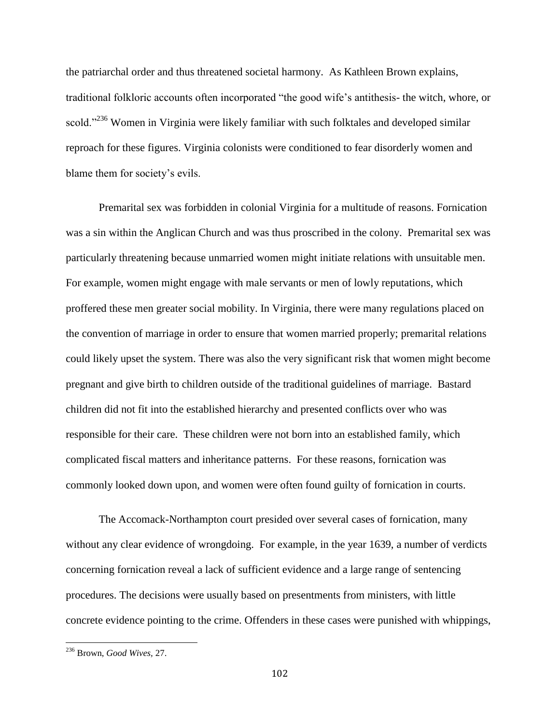the patriarchal order and thus threatened societal harmony. As Kathleen Brown explains, traditional folkloric accounts often incorporated "the good wife's antithesis- the witch, whore, or scold."<sup>236</sup> Women in Virginia were likely familiar with such folktales and developed similar reproach for these figures. Virginia colonists were conditioned to fear disorderly women and blame them for society's evils.

Premarital sex was forbidden in colonial Virginia for a multitude of reasons. Fornication was a sin within the Anglican Church and was thus proscribed in the colony. Premarital sex was particularly threatening because unmarried women might initiate relations with unsuitable men. For example, women might engage with male servants or men of lowly reputations, which proffered these men greater social mobility. In Virginia, there were many regulations placed on the convention of marriage in order to ensure that women married properly; premarital relations could likely upset the system. There was also the very significant risk that women might become pregnant and give birth to children outside of the traditional guidelines of marriage. Bastard children did not fit into the established hierarchy and presented conflicts over who was responsible for their care. These children were not born into an established family, which complicated fiscal matters and inheritance patterns. For these reasons, fornication was commonly looked down upon, and women were often found guilty of fornication in courts.

The Accomack-Northampton court presided over several cases of fornication, many without any clear evidence of wrongdoing. For example, in the year 1639, a number of verdicts concerning fornication reveal a lack of sufficient evidence and a large range of sentencing procedures. The decisions were usually based on presentments from ministers, with little concrete evidence pointing to the crime. Offenders in these cases were punished with whippings,

<sup>236</sup> Brown, *Good Wives,* 27.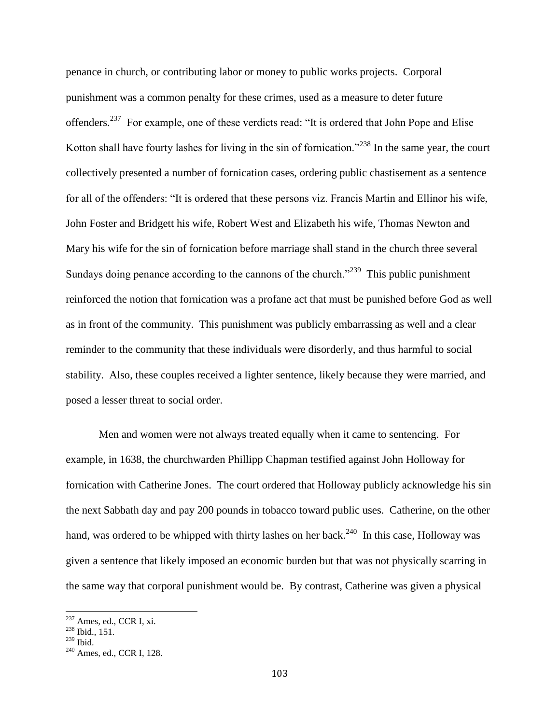penance in church, or contributing labor or money to public works projects. Corporal punishment was a common penalty for these crimes, used as a measure to deter future offenders.<sup>237</sup> For example, one of these verdicts read: "It is ordered that John Pope and Elise Kotton shall have fourty lashes for living in the sin of fornication."<sup>238</sup> In the same year, the court collectively presented a number of fornication cases, ordering public chastisement as a sentence for all of the offenders: "It is ordered that these persons viz. Francis Martin and Ellinor his wife, John Foster and Bridgett his wife, Robert West and Elizabeth his wife, Thomas Newton and Mary his wife for the sin of fornication before marriage shall stand in the church three several Sundays doing penance according to the cannons of the church."<sup>239</sup> This public punishment reinforced the notion that fornication was a profane act that must be punished before God as well as in front of the community. This punishment was publicly embarrassing as well and a clear reminder to the community that these individuals were disorderly, and thus harmful to social stability. Also, these couples received a lighter sentence, likely because they were married, and posed a lesser threat to social order.

Men and women were not always treated equally when it came to sentencing. For example, in 1638, the churchwarden Phillipp Chapman testified against John Holloway for fornication with Catherine Jones. The court ordered that Holloway publicly acknowledge his sin the next Sabbath day and pay 200 pounds in tobacco toward public uses. Catherine, on the other hand, was ordered to be whipped with thirty lashes on her back.<sup>240</sup> In this case, Holloway was given a sentence that likely imposed an economic burden but that was not physically scarring in the same way that corporal punishment would be. By contrast, Catherine was given a physical

<sup>237</sup> Ames*,* ed., CCR I, xi.

 $238$  Ibid., 151.

 $^{239}$  Ibid.

<sup>240</sup> Ames*,* ed., CCR I, 128.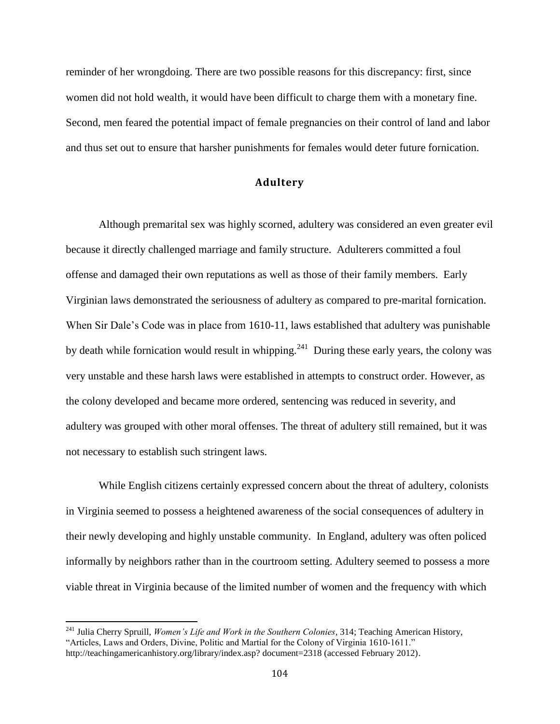reminder of her wrongdoing. There are two possible reasons for this discrepancy: first, since women did not hold wealth, it would have been difficult to charge them with a monetary fine. Second, men feared the potential impact of female pregnancies on their control of land and labor and thus set out to ensure that harsher punishments for females would deter future fornication.

# **Adultery**

Although premarital sex was highly scorned, adultery was considered an even greater evil because it directly challenged marriage and family structure. Adulterers committed a foul offense and damaged their own reputations as well as those of their family members. Early Virginian laws demonstrated the seriousness of adultery as compared to pre-marital fornication. When Sir Dale's Code was in place from 1610-11, laws established that adultery was punishable by death while fornication would result in whipping.<sup>241</sup> During these early years, the colony was very unstable and these harsh laws were established in attempts to construct order. However, as the colony developed and became more ordered, sentencing was reduced in severity, and adultery was grouped with other moral offenses. The threat of adultery still remained, but it was not necessary to establish such stringent laws.

While English citizens certainly expressed concern about the threat of adultery, colonists in Virginia seemed to possess a heightened awareness of the social consequences of adultery in their newly developing and highly unstable community. In England, adultery was often policed informally by neighbors rather than in the courtroom setting. Adultery seemed to possess a more viable threat in Virginia because of the limited number of women and the frequency with which

<sup>241</sup> Julia Cherry Spruill, *Women's Life and Work in the Southern Colonies*, 314; Teaching American History, "Articles, Laws and Orders, Divine, Politic and Martial for the Colony of Virginia 1610-1611." http://teachingamericanhistory.org/library/index.asp? document=2318 (accessed February 2012).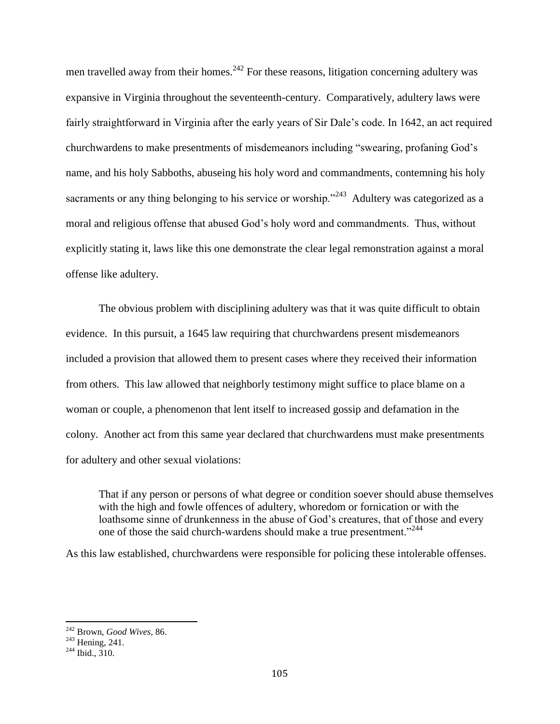men travelled away from their homes.<sup>242</sup> For these reasons, litigation concerning adultery was expansive in Virginia throughout the seventeenth-century. Comparatively, adultery laws were fairly straightforward in Virginia after the early years of Sir Dale's code. In 1642, an act required churchwardens to make presentments of misdemeanors including "swearing, profaning God's name, and his holy Sabboths, abuseing his holy word and commandments, contemning his holy sacraments or any thing belonging to his service or worship."<sup>243</sup> Adultery was categorized as a moral and religious offense that abused God's holy word and commandments. Thus, without explicitly stating it, laws like this one demonstrate the clear legal remonstration against a moral offense like adultery.

The obvious problem with disciplining adultery was that it was quite difficult to obtain evidence. In this pursuit, a 1645 law requiring that churchwardens present misdemeanors included a provision that allowed them to present cases where they received their information from others. This law allowed that neighborly testimony might suffice to place blame on a woman or couple, a phenomenon that lent itself to increased gossip and defamation in the colony. Another act from this same year declared that churchwardens must make presentments for adultery and other sexual violations:

That if any person or persons of what degree or condition soever should abuse themselves with the high and fowle offences of adultery, whoredom or fornication or with the loathsome sinne of drunkenness in the abuse of God's creatures, that of those and every one of those the said church-wardens should make a true presentment."<sup>244</sup>

As this law established, churchwardens were responsible for policing these intolerable offenses.

<sup>242</sup> Brown, *Good Wives*, 86.

 $243$  Hening, 241.

 $244$  Ibid.,  $310$ .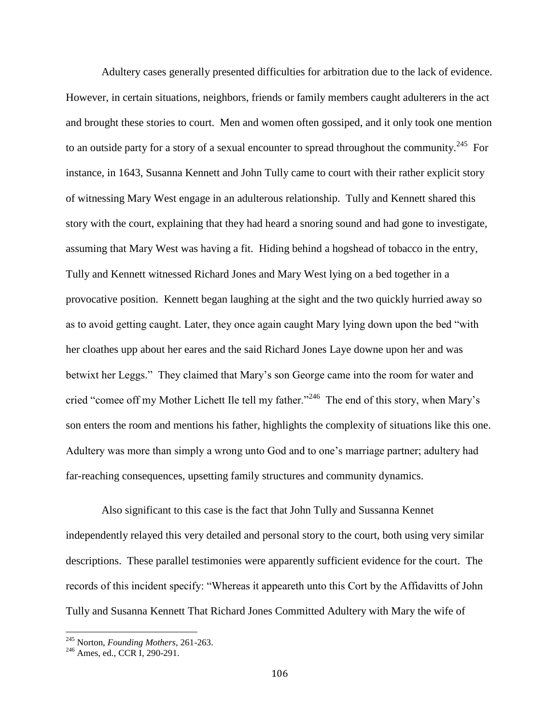Adultery cases generally presented difficulties for arbitration due to the lack of evidence. However, in certain situations, neighbors, friends or family members caught adulterers in the act and brought these stories to court. Men and women often gossiped, and it only took one mention to an outside party for a story of a sexual encounter to spread throughout the community.<sup>245</sup> For instance, in 1643, Susanna Kennett and John Tully came to court with their rather explicit story of witnessing Mary West engage in an adulterous relationship. Tully and Kennett shared this story with the court, explaining that they had heard a snoring sound and had gone to investigate, assuming that Mary West was having a fit. Hiding behind a hogshead of tobacco in the entry, Tully and Kennett witnessed Richard Jones and Mary West lying on a bed together in a provocative position. Kennett began laughing at the sight and the two quickly hurried away so as to avoid getting caught. Later, they once again caught Mary lying down upon the bed "with her cloathes upp about her eares and the said Richard Jones Laye downe upon her and was betwixt her Leggs." They claimed that Mary's son George came into the room for water and cried "comee off my Mother Lichett Ile tell my father."<sup>246</sup> The end of this story, when Mary's son enters the room and mentions his father, highlights the complexity of situations like this one. Adultery was more than simply a wrong unto God and to one's marriage partner; adultery had far-reaching consequences, upsetting family structures and community dynamics.

Also significant to this case is the fact that John Tully and Sussanna Kennet independently relayed this very detailed and personal story to the court, both using very similar descriptions. These parallel testimonies were apparently sufficient evidence for the court. The records of this incident specify: "Whereas it appeareth unto this Cort by the Affidavitts of John Tully and Susanna Kennett That Richard Jones Committed Adultery with Mary the wife of

<sup>245</sup> Norton, *Founding Mothers*, 261-263.

<sup>246</sup> Ames*,* ed., CCR I*,* 290-291.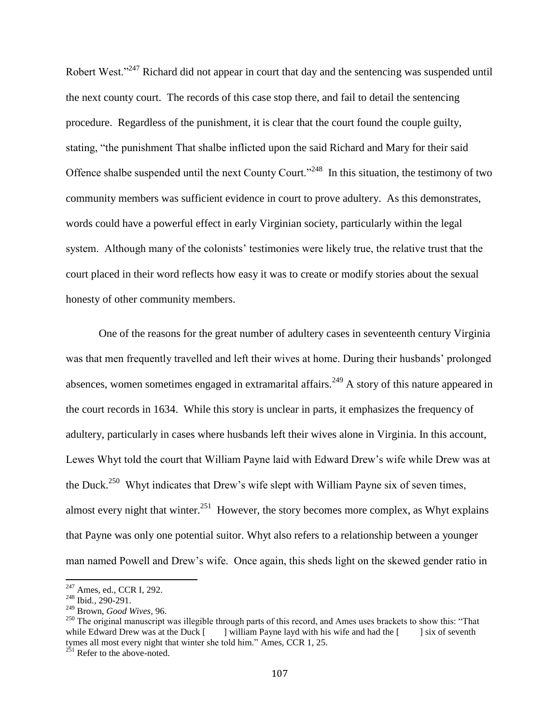Robert West.<sup>2247</sup> Richard did not appear in court that day and the sentencing was suspended until the next county court. The records of this case stop there, and fail to detail the sentencing procedure. Regardless of the punishment, it is clear that the court found the couple guilty, stating, "the punishment That shalbe inflicted upon the said Richard and Mary for their said Offence shalbe suspended until the next County Court."<sup>248</sup> In this situation, the testimony of two community members was sufficient evidence in court to prove adultery. As this demonstrates, words could have a powerful effect in early Virginian society, particularly within the legal system. Although many of the colonists' testimonies were likely true, the relative trust that the court placed in their word reflects how easy it was to create or modify stories about the sexual honesty of other community members.

One of the reasons for the great number of adultery cases in seventeenth century Virginia was that men frequently travelled and left their wives at home. During their husbands' prolonged absences, women sometimes engaged in extramarital affairs.<sup>249</sup> A story of this nature appeared in the court records in 1634. While this story is unclear in parts, it emphasizes the frequency of adultery, particularly in cases where husbands left their wives alone in Virginia. In this account, Lewes Whyt told the court that William Payne laid with Edward Drew's wife while Drew was at the Duck.<sup>250</sup> Whyt indicates that Drew's wife slept with William Payne six of seven times, almost every night that winter.<sup>251</sup> However, the story becomes more complex, as Whyt explains that Payne was only one potential suitor. Whyt also refers to a relationship between a younger man named Powell and Drew's wife. Once again, this sheds light on the skewed gender ratio in

<sup>247</sup> Ames*,* ed., CCR I, 292.

<sup>248</sup> Ibid.*,* 290-291.

<sup>249</sup> Brown, *Good Wives*, 96.

<sup>&</sup>lt;sup>250</sup> The original manuscript was illegible through parts of this record, and Ames uses brackets to show this: "That while Edward Drew was at the Duck  $\begin{bmatrix} \quad \quad \end{bmatrix}$  william Payne layd with his wife and had the  $\begin{bmatrix} \quad \quad \end{bmatrix}$  six of seventh tymes all most every night that winter she told him." Ames*,* CCR 1, 25.

 $^{251}$  Refer to the above-noted.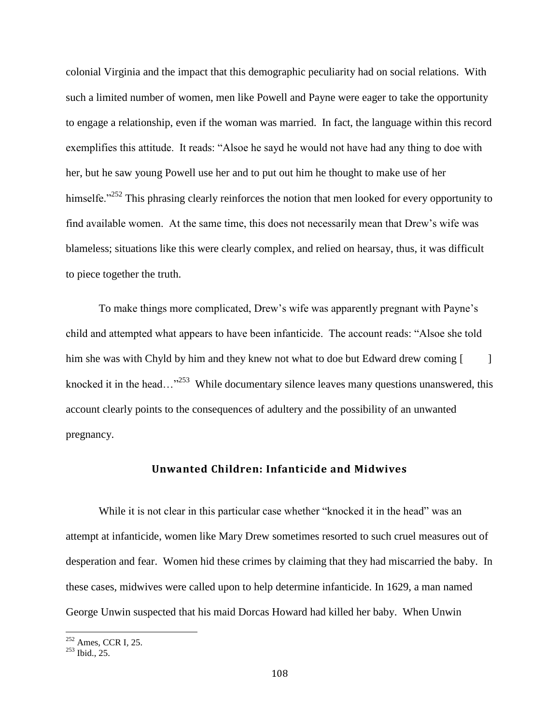colonial Virginia and the impact that this demographic peculiarity had on social relations. With such a limited number of women, men like Powell and Payne were eager to take the opportunity to engage a relationship, even if the woman was married. In fact, the language within this record exemplifies this attitude. It reads: "Alsoe he sayd he would not have had any thing to doe with her, but he saw young Powell use her and to put out him he thought to make use of her himselfe."<sup>252</sup> This phrasing clearly reinforces the notion that men looked for every opportunity to find available women. At the same time, this does not necessarily mean that Drew's wife was blameless; situations like this were clearly complex, and relied on hearsay, thus, it was difficult to piece together the truth.

To make things more complicated, Drew's wife was apparently pregnant with Payne's child and attempted what appears to have been infanticide. The account reads: "Alsoe she told him she was with Chyld by him and they knew not what to doe but Edward drew coming [  $\qquad$  ] knocked it in the head... $^{3253}$  While documentary silence leaves many questions unanswered, this account clearly points to the consequences of adultery and the possibility of an unwanted pregnancy.

## **Unwanted Children: Infanticide and Midwives**

While it is not clear in this particular case whether "knocked it in the head" was an attempt at infanticide, women like Mary Drew sometimes resorted to such cruel measures out of desperation and fear. Women hid these crimes by claiming that they had miscarried the baby. In these cases, midwives were called upon to help determine infanticide. In 1629, a man named George Unwin suspected that his maid Dorcas Howard had killed her baby. When Unwin

<sup>252</sup> Ames*,* CCR I*,* 25.

<sup>253</sup> Ibid., 25.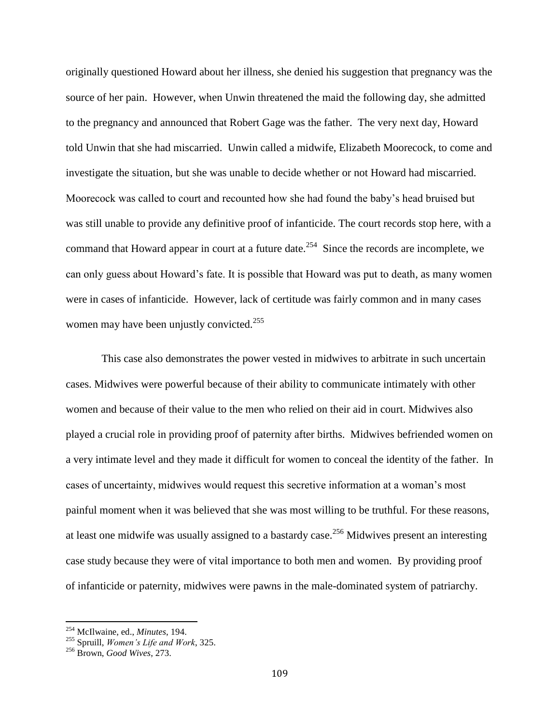originally questioned Howard about her illness, she denied his suggestion that pregnancy was the source of her pain. However, when Unwin threatened the maid the following day, she admitted to the pregnancy and announced that Robert Gage was the father. The very next day, Howard told Unwin that she had miscarried. Unwin called a midwife, Elizabeth Moorecock, to come and investigate the situation, but she was unable to decide whether or not Howard had miscarried. Moorecock was called to court and recounted how she had found the baby's head bruised but was still unable to provide any definitive proof of infanticide. The court records stop here, with a command that Howard appear in court at a future date.<sup>254</sup> Since the records are incomplete, we can only guess about Howard's fate. It is possible that Howard was put to death, as many women were in cases of infanticide. However, lack of certitude was fairly common and in many cases women may have been unjustly convicted.<sup>255</sup>

This case also demonstrates the power vested in midwives to arbitrate in such uncertain cases. Midwives were powerful because of their ability to communicate intimately with other women and because of their value to the men who relied on their aid in court. Midwives also played a crucial role in providing proof of paternity after births. Midwives befriended women on a very intimate level and they made it difficult for women to conceal the identity of the father. In cases of uncertainty, midwives would request this secretive information at a woman's most painful moment when it was believed that she was most willing to be truthful. For these reasons, at least one midwife was usually assigned to a bastardy case.<sup>256</sup> Midwives present an interesting case study because they were of vital importance to both men and women. By providing proof of infanticide or paternity, midwives were pawns in the male-dominated system of patriarchy.

<sup>254</sup> McIlwaine, ed., *Minutes*, 194.

<sup>255</sup> Spruill, *Women's Life and Work*, 325.

<sup>256</sup> Brown, *Good Wives*, 273.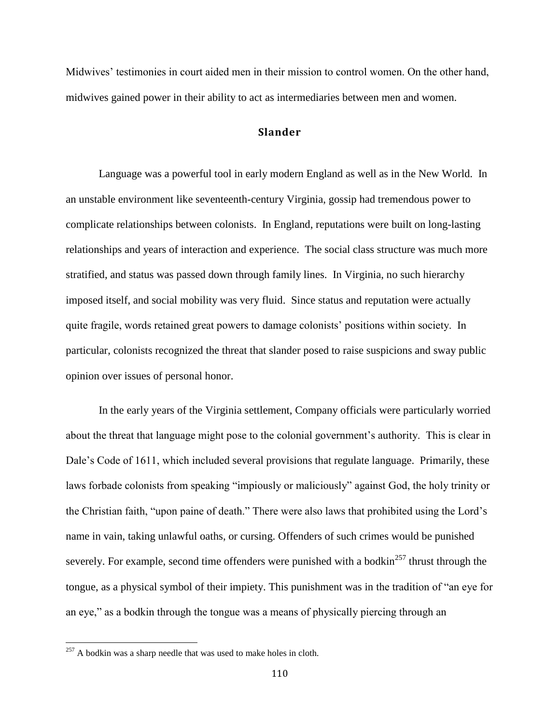Midwives' testimonies in court aided men in their mission to control women. On the other hand, midwives gained power in their ability to act as intermediaries between men and women.

## **Slander**

Language was a powerful tool in early modern England as well as in the New World. In an unstable environment like seventeenth-century Virginia, gossip had tremendous power to complicate relationships between colonists. In England, reputations were built on long-lasting relationships and years of interaction and experience. The social class structure was much more stratified, and status was passed down through family lines. In Virginia, no such hierarchy imposed itself, and social mobility was very fluid. Since status and reputation were actually quite fragile, words retained great powers to damage colonists' positions within society. In particular, colonists recognized the threat that slander posed to raise suspicions and sway public opinion over issues of personal honor.

In the early years of the Virginia settlement, Company officials were particularly worried about the threat that language might pose to the colonial government's authority. This is clear in Dale's Code of 1611, which included several provisions that regulate language. Primarily, these laws forbade colonists from speaking "impiously or maliciously" against God, the holy trinity or the Christian faith, "upon paine of death." There were also laws that prohibited using the Lord's name in vain, taking unlawful oaths, or cursing. Offenders of such crimes would be punished severely. For example, second time offenders were punished with a bodkin<sup>257</sup> thrust through the tongue, as a physical symbol of their impiety. This punishment was in the tradition of "an eye for an eye," as a bodkin through the tongue was a means of physically piercing through an

 $^{257}$  A bodkin was a sharp needle that was used to make holes in cloth.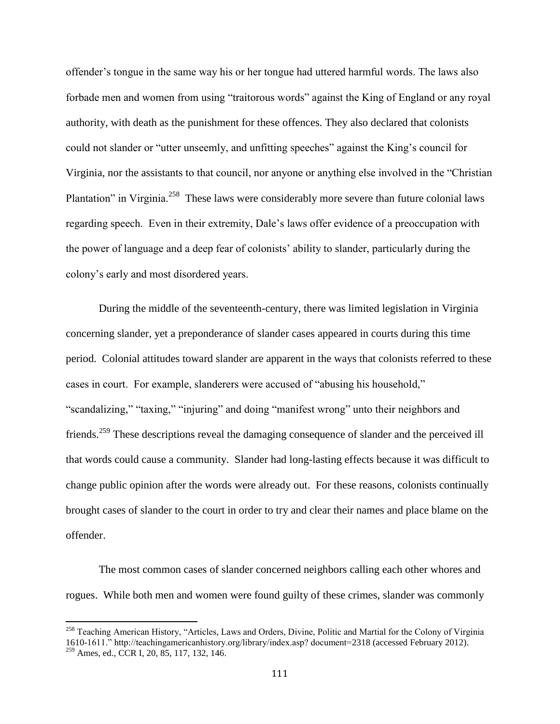offender's tongue in the same way his or her tongue had uttered harmful words. The laws also forbade men and women from using "traitorous words" against the King of England or any royal authority, with death as the punishment for these offences. They also declared that colonists could not slander or "utter unseemly, and unfitting speeches" against the King's council for Virginia, nor the assistants to that council, nor anyone or anything else involved in the "Christian Plantation" in Virginia.<sup>258</sup> These laws were considerably more severe than future colonial laws regarding speech. Even in their extremity, Dale's laws offer evidence of a preoccupation with the power of language and a deep fear of colonists' ability to slander, particularly during the colony's early and most disordered years.

During the middle of the seventeenth-century, there was limited legislation in Virginia concerning slander, yet a preponderance of slander cases appeared in courts during this time period. Colonial attitudes toward slander are apparent in the ways that colonists referred to these cases in court. For example, slanderers were accused of "abusing his household," "scandalizing," "taxing," "injuring" and doing "manifest wrong" unto their neighbors and friends.<sup>259</sup> These descriptions reveal the damaging consequence of slander and the perceived ill that words could cause a community. Slander had long-lasting effects because it was difficult to change public opinion after the words were already out. For these reasons, colonists continually brought cases of slander to the court in order to try and clear their names and place blame on the offender.

The most common cases of slander concerned neighbors calling each other whores and rogues. While both men and women were found guilty of these crimes, slander was commonly

<sup>&</sup>lt;sup>258</sup> Teaching American History, "Articles, Laws and Orders, Divine, Politic and Martial for the Colony of Virginia 1610-1611." http://teachingamericanhistory.org/library/index.asp? document=2318 (accessed February 2012). <sup>259</sup> Ames*,* ed., CCR I, 20, 85, 117, 132, 146.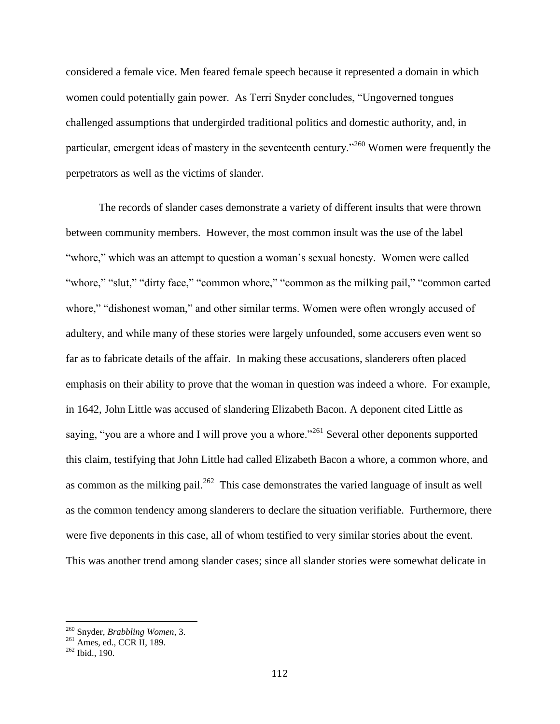considered a female vice. Men feared female speech because it represented a domain in which women could potentially gain power. As Terri Snyder concludes, "Ungoverned tongues challenged assumptions that undergirded traditional politics and domestic authority, and, in particular, emergent ideas of mastery in the seventeenth century."<sup>260</sup> Women were frequently the perpetrators as well as the victims of slander.

The records of slander cases demonstrate a variety of different insults that were thrown between community members. However, the most common insult was the use of the label "whore," which was an attempt to question a woman's sexual honesty. Women were called "whore," "slut," "dirty face," "common whore," "common as the milking pail," "common carted whore," "dishonest woman," and other similar terms. Women were often wrongly accused of adultery, and while many of these stories were largely unfounded, some accusers even went so far as to fabricate details of the affair. In making these accusations, slanderers often placed emphasis on their ability to prove that the woman in question was indeed a whore. For example, in 1642, John Little was accused of slandering Elizabeth Bacon. A deponent cited Little as saying, "you are a whore and I will prove you a whore."<sup>261</sup> Several other deponents supported this claim, testifying that John Little had called Elizabeth Bacon a whore, a common whore, and as common as the milking pail.<sup>262</sup> This case demonstrates the varied language of insult as well as the common tendency among slanderers to declare the situation verifiable. Furthermore, there were five deponents in this case, all of whom testified to very similar stories about the event. This was another trend among slander cases; since all slander stories were somewhat delicate in

<sup>260</sup> Snyder, *Brabbling Women*, 3.

 $^{261}$  Ames, ed., CCR II, 189.

<sup>262</sup> Ibid., 190.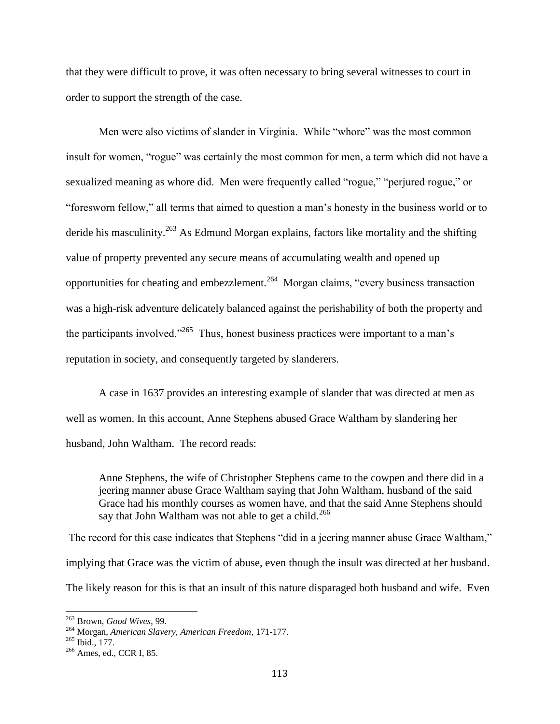that they were difficult to prove, it was often necessary to bring several witnesses to court in order to support the strength of the case.

Men were also victims of slander in Virginia. While "whore" was the most common insult for women, "rogue" was certainly the most common for men, a term which did not have a sexualized meaning as whore did. Men were frequently called "rogue," "perjured rogue," or "foresworn fellow," all terms that aimed to question a man's honesty in the business world or to deride his masculinity.<sup>263</sup> As Edmund Morgan explains, factors like mortality and the shifting value of property prevented any secure means of accumulating wealth and opened up opportunities for cheating and embezzlement.<sup>264</sup> Morgan claims, "every business transaction was a high-risk adventure delicately balanced against the perishability of both the property and the participants involved."<sup>265</sup> Thus, honest business practices were important to a man's reputation in society, and consequently targeted by slanderers.

A case in 1637 provides an interesting example of slander that was directed at men as well as women. In this account, Anne Stephens abused Grace Waltham by slandering her husband, John Waltham. The record reads:

Anne Stephens, the wife of Christopher Stephens came to the cowpen and there did in a jeering manner abuse Grace Waltham saying that John Waltham, husband of the said Grace had his monthly courses as women have, and that the said Anne Stephens should say that John Waltham was not able to get a child.<sup>266</sup>

The record for this case indicates that Stephens "did in a jeering manner abuse Grace Waltham," implying that Grace was the victim of abuse, even though the insult was directed at her husband. The likely reason for this is that an insult of this nature disparaged both husband and wife. Even

<sup>263</sup> Brown, *Good Wives*, 99.

<sup>264</sup> Morgan, *American Slavery, American Freedom*, 171-177.

 $^{265}$  Ibid., 177.

<sup>&</sup>lt;sup>266</sup> Ames, ed., CCR I, 85.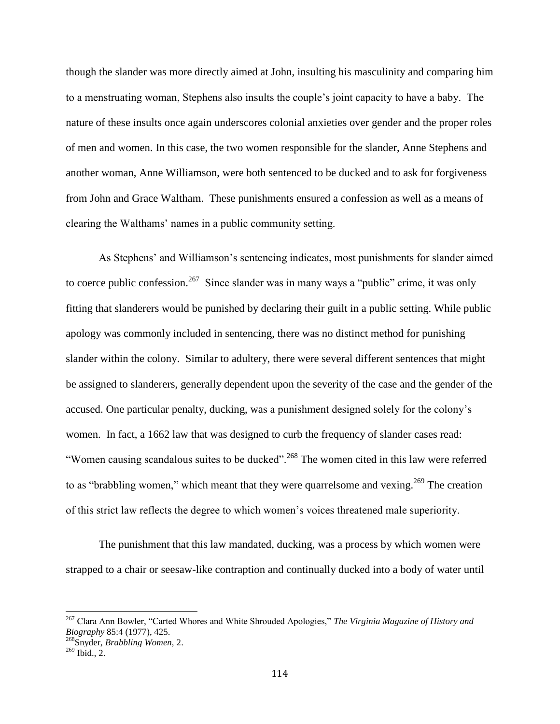though the slander was more directly aimed at John, insulting his masculinity and comparing him to a menstruating woman, Stephens also insults the couple's joint capacity to have a baby. The nature of these insults once again underscores colonial anxieties over gender and the proper roles of men and women. In this case, the two women responsible for the slander, Anne Stephens and another woman, Anne Williamson, were both sentenced to be ducked and to ask for forgiveness from John and Grace Waltham. These punishments ensured a confession as well as a means of clearing the Walthams' names in a public community setting.

As Stephens' and Williamson's sentencing indicates, most punishments for slander aimed to coerce public confession.<sup>267</sup> Since slander was in many ways a "public" crime, it was only fitting that slanderers would be punished by declaring their guilt in a public setting. While public apology was commonly included in sentencing, there was no distinct method for punishing slander within the colony. Similar to adultery, there were several different sentences that might be assigned to slanderers, generally dependent upon the severity of the case and the gender of the accused. One particular penalty, ducking, was a punishment designed solely for the colony's women. In fact, a 1662 law that was designed to curb the frequency of slander cases read: "Women causing scandalous suites to be ducked".<sup>268</sup> The women cited in this law were referred to as "brabbling women," which meant that they were quarrelsome and vexing.<sup>269</sup> The creation of this strict law reflects the degree to which women's voices threatened male superiority.

The punishment that this law mandated, ducking, was a process by which women were strapped to a chair or seesaw-like contraption and continually ducked into a body of water until

<sup>267</sup> Clara Ann Bowler, "Carted Whores and White Shrouded Apologies," *The Virginia Magazine of History and Biography* 85:4 (1977), 425.

<sup>268</sup>Snyder, *Brabbling Women,* 2.

 $269$  Ibid., 2.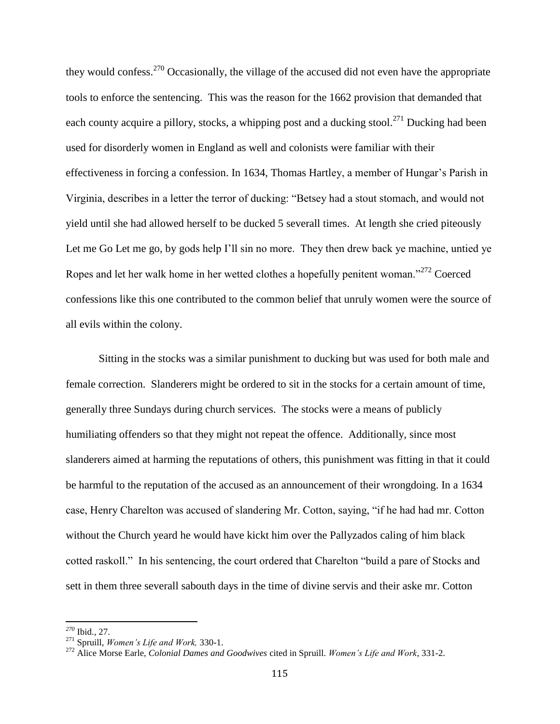they would confess.<sup>270</sup> Occasionally, the village of the accused did not even have the appropriate tools to enforce the sentencing. This was the reason for the 1662 provision that demanded that each county acquire a pillory, stocks, a whipping post and a ducking stool.<sup>271</sup> Ducking had been used for disorderly women in England as well and colonists were familiar with their effectiveness in forcing a confession. In 1634, Thomas Hartley, a member of Hungar's Parish in Virginia, describes in a letter the terror of ducking: "Betsey had a stout stomach, and would not yield until she had allowed herself to be ducked 5 severall times. At length she cried piteously Let me Go Let me go, by gods help I'll sin no more. They then drew back ye machine, untied ye Ropes and let her walk home in her wetted clothes a hopefully penitent woman."<sup>272</sup> Coerced confessions like this one contributed to the common belief that unruly women were the source of all evils within the colony.

Sitting in the stocks was a similar punishment to ducking but was used for both male and female correction. Slanderers might be ordered to sit in the stocks for a certain amount of time, generally three Sundays during church services. The stocks were a means of publicly humiliating offenders so that they might not repeat the offence. Additionally, since most slanderers aimed at harming the reputations of others, this punishment was fitting in that it could be harmful to the reputation of the accused as an announcement of their wrongdoing. In a 1634 case, Henry Charelton was accused of slandering Mr. Cotton, saying, "if he had had mr. Cotton without the Church yeard he would have kickt him over the Pallyzados caling of him black cotted raskoll." In his sentencing, the court ordered that Charelton "build a pare of Stocks and sett in them three severall sabouth days in the time of divine servis and their aske mr. Cotton

*<sup>270</sup>* Ibid.*,* 27.

<sup>271</sup> Spruill, *Women's Life and Work,* 330-1.

<sup>272</sup> Alice Morse Earle, *Colonial Dames and Goodwives* cited in Spruill. *Women's Life and Work*, 331-2.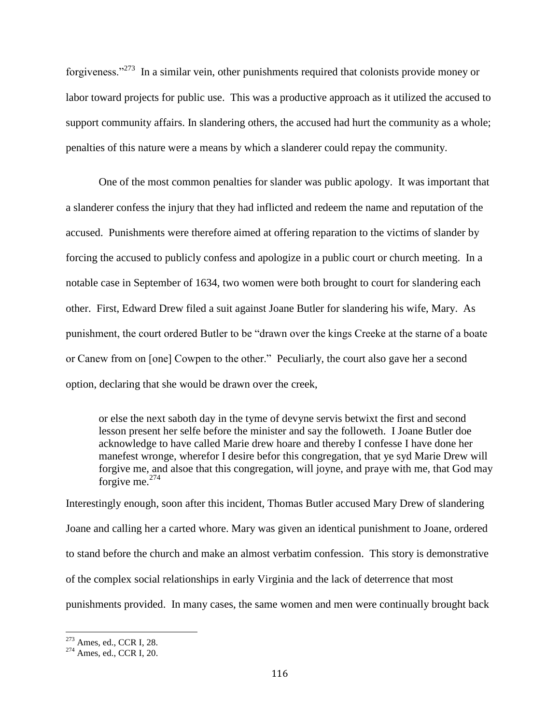forgiveness."<sup>273</sup> In a similar vein, other punishments required that colonists provide money or labor toward projects for public use. This was a productive approach as it utilized the accused to support community affairs. In slandering others, the accused had hurt the community as a whole; penalties of this nature were a means by which a slanderer could repay the community.

One of the most common penalties for slander was public apology. It was important that a slanderer confess the injury that they had inflicted and redeem the name and reputation of the accused. Punishments were therefore aimed at offering reparation to the victims of slander by forcing the accused to publicly confess and apologize in a public court or church meeting. In a notable case in September of 1634, two women were both brought to court for slandering each other. First, Edward Drew filed a suit against Joane Butler for slandering his wife, Mary. As punishment, the court ordered Butler to be "drawn over the kings Creeke at the starne of a boate or Canew from on [one] Cowpen to the other." Peculiarly, the court also gave her a second option, declaring that she would be drawn over the creek,

or else the next saboth day in the tyme of devyne servis betwixt the first and second lesson present her selfe before the minister and say the followeth. I Joane Butler doe acknowledge to have called Marie drew hoare and thereby I confesse I have done her manefest wronge, wherefor I desire befor this congregation, that ye syd Marie Drew will forgive me, and alsoe that this congregation, will joyne, and praye with me, that God may forgive me. $274$ 

Interestingly enough, soon after this incident, Thomas Butler accused Mary Drew of slandering Joane and calling her a carted whore. Mary was given an identical punishment to Joane, ordered to stand before the church and make an almost verbatim confession. This story is demonstrative of the complex social relationships in early Virginia and the lack of deterrence that most punishments provided. In many cases, the same women and men were continually brought back

 $273$  Ames, ed., CCR I, 28.

<sup>274</sup> Ames, ed., CCR I, 20.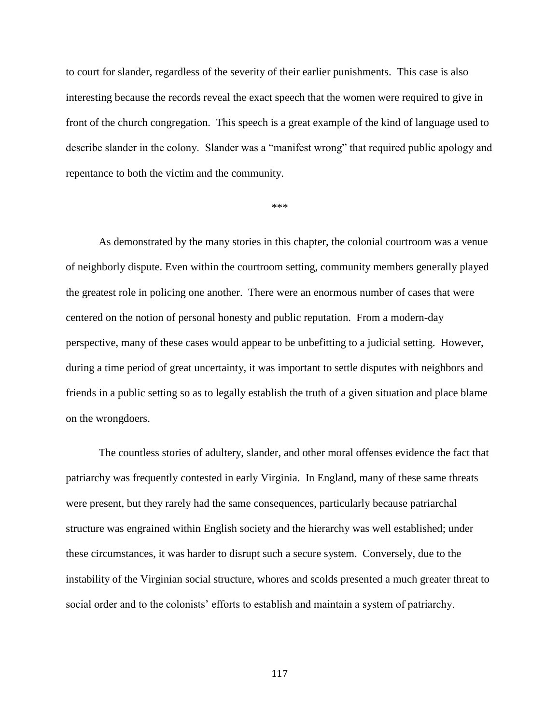to court for slander, regardless of the severity of their earlier punishments. This case is also interesting because the records reveal the exact speech that the women were required to give in front of the church congregation. This speech is a great example of the kind of language used to describe slander in the colony. Slander was a "manifest wrong" that required public apology and repentance to both the victim and the community.

\*\*\*

As demonstrated by the many stories in this chapter, the colonial courtroom was a venue of neighborly dispute. Even within the courtroom setting, community members generally played the greatest role in policing one another. There were an enormous number of cases that were centered on the notion of personal honesty and public reputation. From a modern-day perspective, many of these cases would appear to be unbefitting to a judicial setting. However, during a time period of great uncertainty, it was important to settle disputes with neighbors and friends in a public setting so as to legally establish the truth of a given situation and place blame on the wrongdoers.

The countless stories of adultery, slander, and other moral offenses evidence the fact that patriarchy was frequently contested in early Virginia. In England, many of these same threats were present, but they rarely had the same consequences, particularly because patriarchal structure was engrained within English society and the hierarchy was well established; under these circumstances, it was harder to disrupt such a secure system. Conversely, due to the instability of the Virginian social structure, whores and scolds presented a much greater threat to social order and to the colonists' efforts to establish and maintain a system of patriarchy.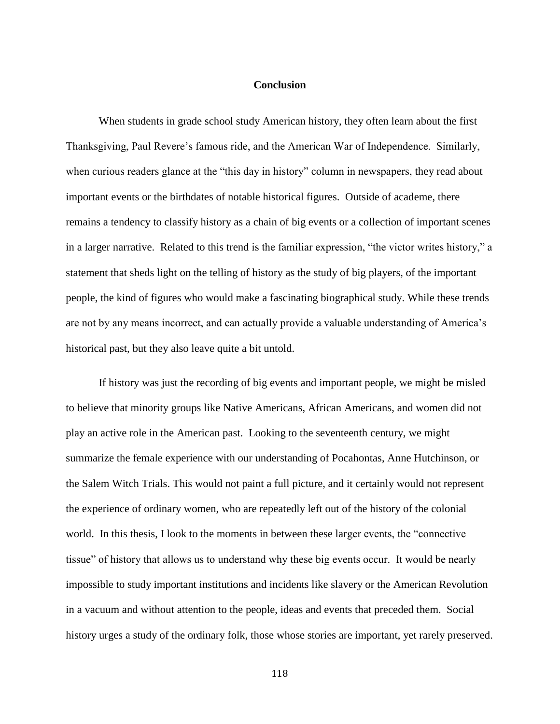## **Conclusion**

When students in grade school study American history, they often learn about the first Thanksgiving, Paul Revere's famous ride, and the American War of Independence. Similarly, when curious readers glance at the "this day in history" column in newspapers, they read about important events or the birthdates of notable historical figures. Outside of academe, there remains a tendency to classify history as a chain of big events or a collection of important scenes in a larger narrative. Related to this trend is the familiar expression, "the victor writes history," a statement that sheds light on the telling of history as the study of big players, of the important people, the kind of figures who would make a fascinating biographical study. While these trends are not by any means incorrect, and can actually provide a valuable understanding of America's historical past, but they also leave quite a bit untold.

If history was just the recording of big events and important people, we might be misled to believe that minority groups like Native Americans, African Americans, and women did not play an active role in the American past. Looking to the seventeenth century, we might summarize the female experience with our understanding of Pocahontas, Anne Hutchinson, or the Salem Witch Trials. This would not paint a full picture, and it certainly would not represent the experience of ordinary women, who are repeatedly left out of the history of the colonial world. In this thesis, I look to the moments in between these larger events, the "connective tissue" of history that allows us to understand why these big events occur. It would be nearly impossible to study important institutions and incidents like slavery or the American Revolution in a vacuum and without attention to the people, ideas and events that preceded them. Social history urges a study of the ordinary folk, those whose stories are important, yet rarely preserved.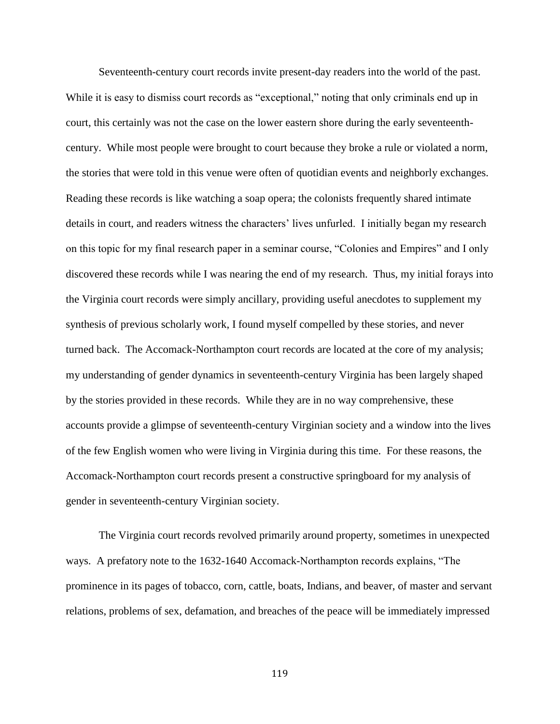Seventeenth-century court records invite present-day readers into the world of the past. While it is easy to dismiss court records as "exceptional," noting that only criminals end up in court, this certainly was not the case on the lower eastern shore during the early seventeenthcentury. While most people were brought to court because they broke a rule or violated a norm, the stories that were told in this venue were often of quotidian events and neighborly exchanges. Reading these records is like watching a soap opera; the colonists frequently shared intimate details in court, and readers witness the characters' lives unfurled. I initially began my research on this topic for my final research paper in a seminar course, "Colonies and Empires" and I only discovered these records while I was nearing the end of my research. Thus, my initial forays into the Virginia court records were simply ancillary, providing useful anecdotes to supplement my synthesis of previous scholarly work, I found myself compelled by these stories, and never turned back. The Accomack-Northampton court records are located at the core of my analysis; my understanding of gender dynamics in seventeenth-century Virginia has been largely shaped by the stories provided in these records. While they are in no way comprehensive, these accounts provide a glimpse of seventeenth-century Virginian society and a window into the lives of the few English women who were living in Virginia during this time. For these reasons, the Accomack-Northampton court records present a constructive springboard for my analysis of gender in seventeenth-century Virginian society.

The Virginia court records revolved primarily around property, sometimes in unexpected ways. A prefatory note to the 1632-1640 Accomack-Northampton records explains, "The prominence in its pages of tobacco, corn, cattle, boats, Indians, and beaver, of master and servant relations, problems of sex, defamation, and breaches of the peace will be immediately impressed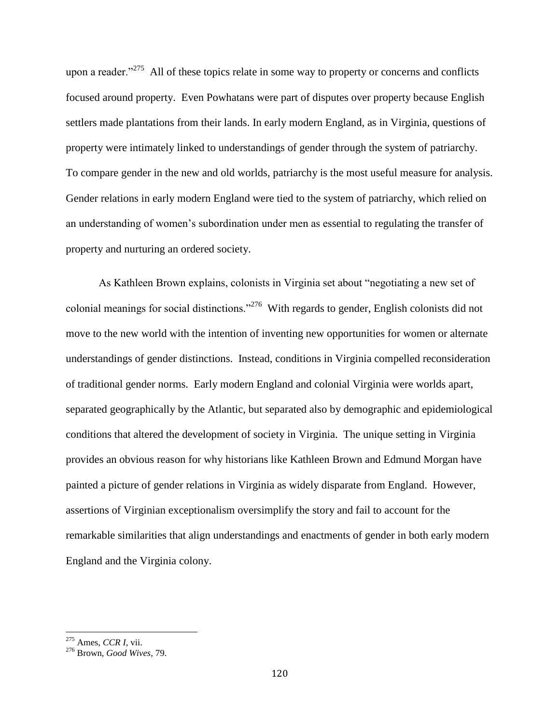upon a reader."<sup>275</sup> All of these topics relate in some way to property or concerns and conflicts focused around property. Even Powhatans were part of disputes over property because English settlers made plantations from their lands. In early modern England, as in Virginia, questions of property were intimately linked to understandings of gender through the system of patriarchy. To compare gender in the new and old worlds, patriarchy is the most useful measure for analysis. Gender relations in early modern England were tied to the system of patriarchy, which relied on an understanding of women's subordination under men as essential to regulating the transfer of property and nurturing an ordered society.

As Kathleen Brown explains, colonists in Virginia set about "negotiating a new set of colonial meanings for social distinctions."<sup>276</sup> With regards to gender, English colonists did not move to the new world with the intention of inventing new opportunities for women or alternate understandings of gender distinctions. Instead, conditions in Virginia compelled reconsideration of traditional gender norms. Early modern England and colonial Virginia were worlds apart, separated geographically by the Atlantic, but separated also by demographic and epidemiological conditions that altered the development of society in Virginia. The unique setting in Virginia provides an obvious reason for why historians like Kathleen Brown and Edmund Morgan have painted a picture of gender relations in Virginia as widely disparate from England. However, assertions of Virginian exceptionalism oversimplify the story and fail to account for the remarkable similarities that align understandings and enactments of gender in both early modern England and the Virginia colony.

<sup>275</sup> Ames, *CCR I*, vii.

<sup>276</sup> Brown, *Good Wives*, 79.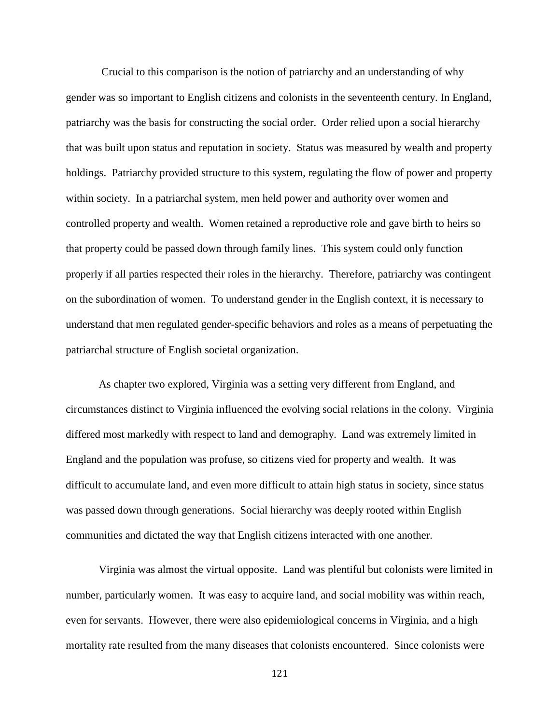Crucial to this comparison is the notion of patriarchy and an understanding of why gender was so important to English citizens and colonists in the seventeenth century. In England, patriarchy was the basis for constructing the social order. Order relied upon a social hierarchy that was built upon status and reputation in society. Status was measured by wealth and property holdings. Patriarchy provided structure to this system, regulating the flow of power and property within society. In a patriarchal system, men held power and authority over women and controlled property and wealth. Women retained a reproductive role and gave birth to heirs so that property could be passed down through family lines. This system could only function properly if all parties respected their roles in the hierarchy. Therefore, patriarchy was contingent on the subordination of women. To understand gender in the English context, it is necessary to understand that men regulated gender-specific behaviors and roles as a means of perpetuating the patriarchal structure of English societal organization.

As chapter two explored, Virginia was a setting very different from England, and circumstances distinct to Virginia influenced the evolving social relations in the colony. Virginia differed most markedly with respect to land and demography. Land was extremely limited in England and the population was profuse, so citizens vied for property and wealth. It was difficult to accumulate land, and even more difficult to attain high status in society, since status was passed down through generations. Social hierarchy was deeply rooted within English communities and dictated the way that English citizens interacted with one another.

Virginia was almost the virtual opposite. Land was plentiful but colonists were limited in number, particularly women. It was easy to acquire land, and social mobility was within reach, even for servants. However, there were also epidemiological concerns in Virginia, and a high mortality rate resulted from the many diseases that colonists encountered. Since colonists were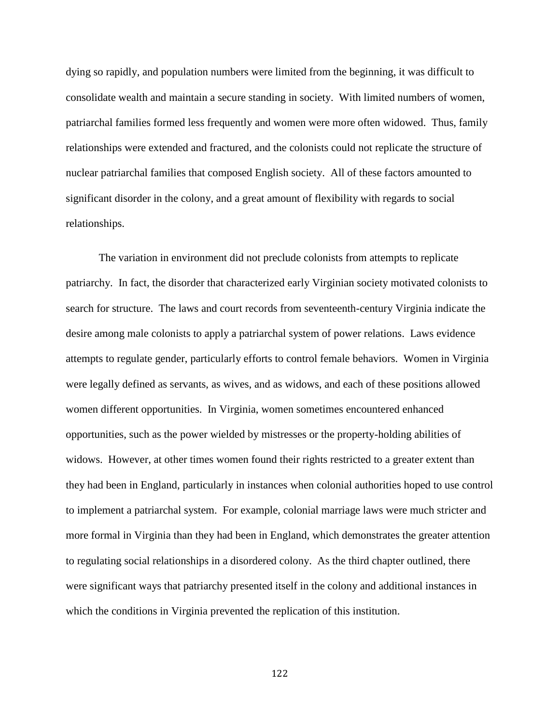dying so rapidly, and population numbers were limited from the beginning, it was difficult to consolidate wealth and maintain a secure standing in society. With limited numbers of women, patriarchal families formed less frequently and women were more often widowed. Thus, family relationships were extended and fractured, and the colonists could not replicate the structure of nuclear patriarchal families that composed English society. All of these factors amounted to significant disorder in the colony, and a great amount of flexibility with regards to social relationships.

The variation in environment did not preclude colonists from attempts to replicate patriarchy. In fact, the disorder that characterized early Virginian society motivated colonists to search for structure. The laws and court records from seventeenth-century Virginia indicate the desire among male colonists to apply a patriarchal system of power relations. Laws evidence attempts to regulate gender, particularly efforts to control female behaviors. Women in Virginia were legally defined as servants, as wives, and as widows, and each of these positions allowed women different opportunities. In Virginia, women sometimes encountered enhanced opportunities, such as the power wielded by mistresses or the property-holding abilities of widows. However, at other times women found their rights restricted to a greater extent than they had been in England, particularly in instances when colonial authorities hoped to use control to implement a patriarchal system. For example, colonial marriage laws were much stricter and more formal in Virginia than they had been in England, which demonstrates the greater attention to regulating social relationships in a disordered colony. As the third chapter outlined, there were significant ways that patriarchy presented itself in the colony and additional instances in which the conditions in Virginia prevented the replication of this institution.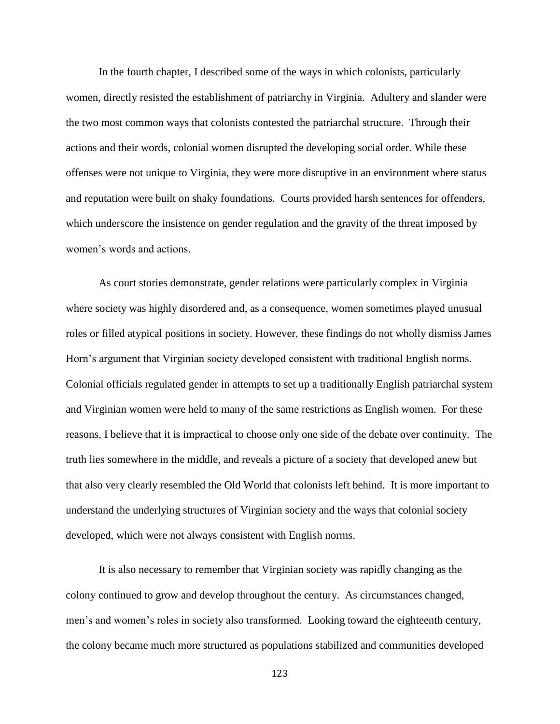In the fourth chapter, I described some of the ways in which colonists, particularly women, directly resisted the establishment of patriarchy in Virginia. Adultery and slander were the two most common ways that colonists contested the patriarchal structure. Through their actions and their words, colonial women disrupted the developing social order. While these offenses were not unique to Virginia, they were more disruptive in an environment where status and reputation were built on shaky foundations. Courts provided harsh sentences for offenders, which underscore the insistence on gender regulation and the gravity of the threat imposed by women's words and actions.

As court stories demonstrate, gender relations were particularly complex in Virginia where society was highly disordered and, as a consequence, women sometimes played unusual roles or filled atypical positions in society. However, these findings do not wholly dismiss James Horn's argument that Virginian society developed consistent with traditional English norms. Colonial officials regulated gender in attempts to set up a traditionally English patriarchal system and Virginian women were held to many of the same restrictions as English women. For these reasons, I believe that it is impractical to choose only one side of the debate over continuity. The truth lies somewhere in the middle, and reveals a picture of a society that developed anew but that also very clearly resembled the Old World that colonists left behind. It is more important to understand the underlying structures of Virginian society and the ways that colonial society developed, which were not always consistent with English norms.

It is also necessary to remember that Virginian society was rapidly changing as the colony continued to grow and develop throughout the century. As circumstances changed, men's and women's roles in society also transformed. Looking toward the eighteenth century, the colony became much more structured as populations stabilized and communities developed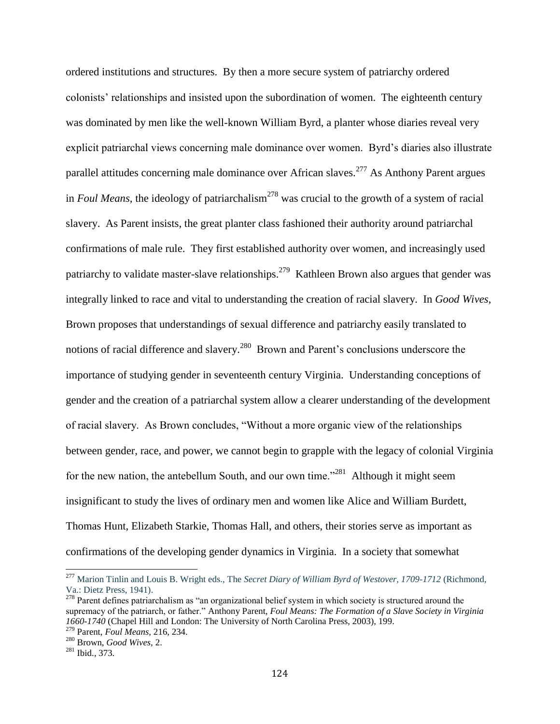ordered institutions and structures. By then a more secure system of patriarchy ordered colonists' relationships and insisted upon the subordination of women. The eighteenth century was dominated by men like the well-known William Byrd, a planter whose diaries reveal very explicit patriarchal views concerning male dominance over women. Byrd's diaries also illustrate parallel attitudes concerning male dominance over African slaves.<sup>277</sup> As Anthony Parent argues in *Foul Means*, the ideology of patriarchalism<sup>278</sup> was crucial to the growth of a system of racial slavery. As Parent insists, the great planter class fashioned their authority around patriarchal confirmations of male rule. They first established authority over women, and increasingly used patriarchy to validate master-slave relationships.<sup>279</sup> Kathleen Brown also argues that gender was integrally linked to race and vital to understanding the creation of racial slavery. In *Good Wives*, Brown proposes that understandings of sexual difference and patriarchy easily translated to notions of racial difference and slavery.<sup>280</sup> Brown and Parent's conclusions underscore the importance of studying gender in seventeenth century Virginia. Understanding conceptions of gender and the creation of a patriarchal system allow a clearer understanding of the development of racial slavery. As Brown concludes, "Without a more organic view of the relationships between gender, race, and power, we cannot begin to grapple with the legacy of colonial Virginia for the new nation, the antebellum South, and our own time.<sup> $281$ </sup> Although it might seem insignificant to study the lives of ordinary men and women like Alice and William Burdett, Thomas Hunt, Elizabeth Starkie, Thomas Hall, and others, their stories serve as important as confirmations of the developing gender dynamics in Virginia. In a society that somewhat

 $\overline{a}$ 

<sup>277</sup> Marion Tinlin and Louis B. Wright eds., The *Secret Diary of William Byrd of Westover, 1709-1712* (Richmond, Va.: Dietz Press, 1941).

 $278$  Parent defines patriarchalism as "an organizational belief system in which society is structured around the supremacy of the patriarch, or father." Anthony Parent, *Foul Means: The Formation of a Slave Society in Virginia 1660-1740* (Chapel Hill and London: The University of North Carolina Press, 2003), 199. <sup>279</sup> Parent, *Foul Means*, 216, 234.

<sup>280</sup> Brown, *Good Wives,* 2.

<sup>281</sup> Ibid., 373.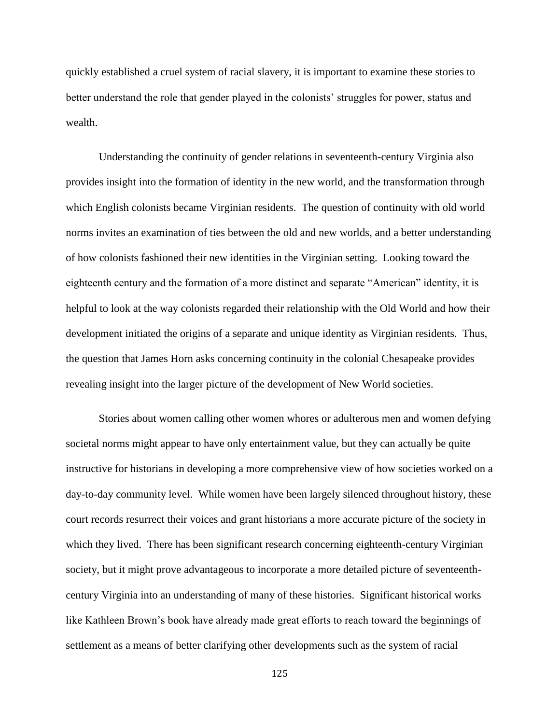quickly established a cruel system of racial slavery, it is important to examine these stories to better understand the role that gender played in the colonists' struggles for power, status and wealth.

Understanding the continuity of gender relations in seventeenth-century Virginia also provides insight into the formation of identity in the new world, and the transformation through which English colonists became Virginian residents. The question of continuity with old world norms invites an examination of ties between the old and new worlds, and a better understanding of how colonists fashioned their new identities in the Virginian setting. Looking toward the eighteenth century and the formation of a more distinct and separate "American" identity, it is helpful to look at the way colonists regarded their relationship with the Old World and how their development initiated the origins of a separate and unique identity as Virginian residents. Thus, the question that James Horn asks concerning continuity in the colonial Chesapeake provides revealing insight into the larger picture of the development of New World societies.

Stories about women calling other women whores or adulterous men and women defying societal norms might appear to have only entertainment value, but they can actually be quite instructive for historians in developing a more comprehensive view of how societies worked on a day-to-day community level. While women have been largely silenced throughout history, these court records resurrect their voices and grant historians a more accurate picture of the society in which they lived. There has been significant research concerning eighteenth-century Virginian society, but it might prove advantageous to incorporate a more detailed picture of seventeenthcentury Virginia into an understanding of many of these histories. Significant historical works like Kathleen Brown's book have already made great efforts to reach toward the beginnings of settlement as a means of better clarifying other developments such as the system of racial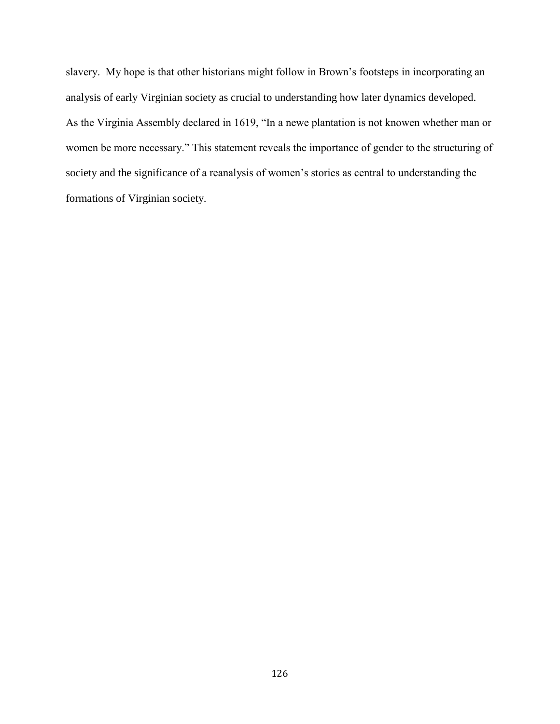slavery. My hope is that other historians might follow in Brown's footsteps in incorporating an analysis of early Virginian society as crucial to understanding how later dynamics developed. As the Virginia Assembly declared in 1619, "In a newe plantation is not knowen whether man or women be more necessary." This statement reveals the importance of gender to the structuring of society and the significance of a reanalysis of women's stories as central to understanding the formations of Virginian society.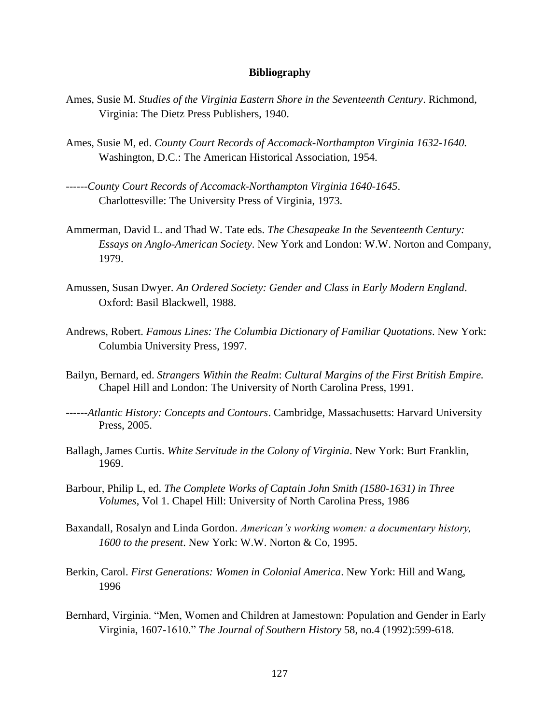## **Bibliography**

- Ames, Susie M. *Studies of the Virginia Eastern Shore in the Seventeenth Century*. Richmond, Virginia: The Dietz Press Publishers, 1940.
- Ames, Susie M, ed. *County Court Records of Accomack-Northampton Virginia 1632-1640.* Washington, D.C.: The American Historical Association, 1954.
- ------*County Court Records of Accomack-Northampton Virginia 1640-1645*. Charlottesville: The University Press of Virginia, 1973.
- Ammerman, David L. and Thad W. Tate eds. *The Chesapeake In the Seventeenth Century: Essays on Anglo-American Society*. New York and London: W.W. Norton and Company, 1979.
- Amussen, Susan Dwyer. *An Ordered Society: Gender and Class in Early Modern England*. Oxford: Basil Blackwell, 1988.
- Andrews, Robert. *Famous Lines: The Columbia Dictionary of Familiar Quotations*. New York: Columbia University Press, 1997.
- Bailyn, Bernard, ed. *Strangers Within the Realm*: *Cultural Margins of the First British Empire.* Chapel Hill and London: The University of North Carolina Press, 1991.
- ------*Atlantic History: Concepts and Contours*. Cambridge, Massachusetts: Harvard University Press, 2005.
- Ballagh, James Curtis. *White Servitude in the Colony of Virginia*. New York: Burt Franklin, 1969.
- Barbour, Philip L, ed. *The Complete Works of Captain John Smith (1580-1631) in Three Volumes*, Vol 1. Chapel Hill: University of North Carolina Press, 1986
- Baxandall, Rosalyn and Linda Gordon. *American's working women: a documentary history, 1600 to the present*. New York: W.W. Norton & Co, 1995.
- Berkin, Carol. *First Generations: Women in Colonial America*. New York: Hill and Wang, 1996
- Bernhard, Virginia. "Men, Women and Children at Jamestown: Population and Gender in Early Virginia, 1607-1610." *The Journal of Southern History* 58, no.4 (1992):599-618.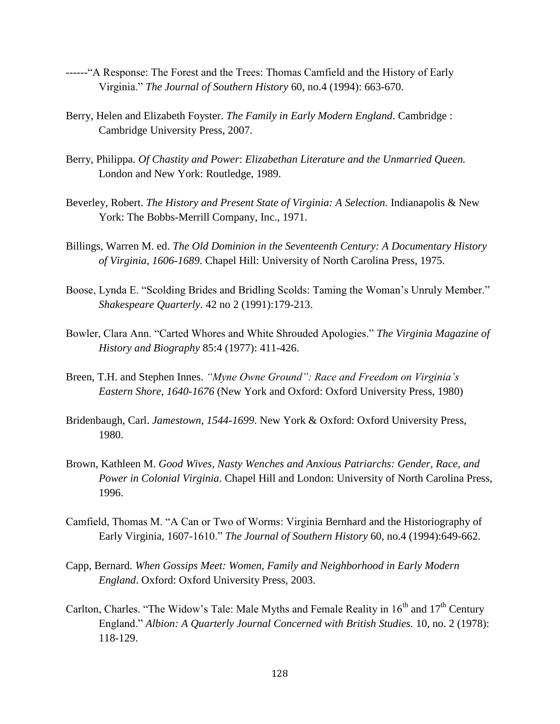- ------"A Response: The Forest and the Trees: Thomas Camfield and the History of Early Virginia." *The Journal of Southern History* 60, no.4 (1994): 663-670.
- Berry, Helen and Elizabeth Foyster. *The Family in Early Modern England*. Cambridge : Cambridge University Press, 2007.
- Berry, Philippa. *Of Chastity and Power*: *Elizabethan Literature and the Unmarried Queen.*  London and New York: Routledge, 1989.
- Beverley, Robert. *The History and Present State of Virginia: A Selection.* Indianapolis & New York: The Bobbs-Merrill Company, Inc., 1971.
- Billings, Warren M. ed. *The Old Dominion in the Seventeenth Century: A Documentary History of Virginia, 1606-1689*. Chapel Hill: University of North Carolina Press, 1975.
- Boose, Lynda E. "Scolding Brides and Bridling Scolds: Taming the Woman's Unruly Member." *Shakespeare Quarterly*. 42 no 2 (1991):179-213.
- Bowler, Clara Ann. "Carted Whores and White Shrouded Apologies." *The Virginia Magazine of History and Biography* 85:4 (1977): 411-426.
- Breen, T.H. and Stephen Innes. *"Myne Owne Ground": Race and Freedom on Virginia's Eastern Shore, 1640-1676* (New York and Oxford: Oxford University Press, 1980)
- Bridenbaugh, Carl. *Jamestown, 1544-1699*. New York & Oxford: Oxford University Press, 1980.
- Brown, Kathleen M. *Good Wives, Nasty Wenches and Anxious Patriarchs: Gender, Race, and Power in Colonial Virginia*. Chapel Hill and London: University of North Carolina Press, 1996.
- Camfield, Thomas M. "A Can or Two of Worms: Virginia Bernhard and the Historiography of Early Virginia, 1607-1610." *The Journal of Southern History* 60, no.4 (1994):649-662.
- Capp, Bernard. *When Gossips Meet: Women, Family and Neighborhood in Early Modern England*. Oxford: Oxford University Press, 2003.
- Carlton, Charles. "The Widow's Tale: Male Myths and Female Reality in  $16<sup>th</sup>$  and  $17<sup>th</sup>$  Century England." *Albion: A Quarterly Journal Concerned with British Studies.* 10, no. 2 (1978): 118-129.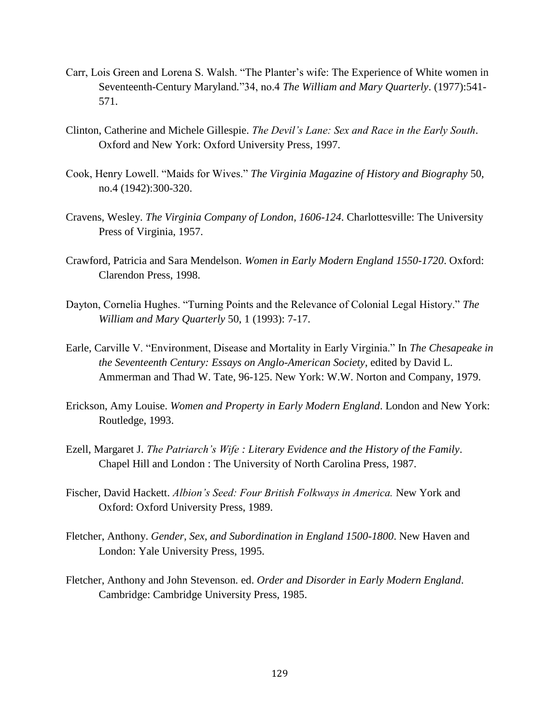- Carr, Lois Green and Lorena S. Walsh. "The Planter's wife: The Experience of White women in Seventeenth-Century Maryland*.*"34, no.4 *The William and Mary Quarterly*. (1977):541- 571.
- Clinton, Catherine and Michele Gillespie. *The Devil's Lane: Sex and Race in the Early South*. Oxford and New York: Oxford University Press, 1997.
- Cook, Henry Lowell. "Maids for Wives." *The Virginia Magazine of History and Biography* 50, no.4 (1942):300-320.
- Cravens, Wesley. *The Virginia Company of London, 1606-124*. Charlottesville: The University Press of Virginia, 1957.
- Crawford, Patricia and Sara Mendelson. *Women in Early Modern England 1550-1720*. Oxford: Clarendon Press, 1998.
- Dayton, Cornelia Hughes. "Turning Points and the Relevance of Colonial Legal History." *The William and Mary Quarterly* 50, 1 (1993): 7-17.
- Earle, Carville V. "Environment, Disease and Mortality in Early Virginia." In *The Chesapeake in the Seventeenth Century: Essays on Anglo-American Society*, edited by David L. Ammerman and Thad W. Tate, 96-125. New York: W.W. Norton and Company, 1979.
- Erickson, Amy Louise. *Women and Property in Early Modern England*. London and New York: Routledge, 1993.
- Ezell, Margaret J. *The Patriarch's Wife : Literary Evidence and the History of the Family*. Chapel Hill and London : The University of North Carolina Press, 1987.
- Fischer, David Hackett. *Albion's Seed: Four British Folkways in America.* New York and Oxford: Oxford University Press, 1989.
- Fletcher, Anthony. *Gender, Sex, and Subordination in England 1500-1800*. New Haven and London: Yale University Press, 1995.
- Fletcher, Anthony and John Stevenson*.* ed. *Order and Disorder in Early Modern England*. Cambridge: Cambridge University Press, 1985.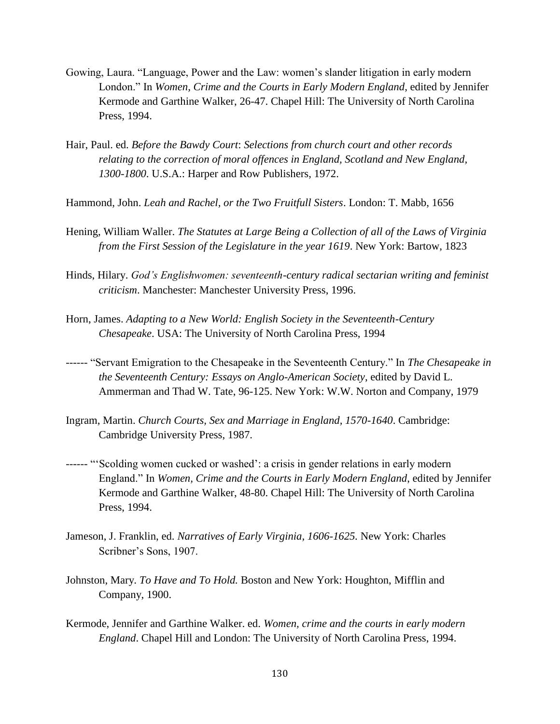- Gowing, Laura. "Language, Power and the Law: women's slander litigation in early modern London." In *Women, Crime and the Courts in Early Modern England*, edited by Jennifer Kermode and Garthine Walker, 26-47. Chapel Hill: The University of North Carolina Press, 1994.
- Hair, Paul. ed. *Before the Bawdy Court*: *Selections from church court and other records relating to the correction of moral offences in England, Scotland and New England, 1300-1800*. U.S.A.: Harper and Row Publishers, 1972.
- Hammond, John. *Leah and Rachel, or the Two Fruitfull Sisters*. London: T. Mabb, 1656
- Hening, William Waller. *The Statutes at Large Being a Collection of all of the Laws of Virginia from the First Session of the Legislature in the year 1619*. New York: Bartow, 1823
- Hinds, Hilary. *God's Englishwomen: seventeenth-century radical sectarian writing and feminist criticism*. Manchester: Manchester University Press, 1996.
- Horn, James. *Adapting to a New World: English Society in the Seventeenth-Century Chesapeake*. USA: The University of North Carolina Press, 1994
- ------ "Servant Emigration to the Chesapeake in the Seventeenth Century." In *The Chesapeake in the Seventeenth Century: Essays on Anglo-American Society*, edited by David L. Ammerman and Thad W. Tate, 96-125. New York: W.W. Norton and Company, 1979
- Ingram, Martin. *Church Courts, Sex and Marriage in England, 1570-1640*. Cambridge: Cambridge University Press, 1987.
- ------ "'Scolding women cucked or washed': a crisis in gender relations in early modern England." In *Women, Crime and the Courts in Early Modern England*, edited by Jennifer Kermode and Garthine Walker, 48-80. Chapel Hill: The University of North Carolina Press, 1994.
- Jameson, J. Franklin, ed. *Narratives of Early Virginia, 1606-1625.* New York: Charles Scribner's Sons, 1907.
- Johnston, Mary. *To Have and To Hold.* Boston and New York: Houghton, Mifflin and Company, 1900.
- Kermode, Jennifer and Garthine Walker. ed. *Women, crime and the courts in early modern England*. Chapel Hill and London: The University of North Carolina Press, 1994.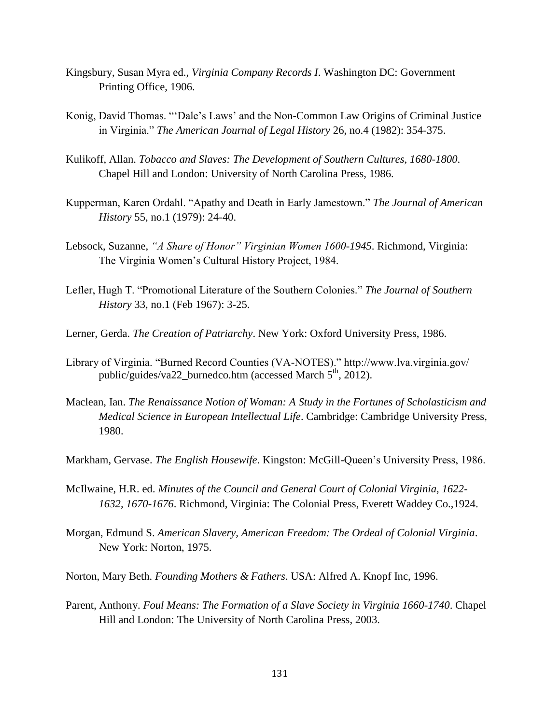- Kingsbury, Susan Myra ed., *Virginia Company Records I*. Washington DC: Government Printing Office, 1906.
- Konig, David Thomas. "'Dale's Laws' and the Non-Common Law Origins of Criminal Justice in Virginia." *The American Journal of Legal History* 26, no.4 (1982): 354-375.
- Kulikoff, Allan. *Tobacco and Slaves: The Development of Southern Cultures, 1680-1800*. Chapel Hill and London: University of North Carolina Press, 1986.
- Kupperman, Karen Ordahl. "Apathy and Death in Early Jamestown." *The Journal of American History* 55, no.1 (1979): 24-40.
- Lebsock, Suzanne, *"A Share of Honor" Virginian Women 1600-1945*. Richmond, Virginia: The Virginia Women's Cultural History Project, 1984.
- Lefler, Hugh T. "Promotional Literature of the Southern Colonies." *The Journal of Southern History* 33, no.1 (Feb 1967): 3-25.
- Lerner, Gerda. *The Creation of Patriarchy*. New York: Oxford University Press, 1986.
- Library of Virginia. "Burned Record Counties (VA-NOTES)." http://www.lva.virginia.gov/ public/guides/va22\_burnedco.htm (accessed March  $5<sup>th</sup>$ , 2012).
- Maclean, Ian. *The Renaissance Notion of Woman: A Study in the Fortunes of Scholasticism and Medical Science in European Intellectual Life*. Cambridge: Cambridge University Press, 1980.
- Markham, Gervase. *The English Housewife*. Kingston: McGill-Queen's University Press, 1986.
- McIlwaine, H.R. ed. *Minutes of the Council and General Court of Colonial Virginia, 1622- 1632, 1670-1676*. Richmond, Virginia: The Colonial Press, Everett Waddey Co.,1924.
- Morgan, Edmund S. *American Slavery, American Freedom: The Ordeal of Colonial Virginia*. New York: Norton, 1975.
- Norton, Mary Beth. *Founding Mothers & Fathers*. USA: Alfred A. Knopf Inc, 1996.
- Parent, Anthony. *Foul Means: The Formation of a Slave Society in Virginia 1660-1740*. Chapel Hill and London: The University of North Carolina Press, 2003.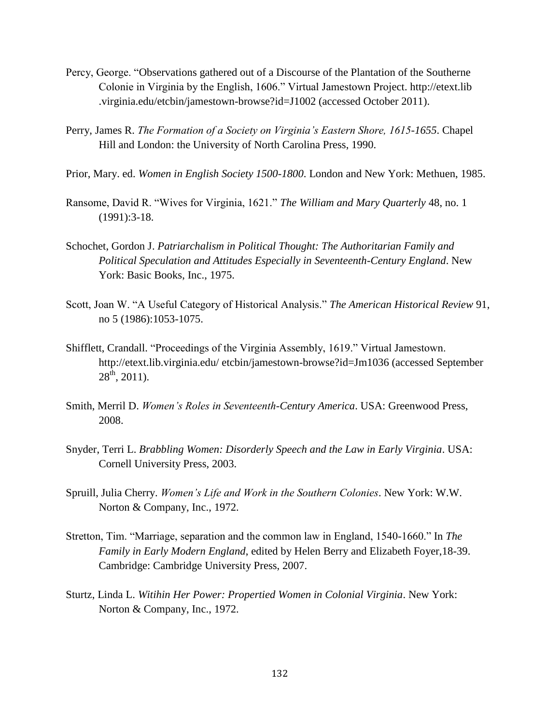- Percy, George. "Observations gathered out of a Discourse of the Plantation of the Southerne Colonie in Virginia by the English, 1606." Virtual Jamestown Project. http://etext.lib .virginia.edu/etcbin/jamestown-browse?id=J1002 (accessed October 2011).
- Perry, James R. *The Formation of a Society on Virginia's Eastern Shore, 1615-1655*. Chapel Hill and London: the University of North Carolina Press, 1990.
- Prior, Mary. ed. *Women in English Society 1500-1800*. London and New York: Methuen, 1985.
- Ransome, David R. "Wives for Virginia, 1621." *The William and Mary Quarterly* 48, no. 1 (1991):3-18.
- Schochet, Gordon J. *Patriarchalism in Political Thought: The Authoritarian Family and Political Speculation and Attitudes Especially in Seventeenth-Century England*. New York: Basic Books, Inc., 1975.
- Scott, Joan W. "A Useful Category of Historical Analysis." *The American Historical Review* 91, no 5 (1986):1053-1075.
- Shifflett, Crandall. "Proceedings of the Virginia Assembly, 1619." Virtual Jamestown. http://etext.lib.virginia.edu/ etcbin/jamestown-browse?id=Jm1036 (accessed September  $28^{th}$ , 2011).
- Smith, Merril D. *Women's Roles in Seventeenth-Century America*. USA: Greenwood Press, 2008.
- Snyder, Terri L. *Brabbling Women: Disorderly Speech and the Law in Early Virginia*. USA: Cornell University Press, 2003.
- Spruill, Julia Cherry. *Women's Life and Work in the Southern Colonies*. New York: W.W. Norton & Company, Inc., 1972.
- Stretton, Tim. "Marriage, separation and the common law in England, 1540-1660." In *The Family in Early Modern England*, edited by Helen Berry and Elizabeth Foyer,18-39. Cambridge: Cambridge University Press, 2007.
- Sturtz, Linda L. *Witihin Her Power: Propertied Women in Colonial Virginia*. New York: Norton & Company, Inc., 1972.